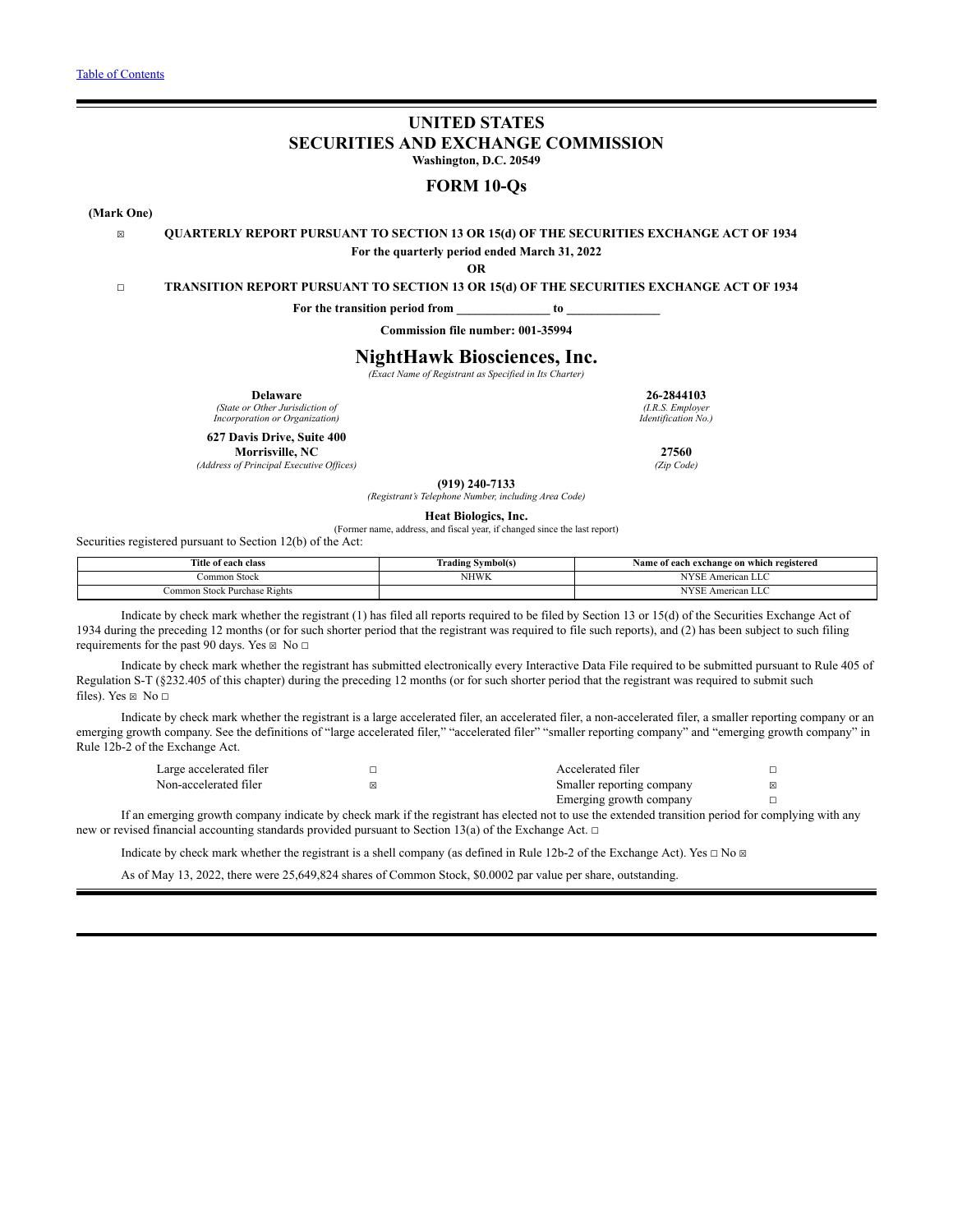## **UNITED STATES SECURITIES AND EXCHANGE COMMISSION Washington, D.C. 20549**

**FORM 10-Qs**

**(Mark One)**

## ☒ **QUARTERLY REPORT PURSUANT TO SECTION 13 OR 15(d) OF THE SECURITIES EXCHANGE ACT OF 1934 For the quarterly period ended March 31, 2022**

**OR**

### ☐ **TRANSITION REPORT PURSUANT TO SECTION 13 OR 15(d) OF THE SECURITIES EXCHANGE ACT OF 1934**

**For the transition period from \_\_\_\_\_\_\_\_\_\_\_\_\_\_\_ to \_\_\_\_\_\_\_\_\_\_\_\_\_\_\_**

**Commission file number: 001-35994**

## **NightHawk Biosciences, Inc.**

*(Exact Name of Registrant as Specified in Its Charter)*

**Delaware**

*(State or Other Jurisdiction of Incorporation or Organization)*

**627 Davis Drive, Suite 400**

**Morrisville, NC**

*(Address of Principal Executive Of ices)*

**26-2844103**

*(I.R.S. Employer Identification No.)*

**27560** *(Zip Code)*

**(919) 240-7133**

*(Registrant's Telephone Number, including Area Code)*

**Heat Biologics, Inc.**

(Former name, address, and fiscal year, if changed since the last report)

Securities registered pursuant to Section 12(b) of the Act:

| <b>Title</b><br>: of each class<br>.                                                                                                                                                                                                                                        | Symbol(s)<br><b>Trading</b><br>.<br>- | h exchange on which registered<br>.∢ame<br>ot each:<br>.<br>-<br>- |
|-----------------------------------------------------------------------------------------------------------------------------------------------------------------------------------------------------------------------------------------------------------------------------|---------------------------------------|--------------------------------------------------------------------|
| i Stock<br>ommon                                                                                                                                                                                                                                                            | <b>NHWK</b>                           | <b>NIVOD</b><br>American LLC                                       |
| <b>The Contract of the Contract of the Contract of the Contract of the Contract of the Contract of the Contract of the Contract of the Contract of the Contract of the Contract of the Contract of the Contract of the Contract </b><br>: Purchase Rights<br>Stock<br>ommon |                                       | <b>NIVOD</b><br>American LLC                                       |

Indicate by check mark whether the registrant (1) has filed all reports required to be filed by Section 13 or 15(d) of the Securities Exchange Act of 1934 during the preceding 12 months (or for such shorter period that the registrant was required to file such reports), and (2) has been subject to such filing requirements for the past 90 days. Yes  $\boxtimes$  No  $\Box$ 

Indicate by check mark whether the registrant has submitted electronically every Interactive Data File required to be submitted pursuant to Rule 405 of Regulation S-T (§232.405 of this chapter) during the preceding 12 months (or for such shorter period that the registrant was required to submit such files). Yes  $\boxtimes$  No  $\square$ 

Indicate by check mark whether the registrant is a large accelerated filer, an accelerated filer, a non-accelerated filer, a smaller reporting company or an emerging growth company. See the definitions of "large accelerated filer," "accelerated filer" "smaller reporting company" and "emerging growth company" in Rule 12b-2 of the Exchange Act.

| Large accelerated filer | Accelerated filer         |  |
|-------------------------|---------------------------|--|
| Non-accelerated filer   | Smaller reporting company |  |
|                         | Emerging growth company   |  |

If an emerging growth company indicate by check mark if the registrant has elected not to use the extended transition period for complying with any new or revised financial accounting standards provided pursuant to Section 13(a) of the Exchange Act. □

Indicate by check mark whether the registrant is a shell company (as defined in Rule 12b-2 of the Exchange Act). Yes  $\Box$  No  $\Box$ 

As of May 13, 2022, there were 25,649,824 shares of Common Stock, \$0.0002 par value per share, outstanding.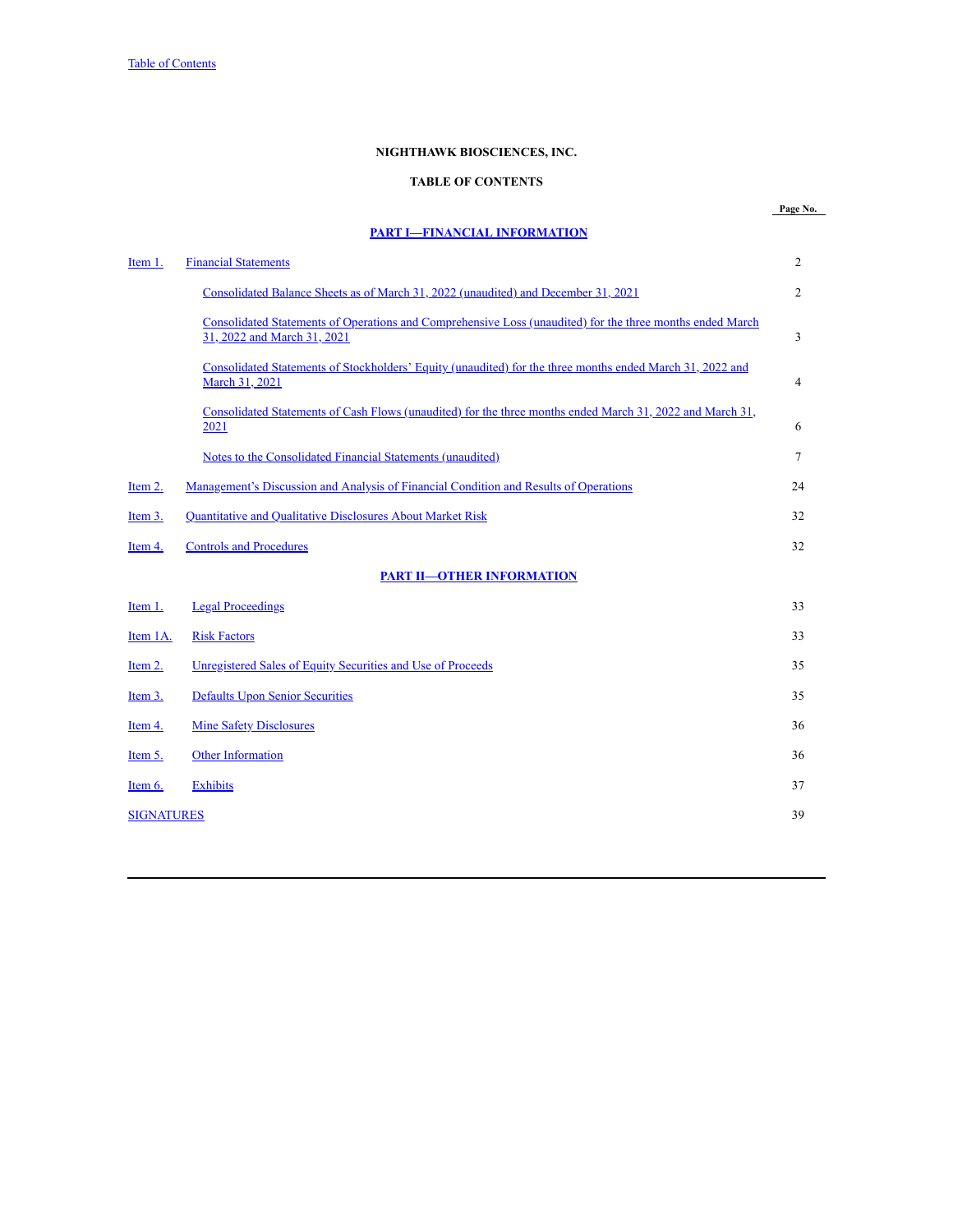## **NIGHTHAWK BIOSCIENCES, INC.**

## **TABLE OF CONTENTS**

# **PART I—FINANCIAL [INFORMATION](#page-3-0)**

<span id="page-1-0"></span>

| Item 1.           | <b>Financial Statements</b>                                                                                                              | $\overline{c}$ |
|-------------------|------------------------------------------------------------------------------------------------------------------------------------------|----------------|
|                   | Consolidated Balance Sheets as of March 31, 2022 (unaudited) and December 31, 2021                                                       | $\overline{2}$ |
|                   | Consolidated Statements of Operations and Comprehensive Loss (unaudited) for the three months ended March<br>31, 2022 and March 31, 2021 | 3              |
|                   | Consolidated Statements of Stockholders' Equity (unaudited) for the three months ended March 31, 2022 and<br>March 31, 2021              | 4              |
|                   | Consolidated Statements of Cash Flows (unaudited) for the three months ended March 31, 2022 and March 31,<br>2021                        | 6              |
|                   | Notes to the Consolidated Financial Statements (unaudited)                                                                               | $\tau$         |
| Item 2.           | Management's Discussion and Analysis of Financial Condition and Results of Operations                                                    | 24             |
| Item 3.           | <b>Quantitative and Qualitative Disclosures About Market Risk</b>                                                                        | 32             |
| Item 4.           | <b>Controls and Procedures</b>                                                                                                           | 32             |
|                   | <b>PART II-OTHER INFORMATION</b>                                                                                                         |                |
| Item 1.           | <b>Legal Proceedings</b>                                                                                                                 | 33             |
| Item 1A.          | <b>Risk Factors</b>                                                                                                                      | 33             |
| Item $2$ .        | Unregistered Sales of Equity Securities and Use of Proceeds                                                                              | 35             |
| Item 3.           | <b>Defaults Upon Senior Securities</b>                                                                                                   | 35             |
| Item 4.           | <b>Mine Safety Disclosures</b>                                                                                                           | 36             |
| Item 5.           | Other Information                                                                                                                        | 36             |
| Item 6.           | <b>Exhibits</b>                                                                                                                          | 37             |
| <b>SIGNATURES</b> |                                                                                                                                          | 39             |
|                   |                                                                                                                                          |                |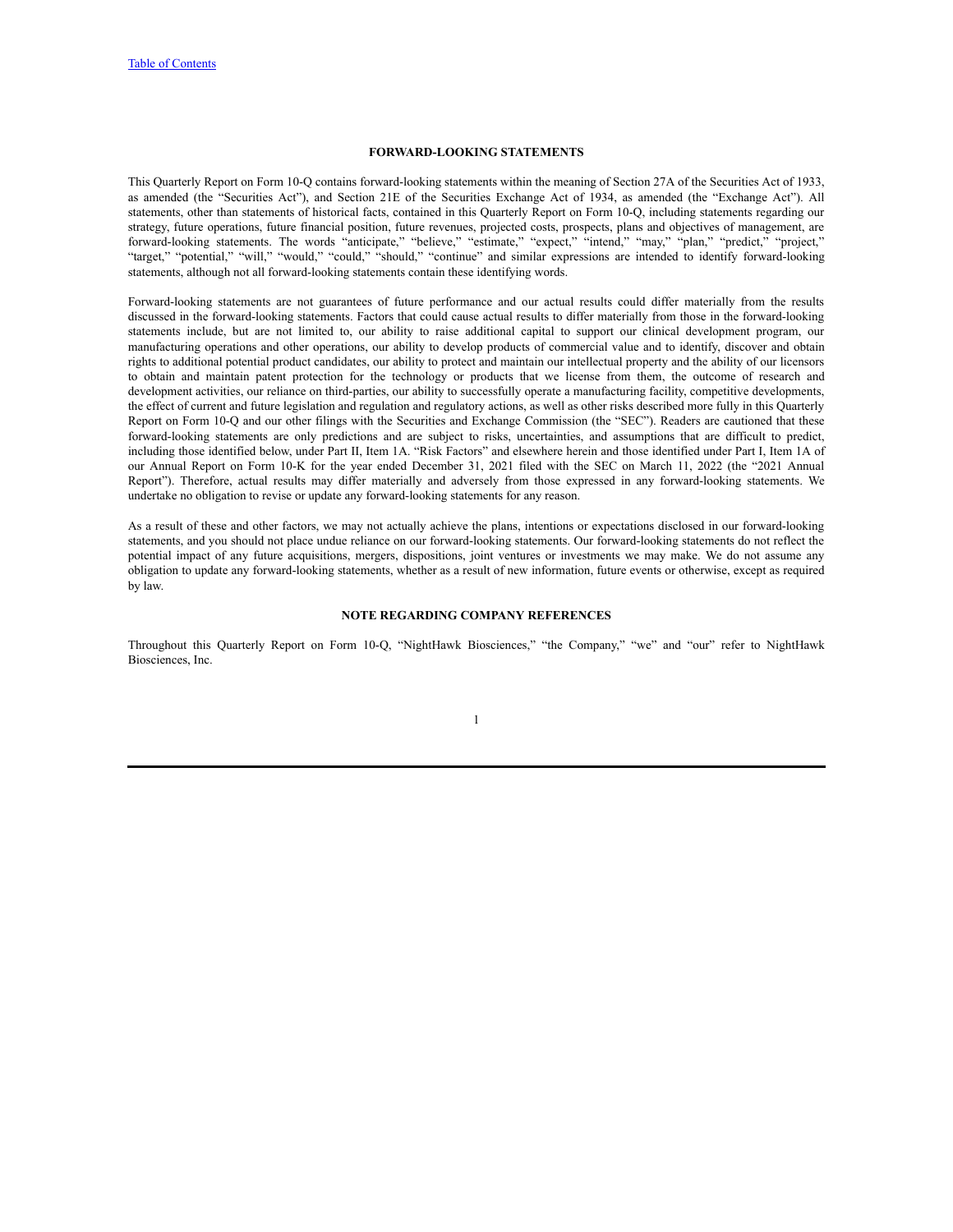## **FORWARD-LOOKING STATEMENTS**

This Quarterly Report on Form 10-Q contains forward-looking statements within the meaning of Section 27A of the Securities Act of 1933, as amended (the "Securities Act"), and Section 21E of the Securities Exchange Act of 1934, as amended (the "Exchange Act"). All statements, other than statements of historical facts, contained in this Quarterly Report on Form 10-Q, including statements regarding our strategy, future operations, future financial position, future revenues, projected costs, prospects, plans and objectives of management, are forward-looking statements. The words "anticipate," "believe," "estimate," "expect," "intend," "may," "plan," "predict," "project," "target," "potential," "will," "would," "could," "should," "continue" and similar expressions are intended to identify forward-looking statements, although not all forward-looking statements contain these identifying words.

Forward-looking statements are not guarantees of future performance and our actual results could differ materially from the results discussed in the forward-looking statements. Factors that could cause actual results to differ materially from those in the forward-looking statements include, but are not limited to, our ability to raise additional capital to support our clinical development program, our manufacturing operations and other operations, our ability to develop products of commercial value and to identify, discover and obtain rights to additional potential product candidates, our ability to protect and maintain our intellectual property and the ability of our licensors to obtain and maintain patent protection for the technology or products that we license from them, the outcome of research and development activities, our reliance on third-parties, our ability to successfully operate a manufacturing facility, competitive developments, the effect of current and future legislation and regulation and regulatory actions, as well as other risks described more fully in this Quarterly Report on Form 10-Q and our other filings with the Securities and Exchange Commission (the "SEC"). Readers are cautioned that these forward-looking statements are only predictions and are subject to risks, uncertainties, and assumptions that are difficult to predict, including those identified below, under Part II, Item 1A. "Risk Factors" and elsewhere herein and those identified under Part I, Item 1A of our Annual Report on Form 10-K for the year ended December 31, 2021 filed with the SEC on March 11, 2022 (the "2021 Annual Report"). Therefore, actual results may differ materially and adversely from those expressed in any forward-looking statements. We undertake no obligation to revise or update any forward-looking statements for any reason.

As a result of these and other factors, we may not actually achieve the plans, intentions or expectations disclosed in our forward-looking statements, and you should not place undue reliance on our forward-looking statements. Our forward-looking statements do not reflect the potential impact of any future acquisitions, mergers, dispositions, joint ventures or investments we may make. We do not assume any obligation to update any forward-looking statements, whether as a result of new information, future events or otherwise, except as required by law.

### **NOTE REGARDING COMPANY REFERENCES**

Throughout this Quarterly Report on Form 10-Q, "NightHawk Biosciences," "the Company," "we" and "our" refer to NightHawk Biosciences, Inc.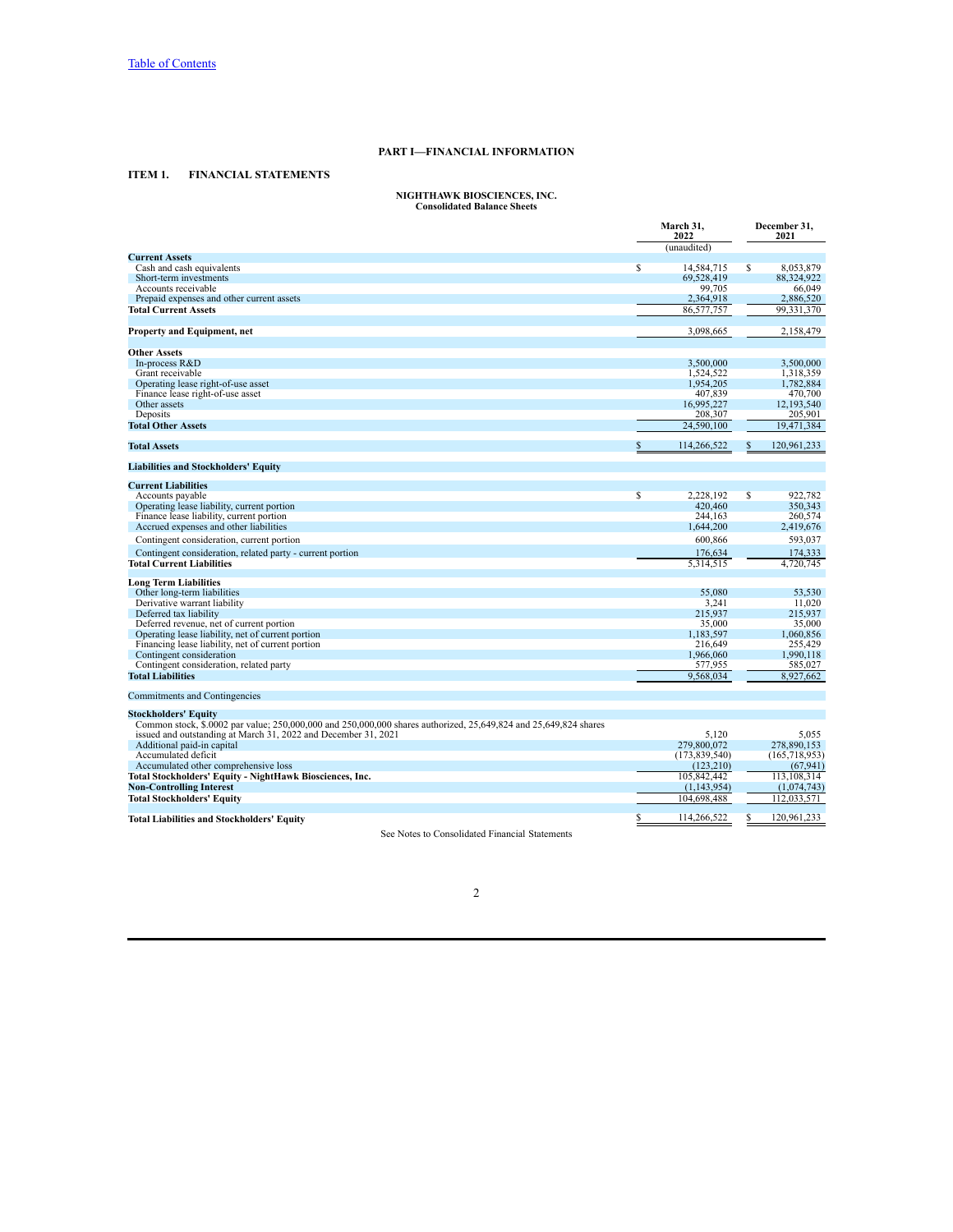### **PART I—FINANCIAL INFORMATION**

## <span id="page-3-1"></span><span id="page-3-0"></span>**ITEM 1. FINANCIAL STATEMENTS**

# **NIGHTHAWK BIOSCIENCES, INC. Consolidated Balance Sheets**

<span id="page-3-2"></span>

|                                                                                                                  |    | March 31,<br>2022    |    | December 31,<br>2021 |
|------------------------------------------------------------------------------------------------------------------|----|----------------------|----|----------------------|
|                                                                                                                  |    | (unaudited)          |    |                      |
| <b>Current Assets</b>                                                                                            |    |                      |    |                      |
| Cash and cash equivalents                                                                                        | s  | 14,584,715           | S  | 8,053,879            |
| Short-term investments<br>Accounts receivable                                                                    |    | 69,528,419<br>99,705 |    | 88,324,922<br>66,049 |
|                                                                                                                  |    | 2,364,918            |    | 2,886,520            |
| Prepaid expenses and other current assets<br><b>Total Current Assets</b>                                         |    |                      |    | 99.331.370           |
|                                                                                                                  |    | 86,577,757           |    |                      |
| <b>Property and Equipment, net</b>                                                                               |    | 3,098,665            |    | 2,158,479            |
| <b>Other Assets</b>                                                                                              |    |                      |    |                      |
| In-process R&D                                                                                                   |    | 3,500,000            |    | 3,500,000            |
| Grant receivable                                                                                                 |    | 1,524,522            |    | 1,318,359            |
| Operating lease right-of-use asset                                                                               |    | 1,954,205            |    | 1,782,884            |
| Finance lease right-of-use asset                                                                                 |    | 407,839              |    | 470,700              |
| Other assets                                                                                                     |    | 16,995,227           |    | 12,193,540           |
| Deposits                                                                                                         |    | 208,307              |    | 205,901              |
| <b>Total Other Assets</b>                                                                                        |    | 24,590,100           |    | 19,471,384           |
|                                                                                                                  |    |                      |    |                      |
| <b>Total Assets</b>                                                                                              |    | 114,266,522          | S  | 120,961,233          |
| <b>Liabilities and Stockholders' Equity</b>                                                                      |    |                      |    |                      |
| <b>Current Liabilities</b>                                                                                       |    |                      |    |                      |
| Accounts payable                                                                                                 | S  | 2.228.192            | S  | 922.782              |
| Operating lease liability, current portion                                                                       |    | 420.460              |    | 350.343              |
| Finance lease liability, current portion                                                                         |    | 244.163              |    | 260,574              |
| Accrued expenses and other liabilities                                                                           |    | 1,644,200            |    | 2,419,676            |
| Contingent consideration, current portion                                                                        |    | 600,866              |    | 593,037              |
| Contingent consideration, related party - current portion                                                        |    | 176,634              |    | 174,333              |
| <b>Total Current Liabilities</b>                                                                                 |    | 5,314,515            |    | 4,720,745            |
|                                                                                                                  |    |                      |    |                      |
| Long Term Liabilities                                                                                            |    |                      |    |                      |
| Other long-term liabilities                                                                                      |    | 55,080               |    | 53,530               |
| Derivative warrant liability                                                                                     |    | 3.241                |    | 11.020               |
| Deferred tax liability                                                                                           |    | 215,937              |    | 215,937              |
| Deferred revenue, net of current portion                                                                         |    | 35,000               |    | 35,000               |
| Operating lease liability, net of current portion                                                                |    | 1,183,597            |    | 1.060.856            |
| Financing lease liability, net of current portion                                                                |    | 216,649              |    | 255,429              |
| Contingent consideration                                                                                         |    | 1,966,060            |    | 1,990,118            |
| Contingent consideration, related party                                                                          |    | 577,955              |    | 585,027              |
| <b>Total Liabilities</b>                                                                                         |    | 9.568.034            |    | 8.927.662            |
| Commitments and Contingencies                                                                                    |    |                      |    |                      |
| <b>Stockholders' Equity</b>                                                                                      |    |                      |    |                      |
| Common stock, \$.0002 par value; 250,000,000 and 250,000,000 shares authorized, 25,649,824 and 25,649,824 shares |    |                      |    |                      |
| issued and outstanding at March 31, 2022 and December 31, 2021                                                   |    | 5,120                |    | 5.055                |
| Additional paid-in capital                                                                                       |    | 279,800,072          |    | 278,890,153          |
| Accumulated deficit                                                                                              |    | (173, 839, 540)      |    | (165, 718, 953)      |
| Accumulated other comprehensive loss                                                                             |    | (123, 210)           |    | (67, 941)            |
| Total Stockholders' Equity - NightHawk Biosciences, Inc.                                                         |    | 105.842.442          |    | 113.108.314          |
| <b>Non-Controlling Interest</b>                                                                                  |    | (1, 143, 954)        |    | (1,074,743)          |
| Total Stockholders' Equity                                                                                       |    | 104,698,488          |    | 112.033.571          |
|                                                                                                                  |    |                      |    |                      |
| Total Liabilities and Stockholders' Equity                                                                       | \$ | 114,266,522          | \$ | 120,961,233          |

See Notes to Consolidated Financial Statements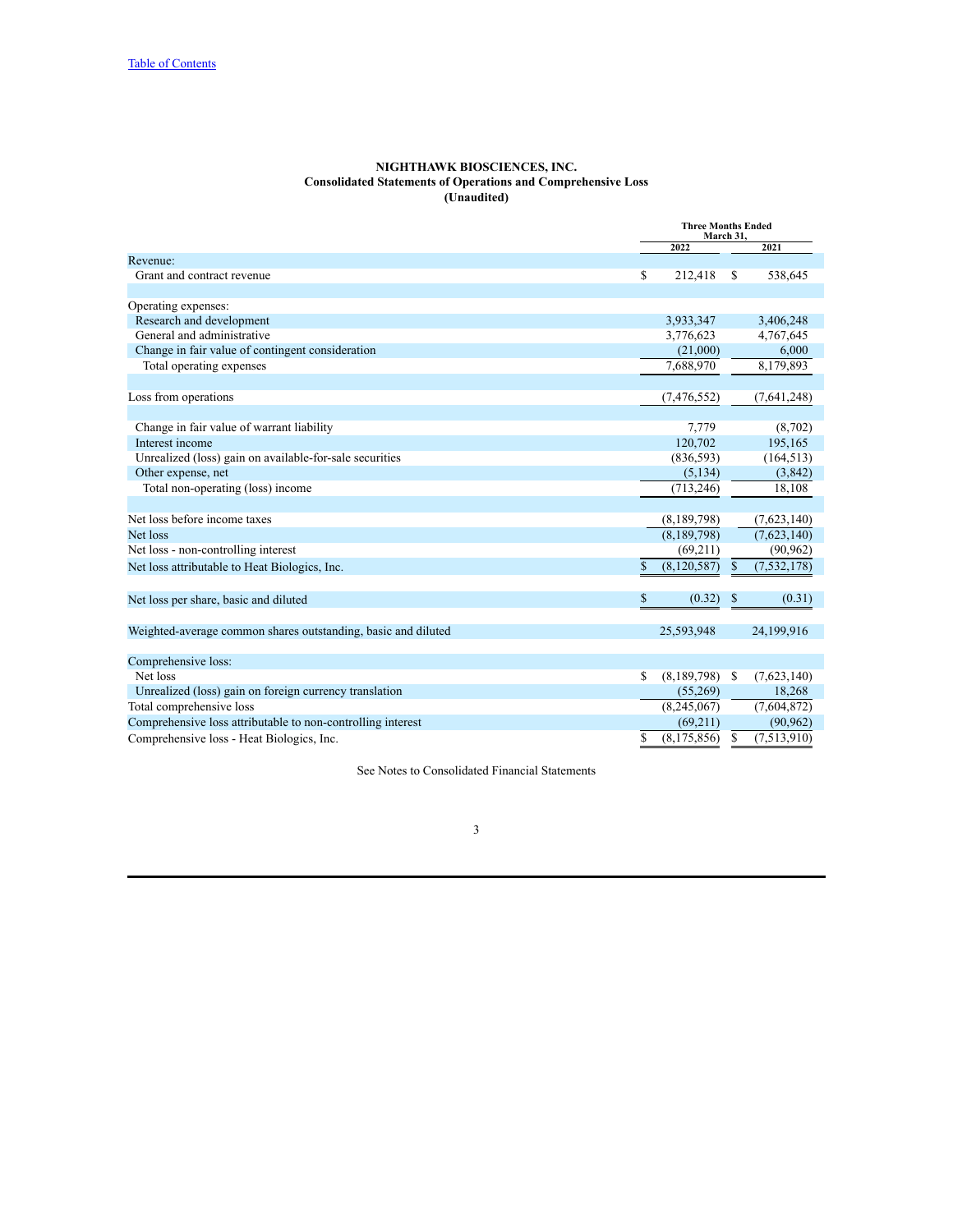#### **NIGHTHAWK BIOSCIENCES, INC. Consolidated Statements of Operations and Comprehensive Loss (Unaudited)**

<span id="page-4-0"></span>

|                                                               | <b>Three Months Ended</b><br>March 31, |    |               |
|---------------------------------------------------------------|----------------------------------------|----|---------------|
|                                                               | 2022                                   |    | 2021          |
| Revenue:                                                      |                                        |    |               |
| Grant and contract revenue                                    | \$<br>212,418                          | S  | 538,645       |
|                                                               |                                        |    |               |
| Operating expenses:                                           |                                        |    |               |
| Research and development                                      | 3,933,347                              |    | 3,406,248     |
| General and administrative                                    | 3,776,623                              |    | 4,767,645     |
| Change in fair value of contingent consideration              | (21,000)                               |    | 6,000         |
| Total operating expenses                                      | 7,688,970                              |    | 8,179,893     |
|                                                               |                                        |    |               |
| Loss from operations                                          | (7, 476, 552)                          |    | (7,641,248)   |
|                                                               |                                        |    |               |
| Change in fair value of warrant liability                     | 7,779                                  |    | (8,702)       |
| Interest income                                               | 120,702                                |    | 195,165       |
| Unrealized (loss) gain on available-for-sale securities       | (836, 593)                             |    | (164, 513)    |
| Other expense, net                                            | (5, 134)                               |    | (3,842)       |
| Total non-operating (loss) income                             | (713, 246)                             |    | 18,108        |
|                                                               |                                        |    |               |
| Net loss before income taxes                                  | (8,189,798)                            |    | (7,623,140)   |
| Net loss                                                      | (8,189,798)                            |    | (7,623,140)   |
| Net loss - non-controlling interest                           | (69,211)                               |    | (90, 962)     |
| Net loss attributable to Heat Biologics, Inc.                 | \$<br>(8, 120, 587)                    | \$ | (7, 532, 178) |
|                                                               |                                        |    |               |
| Net loss per share, basic and diluted                         | \$<br>(0.32)                           | S  | (0.31)        |
|                                                               |                                        |    |               |
| Weighted-average common shares outstanding, basic and diluted | 25,593,948                             |    | 24,199,916    |
|                                                               |                                        |    |               |
| Comprehensive loss:                                           |                                        |    |               |
| Net loss                                                      | \$<br>(8,189,798)                      | -S | (7,623,140)   |
| Unrealized (loss) gain on foreign currency translation        | (55,269)                               |    | 18,268        |
| Total comprehensive loss                                      | (8,245,067)                            |    | (7,604,872)   |
| Comprehensive loss attributable to non-controlling interest   | (69,211)                               |    | (90, 962)     |
| Comprehensive loss - Heat Biologics, Inc.                     | \$<br>(8,175,856)                      | \$ | (7,513,910)   |
|                                                               |                                        |    |               |

See Notes to Consolidated Financial Statements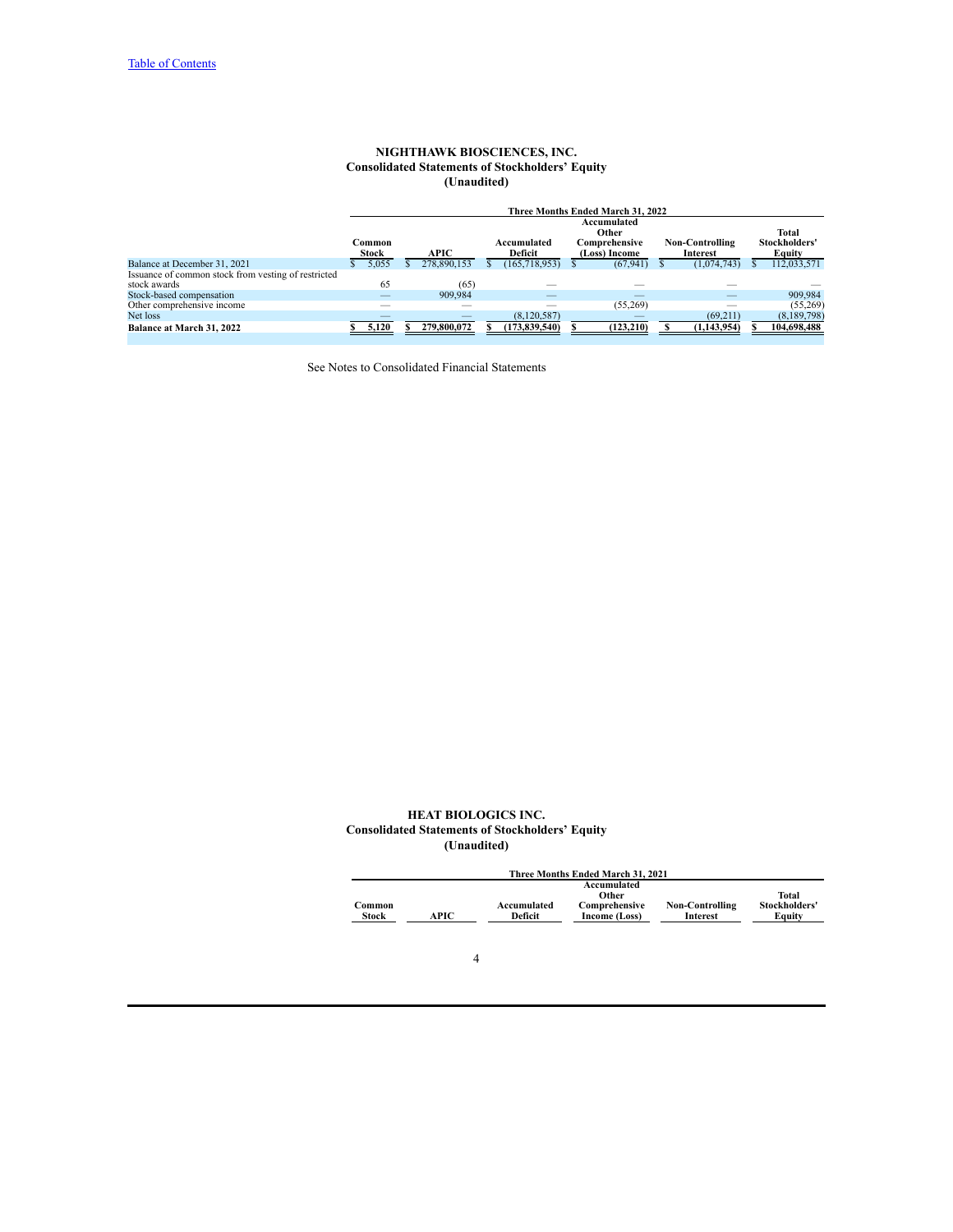## **NIGHTHAWK BIOSCIENCES, INC. Consolidated Statements of Stockholders' Equity (Unaudited)**

<span id="page-5-0"></span>

|                                                     |                        |       |      |                          |                        |                 |                                | Three Months Ended March 31, 2022 |                                    |             |  |                         |
|-----------------------------------------------------|------------------------|-------|------|--------------------------|------------------------|-----------------|--------------------------------|-----------------------------------|------------------------------------|-------------|--|-------------------------|
|                                                     |                        |       |      |                          |                        |                 |                                | Accumulated<br>Other              |                                    |             |  | <b>Total</b>            |
|                                                     | Common<br><b>Stock</b> |       | APIC |                          | Accumulated<br>Deficit |                 | Comprehensive<br>(Loss) Income |                                   | <b>Non-Controlling</b><br>Interest |             |  | Stockholders'<br>Equity |
| Balance at December 31, 2021                        |                        | 5.055 |      | 278.890.153              |                        | (165, 718, 953) |                                | (67, 941)                         |                                    | (1,074,743) |  | 112,033,571             |
| Issuance of common stock from vesting of restricted |                        |       |      |                          |                        |                 |                                |                                   |                                    |             |  |                         |
| stock awards                                        |                        | 65    |      | (65)                     |                        |                 |                                |                                   |                                    |             |  |                         |
| Stock-based compensation                            |                        |       |      | 909.984                  |                        |                 |                                |                                   |                                    |             |  | 909.984                 |
| Other comprehensive income                          |                        | __    |      | _                        |                        |                 |                                | (55,269)                          |                                    |             |  | (55,269)                |
| Net loss                                            |                        |       |      | $\overline{\phantom{a}}$ |                        | (8,120,587)     |                                |                                   |                                    | (69,211)    |  | (8,189,798)             |
| <b>Balance at March 31, 2022</b>                    |                        | 5,120 |      | 279,800,072              |                        | (173,839,540)   |                                | (123, 210)                        |                                    | (1,143,954) |  | 104,698,488             |

See Notes to Consolidated Financial Statements

## **HEAT BIOLOGICS INC. Consolidated Statements of Stockholders' Equity (Unaudited)**

|        | Three Months Ended March 31, 2021 |             |               |                        |               |  |  |  |  |  |  |
|--------|-----------------------------------|-------------|---------------|------------------------|---------------|--|--|--|--|--|--|
|        |                                   |             | Accumulated   |                        |               |  |  |  |  |  |  |
|        |                                   |             | Other         |                        | Total         |  |  |  |  |  |  |
| Common |                                   | Accumulated | Comprehensive | <b>Non-Controlling</b> | Stockholders' |  |  |  |  |  |  |
| Stock  | APIC                              | Deficit     | Income (Loss) | Interest               | Equity        |  |  |  |  |  |  |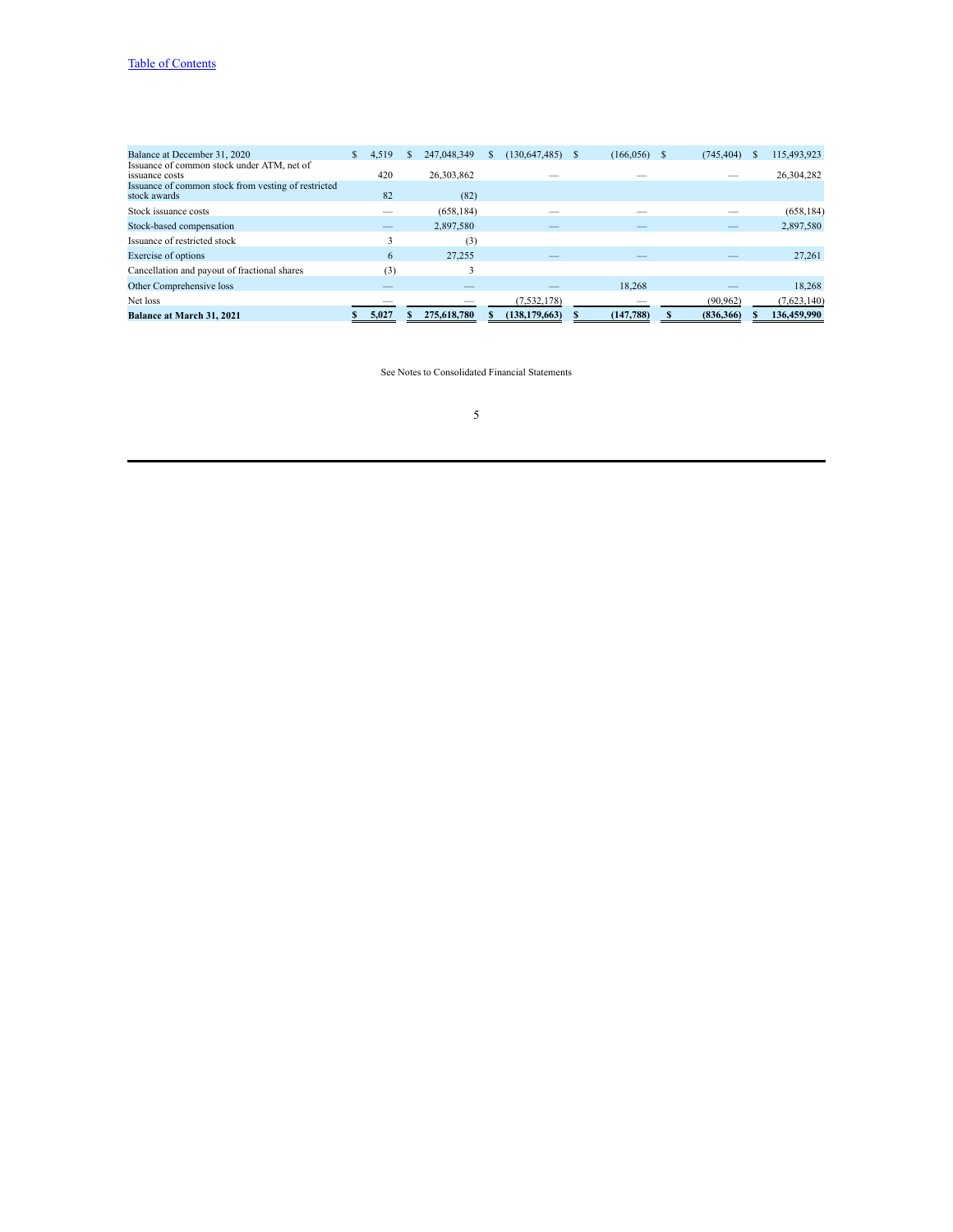| Balance at December 31, 2020                        | S. | 4.519 | 247.048.349 | (130, 647, 485) | S | (166, 056) | (745, 404) | 115,493,923 |
|-----------------------------------------------------|----|-------|-------------|-----------------|---|------------|------------|-------------|
| Issuance of common stock under ATM, net of          |    |       |             |                 |   |            |            |             |
| issuance costs                                      |    | 420   | 26,303,862  |                 |   |            |            | 26,304,282  |
| Issuance of common stock from vesting of restricted |    |       |             |                 |   |            |            |             |
| stock awards                                        |    | 82    | (82)        |                 |   |            |            |             |
| Stock issuance costs                                |    |       | (658, 184)  |                 |   |            |            | (658, 184)  |
| Stock-based compensation                            |    |       | 2,897,580   |                 |   |            |            | 2,897,580   |
| Issuance of restricted stock                        |    |       | (3)         |                 |   |            |            |             |
| Exercise of options                                 |    | 6     | 27,255      |                 |   |            |            | 27,261      |
| Cancellation and payout of fractional shares        |    | (3)   |             |                 |   |            |            |             |
| Other Comprehensive loss                            |    | __    |             |                 |   | 18.268     |            | 18.268      |
| Net loss                                            |    |       |             | (7,532,178)     |   |            | (90, 962)  | (7,623,140) |
| <b>Balance at March 31, 2021</b>                    |    | 5.027 | 275,618,780 | (138, 179, 663) |   | (147, 788) | (836, 366) | 136,459,990 |

See Notes to Consolidated Financial Statements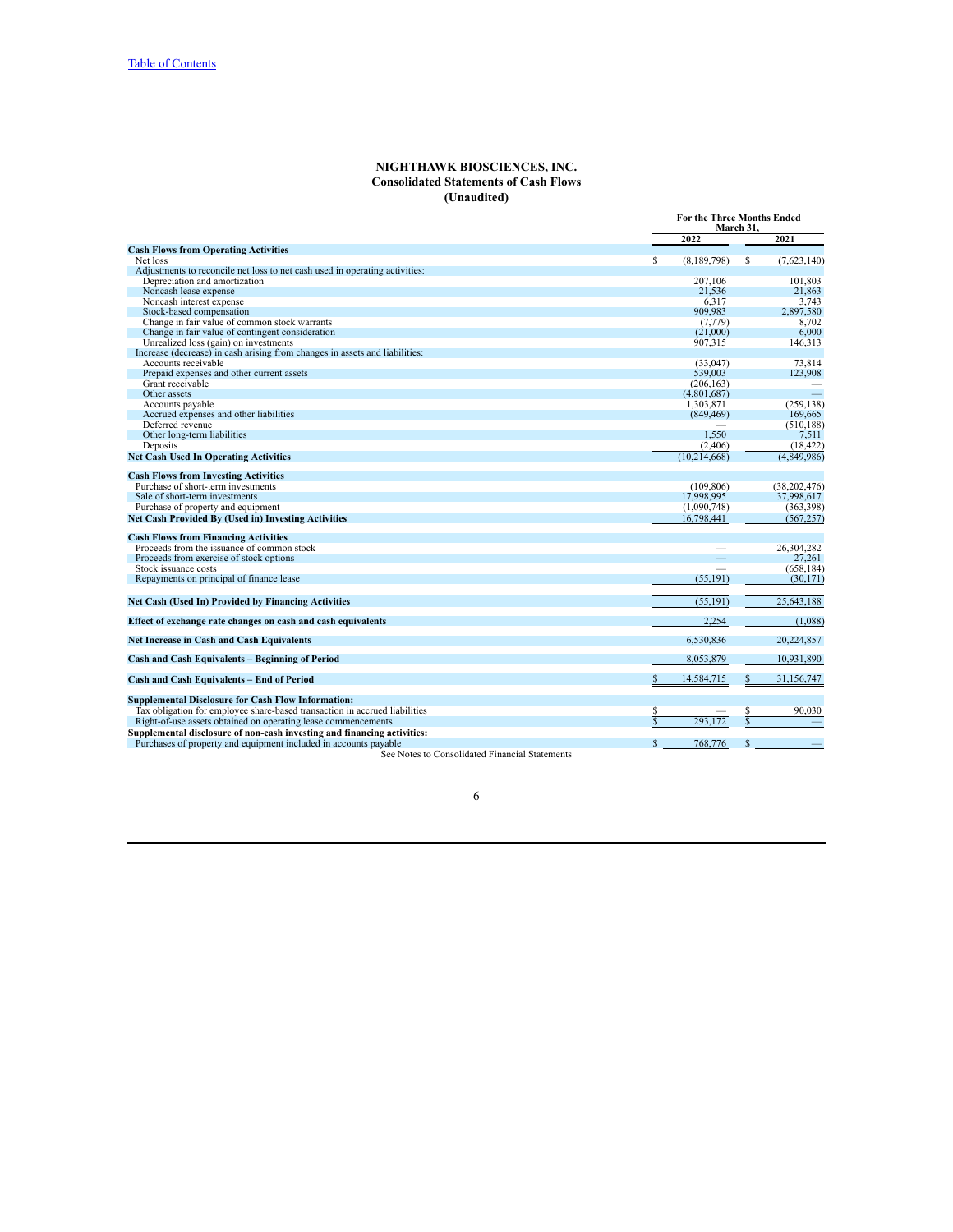## **NIGHTHAWK BIOSCIENCES, INC. Consolidated Statements of Cash Flows (Unaudited)**

<span id="page-7-0"></span>

|                                                                             |                                    | <b>For the Three Months Ended</b><br>March 31. |  |
|-----------------------------------------------------------------------------|------------------------------------|------------------------------------------------|--|
|                                                                             | 2022                               | 2021                                           |  |
| <b>Cash Flows from Operating Activities</b>                                 |                                    |                                                |  |
| Net loss                                                                    | S.<br>(8,189,798)                  | S<br>(7,623,140)                               |  |
| Adjustments to reconcile net loss to net cash used in operating activities: |                                    |                                                |  |
| Depreciation and amortization                                               | 207,106                            | 101.803                                        |  |
| Noncash lease expense                                                       | 21.536                             | 21.863                                         |  |
| Noncash interest expense                                                    | 6.317                              | 3.743                                          |  |
| Stock-based compensation                                                    | 909,983                            | 2,897,580                                      |  |
| Change in fair value of common stock warrants                               | (7.779)                            | 8.702                                          |  |
| Change in fair value of contingent consideration                            | (21.000)                           | 6.000                                          |  |
| Unrealized loss (gain) on investments                                       | 907,315                            | 146,313                                        |  |
| Increase (decrease) in cash arising from changes in assets and liabilities: |                                    |                                                |  |
| Accounts receivable                                                         | (33,047)                           | 73,814                                         |  |
| Prepaid expenses and other current assets                                   | 539,003                            | 123,908                                        |  |
| Grant receivable                                                            | (206, 163)                         |                                                |  |
| Other assets                                                                | (4,801,687)                        |                                                |  |
| Accounts payable                                                            | 1,303,871                          | (259.138)                                      |  |
| Accrued expenses and other liabilities                                      | (849, 469)                         | 169.665                                        |  |
| Deferred revenue                                                            |                                    | (510, 188)                                     |  |
| Other long-term liabilities                                                 | 1,550                              | 7,511                                          |  |
| Deposits                                                                    | (2,406)                            | (18, 422)                                      |  |
| <b>Net Cash Used In Operating Activities</b>                                | (10.214.668)                       | (4.849.986)                                    |  |
|                                                                             |                                    |                                                |  |
| <b>Cash Flows from Investing Activities</b>                                 |                                    |                                                |  |
| Purchase of short-term investments                                          | (109.806)                          | (38, 202, 476)                                 |  |
| Sale of short-term investments                                              | 17.998.995                         | 37,998,617                                     |  |
| Purchase of property and equipment                                          | (1,090,748)                        | (363, 398)                                     |  |
| <b>Net Cash Provided By (Used in) Investing Activities</b>                  | 16,798,441                         | (567, 257)                                     |  |
|                                                                             |                                    |                                                |  |
| <b>Cash Flows from Financing Activities</b>                                 |                                    |                                                |  |
| Proceeds from the issuance of common stock                                  |                                    | 26,304,282                                     |  |
| Proceeds from exercise of stock options                                     |                                    | 27.261                                         |  |
| Stock issuance costs                                                        |                                    | (658, 184)                                     |  |
| Repayments on principal of finance lease                                    | (55, 191)                          | (30, 171)                                      |  |
|                                                                             |                                    |                                                |  |
| <b>Net Cash (Used In) Provided by Financing Activities</b>                  | (55.191)                           | 25.643.188                                     |  |
| Effect of exchange rate changes on cash and cash equivalents                | 2,254                              | (1,088)                                        |  |
| <b>Net Increase in Cash and Cash Equivalents</b>                            | 6,530,836                          | 20,224,857                                     |  |
| <b>Cash and Cash Equivalents - Beginning of Period</b>                      | 8,053,879                          | 10,931,890                                     |  |
|                                                                             |                                    |                                                |  |
| <b>Cash and Cash Equivalents - End of Period</b>                            | \$<br>14,584,715                   | \$<br>31,156,747                               |  |
| <b>Supplemental Disclosure for Cash Flow Information:</b>                   |                                    |                                                |  |
| Tax obligation for employee share-based transaction in accrued liabilities  | S                                  | 90,030<br>S                                    |  |
| Right-of-use assets obtained on operating lease commencements               | $\overline{\mathbf{s}}$<br>293 172 | $\overline{\mathbf{s}}$                        |  |
| Supplemental disclosure of non-cash investing and financing activities:     |                                    |                                                |  |
| Purchases of property and equipment included in accounts payable            | \$<br>768.776                      | \$                                             |  |
|                                                                             |                                    |                                                |  |

See Notes to Consolidated Financial Statements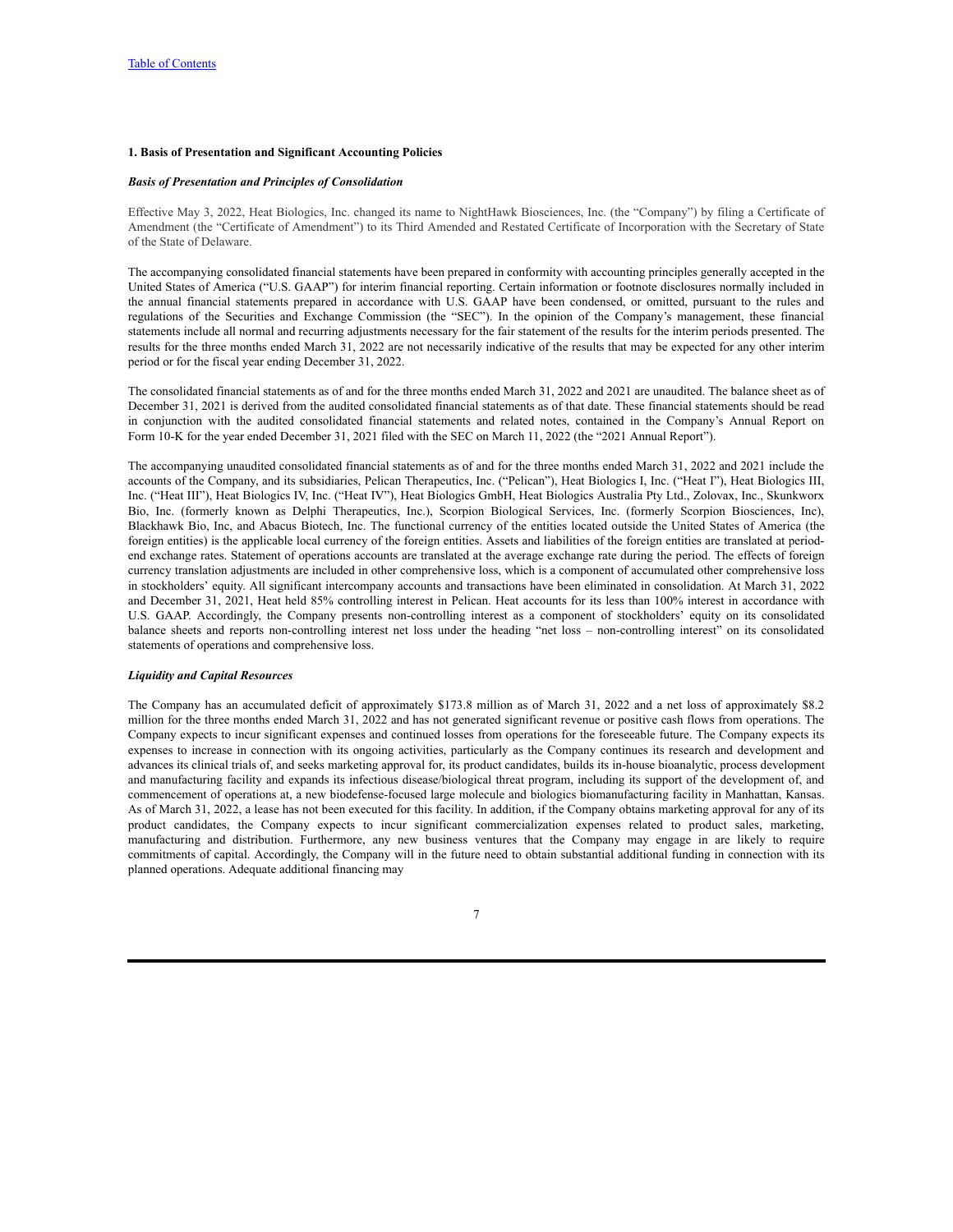#### <span id="page-8-0"></span>**1. Basis of Presentation and Significant Accounting Policies**

#### *Basis of Presentation and Principles of Consolidation*

Effective May 3, 2022, Heat Biologics, Inc. changed its name to NightHawk Biosciences, Inc. (the "Company") by filing a Certificate of Amendment (the "Certificate of Amendment") to its Third Amended and Restated Certificate of Incorporation with the Secretary of State of the State of Delaware.

The accompanying consolidated financial statements have been prepared in conformity with accounting principles generally accepted in the United States of America ("U.S. GAAP") for interim financial reporting. Certain information or footnote disclosures normally included in the annual financial statements prepared in accordance with U.S. GAAP have been condensed, or omitted, pursuant to the rules and regulations of the Securities and Exchange Commission (the "SEC"). In the opinion of the Company's management, these financial statements include all normal and recurring adjustments necessary for the fair statement of the results for the interim periods presented. The results for the three months ended March 31, 2022 are not necessarily indicative of the results that may be expected for any other interim period or for the fiscal year ending December 31, 2022.

The consolidated financial statements as of and for the three months ended March 31, 2022 and 2021 are unaudited. The balance sheet as of December 31, 2021 is derived from the audited consolidated financial statements as of that date. These financial statements should be read in conjunction with the audited consolidated financial statements and related notes, contained in the Company's Annual Report on Form 10-K for the year ended December 31, 2021 filed with the SEC on March 11, 2022 (the "2021 Annual Report").

The accompanying unaudited consolidated financial statements as of and for the three months ended March 31, 2022 and 2021 include the accounts of the Company, and its subsidiaries, Pelican Therapeutics, Inc. ("Pelican"), Heat Biologics I, Inc. ("Heat I"), Heat Biologics III, Inc. ("Heat III"), Heat Biologics IV, Inc. ("Heat IV"), Heat Biologics GmbH, Heat Biologics Australia Pty Ltd., Zolovax, Inc., Skunkworx Bio, Inc. (formerly known as Delphi Therapeutics, Inc.), Scorpion Biological Services, Inc. (formerly Scorpion Biosciences, Inc), Blackhawk Bio, Inc, and Abacus Biotech, Inc. The functional currency of the entities located outside the United States of America (the foreign entities) is the applicable local currency of the foreign entities. Assets and liabilities of the foreign entities are translated at periodend exchange rates. Statement of operations accounts are translated at the average exchange rate during the period. The effects of foreign currency translation adjustments are included in other comprehensive loss, which is a component of accumulated other comprehensive loss in stockholders' equity. All significant intercompany accounts and transactions have been eliminated in consolidation. At March 31, 2022 and December 31, 2021, Heat held 85% controlling interest in Pelican. Heat accounts for its less than 100% interest in accordance with U.S. GAAP. Accordingly, the Company presents non-controlling interest as a component of stockholders' equity on its consolidated balance sheets and reports non-controlling interest net loss under the heading "net loss – non-controlling interest" on its consolidated statements of operations and comprehensive loss.

## *Liquidity and Capital Resources*

The Company has an accumulated deficit of approximately \$173.8 million as of March 31, 2022 and a net loss of approximately \$8.2 million for the three months ended March 31, 2022 and has not generated significant revenue or positive cash flows from operations. The Company expects to incur significant expenses and continued losses from operations for the foreseeable future. The Company expects its expenses to increase in connection with its ongoing activities, particularly as the Company continues its research and development and advances its clinical trials of, and seeks marketing approval for, its product candidates, builds its in-house bioanalytic, process development and manufacturing facility and expands its infectious disease/biological threat program, including its support of the development of, and commencement of operations at, a new biodefense-focused large molecule and biologics biomanufacturing facility in Manhattan, Kansas. As of March 31, 2022, a lease has not been executed for this facility. In addition, if the Company obtains marketing approval for any of its product candidates, the Company expects to incur significant commercialization expenses related to product sales, marketing, manufacturing and distribution. Furthermore, any new business ventures that the Company may engage in are likely to require commitments of capital. Accordingly, the Company will in the future need to obtain substantial additional funding in connection with its planned operations. Adequate additional financing may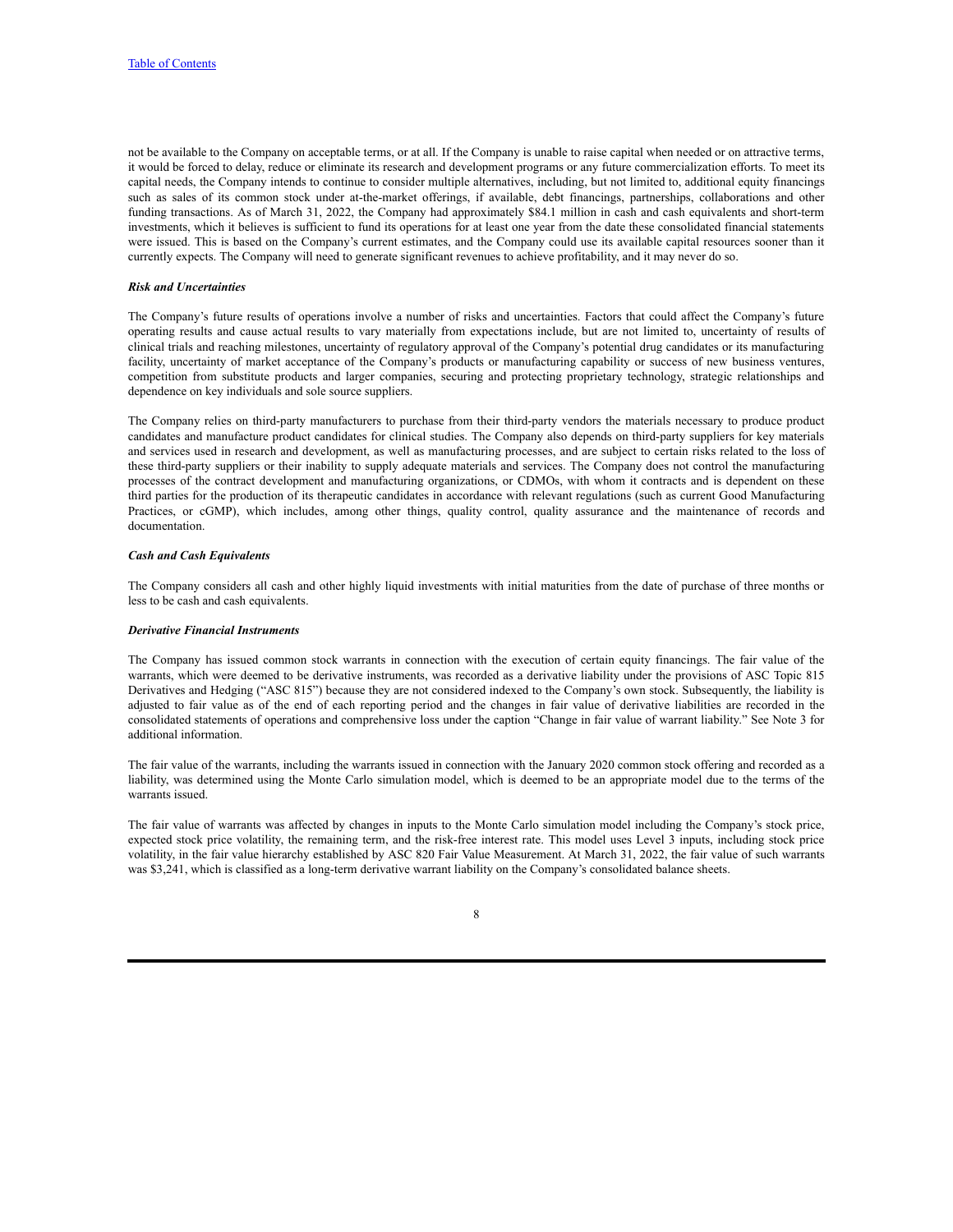not be available to the Company on acceptable terms, or at all. If the Company is unable to raise capital when needed or on attractive terms, it would be forced to delay, reduce or eliminate its research and development programs or any future commercialization efforts. To meet its capital needs, the Company intends to continue to consider multiple alternatives, including, but not limited to, additional equity financings such as sales of its common stock under at-the-market offerings, if available, debt financings, partnerships, collaborations and other funding transactions. As of March 31, 2022, the Company had approximately \$84.1 million in cash and cash equivalents and short-term investments, which it believes is sufficient to fund its operations for at least one year from the date these consolidated financial statements were issued. This is based on the Company's current estimates, and the Company could use its available capital resources sooner than it currently expects. The Company will need to generate significant revenues to achieve profitability, and it may never do so.

#### *Risk and Uncertainties*

The Company's future results of operations involve a number of risks and uncertainties. Factors that could affect the Company's future operating results and cause actual results to vary materially from expectations include, but are not limited to, uncertainty of results of clinical trials and reaching milestones, uncertainty of regulatory approval of the Company's potential drug candidates or its manufacturing facility, uncertainty of market acceptance of the Company's products or manufacturing capability or success of new business ventures, competition from substitute products and larger companies, securing and protecting proprietary technology, strategic relationships and dependence on key individuals and sole source suppliers.

The Company relies on third-party manufacturers to purchase from their third-party vendors the materials necessary to produce product candidates and manufacture product candidates for clinical studies. The Company also depends on third-party suppliers for key materials and services used in research and development, as well as manufacturing processes, and are subject to certain risks related to the loss of these third-party suppliers or their inability to supply adequate materials and services. The Company does not control the manufacturing processes of the contract development and manufacturing organizations, or CDMOs, with whom it contracts and is dependent on these third parties for the production of its therapeutic candidates in accordance with relevant regulations (such as current Good Manufacturing Practices, or cGMP), which includes, among other things, quality control, quality assurance and the maintenance of records and documentation.

### *Cash and Cash Equivalents*

The Company considers all cash and other highly liquid investments with initial maturities from the date of purchase of three months or less to be cash and cash equivalents.

### *Derivative Financial Instruments*

The Company has issued common stock warrants in connection with the execution of certain equity financings. The fair value of the warrants, which were deemed to be derivative instruments, was recorded as a derivative liability under the provisions of ASC Topic 815 Derivatives and Hedging ("ASC 815") because they are not considered indexed to the Company's own stock. Subsequently, the liability is adjusted to fair value as of the end of each reporting period and the changes in fair value of derivative liabilities are recorded in the consolidated statements of operations and comprehensive loss under the caption "Change in fair value of warrant liability." See Note 3 for additional information.

The fair value of the warrants, including the warrants issued in connection with the January 2020 common stock offering and recorded as a liability, was determined using the Monte Carlo simulation model, which is deemed to be an appropriate model due to the terms of the warrants issued.

The fair value of warrants was affected by changes in inputs to the Monte Carlo simulation model including the Company's stock price, expected stock price volatility, the remaining term, and the risk-free interest rate. This model uses Level 3 inputs, including stock price volatility, in the fair value hierarchy established by ASC 820 Fair Value Measurement. At March 31, 2022, the fair value of such warrants was \$3,241, which is classified as a long-term derivative warrant liability on the Company's consolidated balance sheets.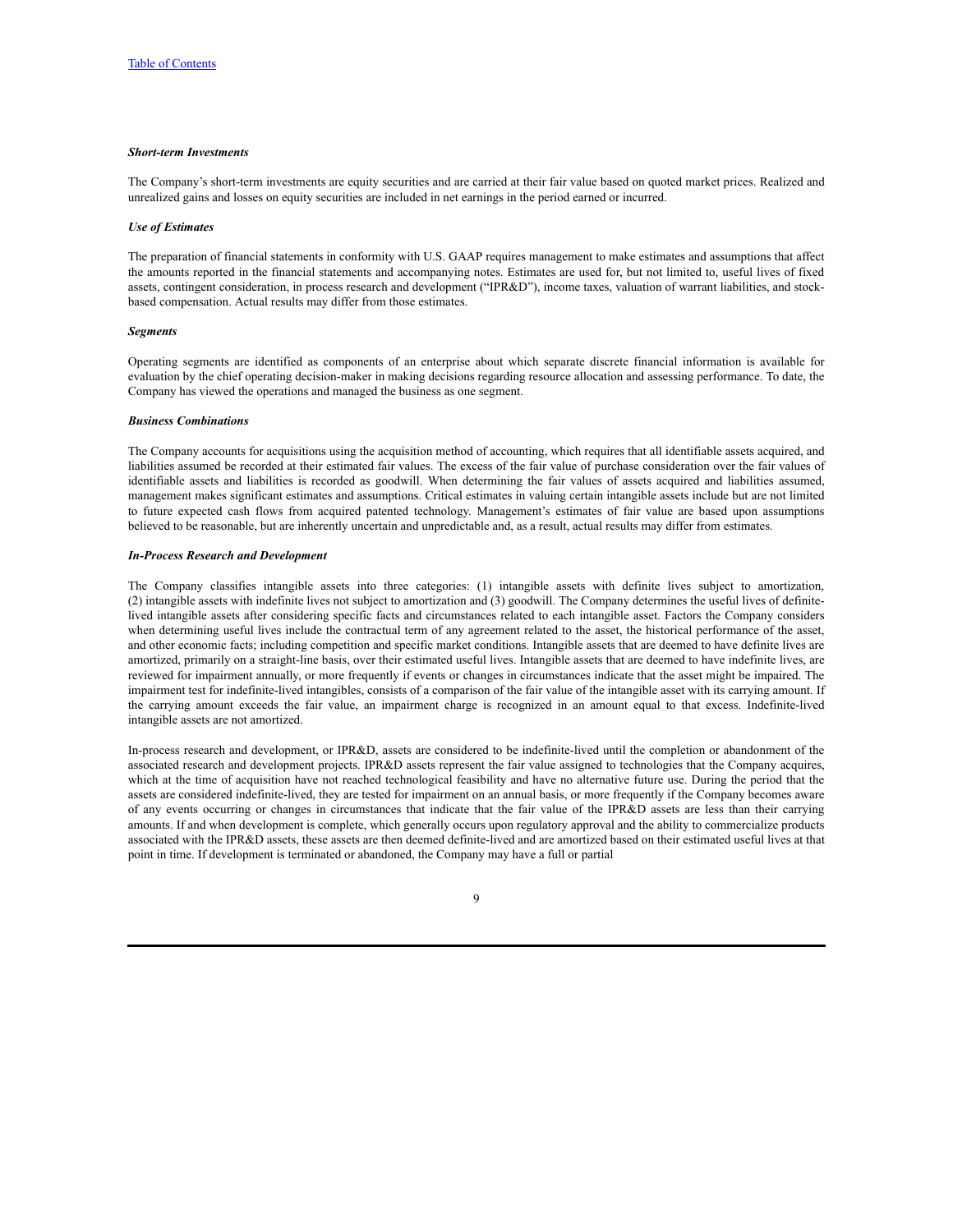#### *Short-term Investments*

The Company's short-term investments are equity securities and are carried at their fair value based on quoted market prices. Realized and unrealized gains and losses on equity securities are included in net earnings in the period earned or incurred.

#### *Use of Estimates*

The preparation of financial statements in conformity with U.S. GAAP requires management to make estimates and assumptions that affect the amounts reported in the financial statements and accompanying notes. Estimates are used for, but not limited to, useful lives of fixed assets, contingent consideration, in process research and development ("IPR&D"), income taxes, valuation of warrant liabilities, and stockbased compensation. Actual results may differ from those estimates.

#### *Segments*

Operating segments are identified as components of an enterprise about which separate discrete financial information is available for evaluation by the chief operating decision-maker in making decisions regarding resource allocation and assessing performance. To date, the Company has viewed the operations and managed the business as one segment.

#### *Business Combinations*

The Company accounts for acquisitions using the acquisition method of accounting, which requires that all identifiable assets acquired, and liabilities assumed be recorded at their estimated fair values. The excess of the fair value of purchase consideration over the fair values of identifiable assets and liabilities is recorded as goodwill. When determining the fair values of assets acquired and liabilities assumed, management makes significant estimates and assumptions. Critical estimates in valuing certain intangible assets include but are not limited to future expected cash flows from acquired patented technology. Management's estimates of fair value are based upon assumptions believed to be reasonable, but are inherently uncertain and unpredictable and, as a result, actual results may differ from estimates.

#### *In-Process Research and Development*

The Company classifies intangible assets into three categories: (1) intangible assets with definite lives subject to amortization, (2) intangible assets with indefinite lives not subject to amortization and (3) goodwill. The Company determines the useful lives of definitelived intangible assets after considering specific facts and circumstances related to each intangible asset. Factors the Company considers when determining useful lives include the contractual term of any agreement related to the asset, the historical performance of the asset, and other economic facts; including competition and specific market conditions. Intangible assets that are deemed to have definite lives are amortized, primarily on a straight-line basis, over their estimated useful lives. Intangible assets that are deemed to have indefinite lives, are reviewed for impairment annually, or more frequently if events or changes in circumstances indicate that the asset might be impaired. The impairment test for indefinite-lived intangibles, consists of a comparison of the fair value of the intangible asset with its carrying amount. If the carrying amount exceeds the fair value, an impairment charge is recognized in an amount equal to that excess. Indefinite-lived intangible assets are not amortized.

In-process research and development, or IPR&D, assets are considered to be indefinite-lived until the completion or abandonment of the associated research and development projects. IPR&D assets represent the fair value assigned to technologies that the Company acquires, which at the time of acquisition have not reached technological feasibility and have no alternative future use. During the period that the assets are considered indefinite-lived, they are tested for impairment on an annual basis, or more frequently if the Company becomes aware of any events occurring or changes in circumstances that indicate that the fair value of the IPR&D assets are less than their carrying amounts. If and when development is complete, which generally occurs upon regulatory approval and the ability to commercialize products associated with the IPR&D assets, these assets are then deemed definite-lived and are amortized based on their estimated useful lives at that point in time. If development is terminated or abandoned, the Company may have a full or partial

#### $\overline{Q}$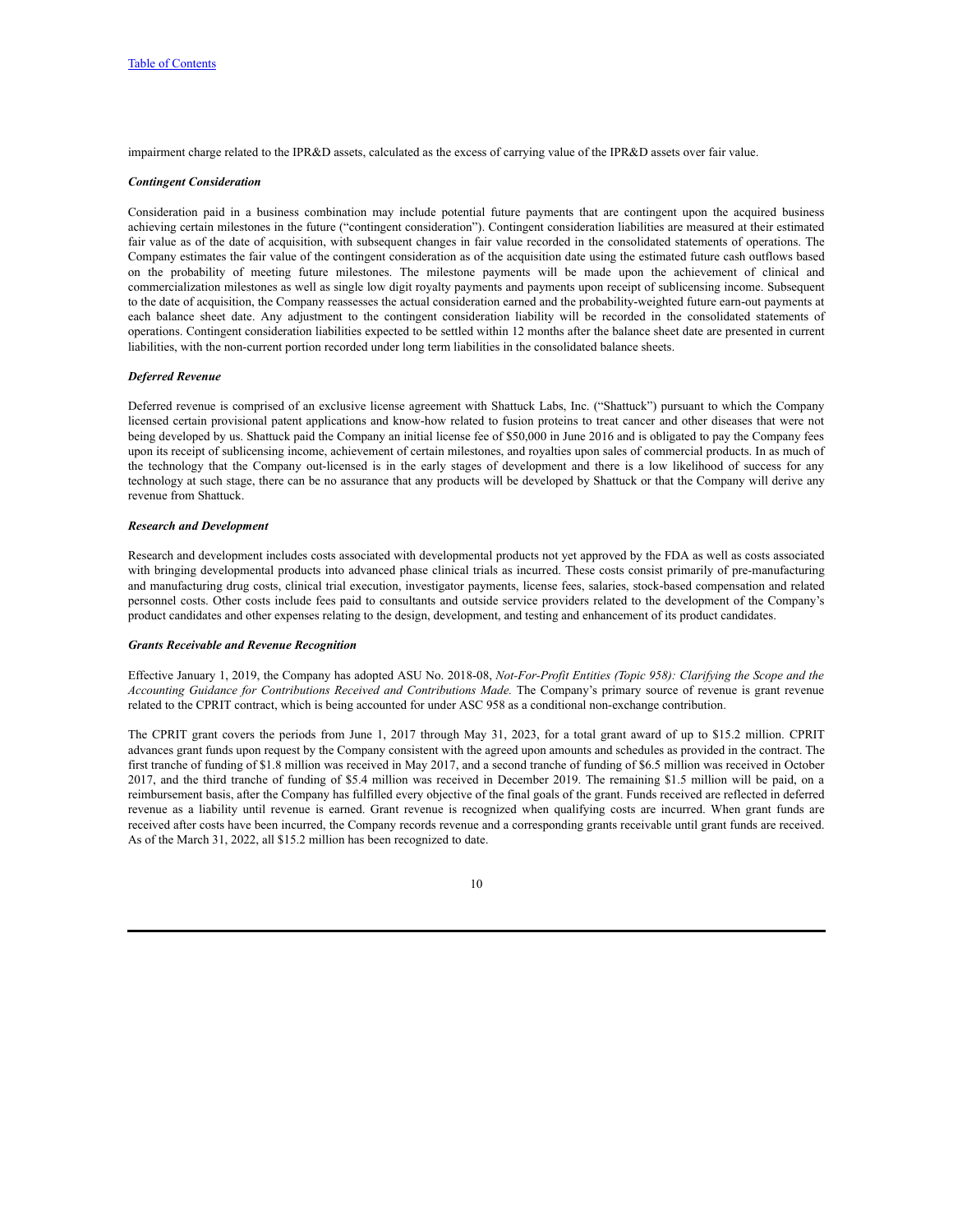impairment charge related to the IPR&D assets, calculated as the excess of carrying value of the IPR&D assets over fair value.

#### *Contingent Consideration*

Consideration paid in a business combination may include potential future payments that are contingent upon the acquired business achieving certain milestones in the future ("contingent consideration"). Contingent consideration liabilities are measured at their estimated fair value as of the date of acquisition, with subsequent changes in fair value recorded in the consolidated statements of operations. The Company estimates the fair value of the contingent consideration as of the acquisition date using the estimated future cash outflows based on the probability of meeting future milestones. The milestone payments will be made upon the achievement of clinical and commercialization milestones as well as single low digit royalty payments and payments upon receipt of sublicensing income. Subsequent to the date of acquisition, the Company reassesses the actual consideration earned and the probability-weighted future earn-out payments at each balance sheet date. Any adjustment to the contingent consideration liability will be recorded in the consolidated statements of operations. Contingent consideration liabilities expected to be settled within 12 months after the balance sheet date are presented in current liabilities, with the non-current portion recorded under long term liabilities in the consolidated balance sheets.

#### *Deferred Revenue*

Deferred revenue is comprised of an exclusive license agreement with Shattuck Labs, Inc. ("Shattuck") pursuant to which the Company licensed certain provisional patent applications and know-how related to fusion proteins to treat cancer and other diseases that were not being developed by us. Shattuck paid the Company an initial license fee of \$50,000 in June 2016 and is obligated to pay the Company fees upon its receipt of sublicensing income, achievement of certain milestones, and royalties upon sales of commercial products. In as much of the technology that the Company out-licensed is in the early stages of development and there is a low likelihood of success for any technology at such stage, there can be no assurance that any products will be developed by Shattuck or that the Company will derive any revenue from Shattuck.

#### *Research and Development*

Research and development includes costs associated with developmental products not yet approved by the FDA as well as costs associated with bringing developmental products into advanced phase clinical trials as incurred. These costs consist primarily of pre-manufacturing and manufacturing drug costs, clinical trial execution, investigator payments, license fees, salaries, stock-based compensation and related personnel costs. Other costs include fees paid to consultants and outside service providers related to the development of the Company's product candidates and other expenses relating to the design, development, and testing and enhancement of its product candidates.

#### *Grants Receivable and Revenue Recognition*

Effective January 1, 2019, the Company has adopted ASU No. 2018-08, *Not-For-Profit Entities (Topic 958): Clarifying the Scope and the Accounting Guidance for Contributions Received and Contributions Made.* The Company's primary source of revenue is grant revenue related to the CPRIT contract, which is being accounted for under ASC 958 as a conditional non-exchange contribution.

The CPRIT grant covers the periods from June 1, 2017 through May 31, 2023, for a total grant award of up to \$15.2 million. CPRIT advances grant funds upon request by the Company consistent with the agreed upon amounts and schedules as provided in the contract. The first tranche of funding of \$1.8 million was received in May 2017, and a second tranche of funding of \$6.5 million was received in October 2017, and the third tranche of funding of \$5.4 million was received in December 2019. The remaining \$1.5 million will be paid, on a reimbursement basis, after the Company has fulfilled every objective of the final goals of the grant. Funds received are reflected in deferred revenue as a liability until revenue is earned. Grant revenue is recognized when qualifying costs are incurred. When grant funds are received after costs have been incurred, the Company records revenue and a corresponding grants receivable until grant funds are received. As of the March 31, 2022, all \$15.2 million has been recognized to date.

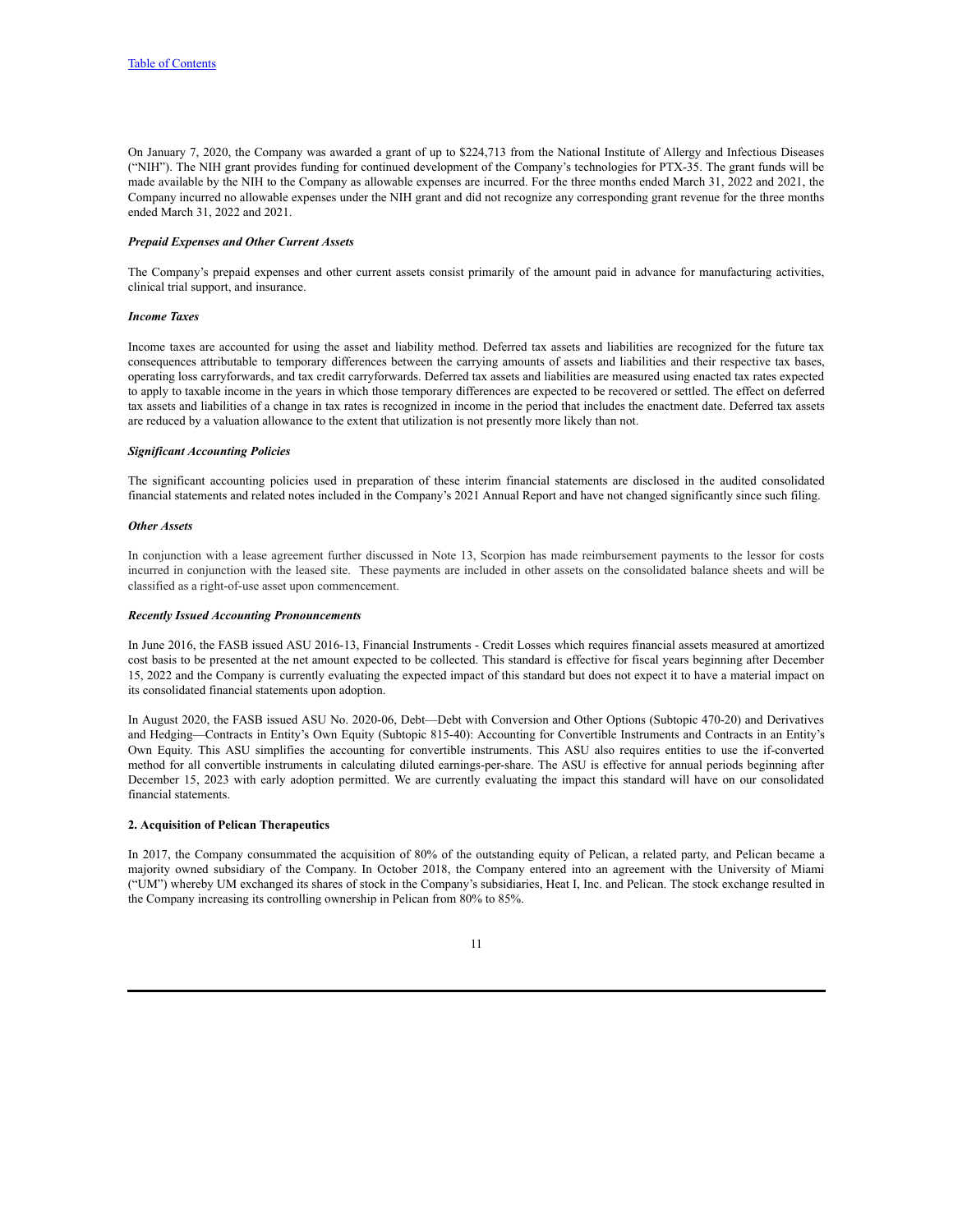On January 7, 2020, the Company was awarded a grant of up to \$224,713 from the National Institute of Allergy and Infectious Diseases ("NIH"). The NIH grant provides funding for continued development of the Company's technologies for PTX-35. The grant funds will be made available by the NIH to the Company as allowable expenses are incurred. For the three months ended March 31, 2022 and 2021, the Company incurred no allowable expenses under the NIH grant and did not recognize any corresponding grant revenue for the three months ended March 31, 2022 and 2021.

### *Prepaid Expenses and Other Current Assets*

The Company's prepaid expenses and other current assets consist primarily of the amount paid in advance for manufacturing activities, clinical trial support, and insurance.

#### *Income Taxes*

Income taxes are accounted for using the asset and liability method. Deferred tax assets and liabilities are recognized for the future tax consequences attributable to temporary differences between the carrying amounts of assets and liabilities and their respective tax bases, operating loss carryforwards, and tax credit carryforwards. Deferred tax assets and liabilities are measured using enacted tax rates expected to apply to taxable income in the years in which those temporary differences are expected to be recovered or settled. The effect on deferred tax assets and liabilities of a change in tax rates is recognized in income in the period that includes the enactment date. Deferred tax assets are reduced by a valuation allowance to the extent that utilization is not presently more likely than not.

#### *Significant Accounting Policies*

The significant accounting policies used in preparation of these interim financial statements are disclosed in the audited consolidated financial statements and related notes included in the Company's 2021 Annual Report and have not changed significantly since such filing.

#### *Other Assets*

In conjunction with a lease agreement further discussed in Note 13, Scorpion has made reimbursement payments to the lessor for costs incurred in conjunction with the leased site. These payments are included in other assets on the consolidated balance sheets and will be classified as a right-of-use asset upon commencement.

#### *Recently Issued Accounting Pronouncements*

In June 2016, the FASB issued ASU 2016-13, Financial Instruments - Credit Losses which requires financial assets measured at amortized cost basis to be presented at the net amount expected to be collected. This standard is effective for fiscal years beginning after December 15, 2022 and the Company is currently evaluating the expected impact of this standard but does not expect it to have a material impact on its consolidated financial statements upon adoption.

In August 2020, the FASB issued ASU No. 2020-06, Debt—Debt with Conversion and Other Options (Subtopic 470-20) and Derivatives and Hedging—Contracts in Entity's Own Equity (Subtopic 815-40): Accounting for Convertible Instruments and Contracts in an Entity's Own Equity. This ASU simplifies the accounting for convertible instruments. This ASU also requires entities to use the if-converted method for all convertible instruments in calculating diluted earnings-per-share. The ASU is effective for annual periods beginning after December 15, 2023 with early adoption permitted. We are currently evaluating the impact this standard will have on our consolidated financial statements.

#### **2. Acquisition of Pelican Therapeutics**

In 2017, the Company consummated the acquisition of 80% of the outstanding equity of Pelican, a related party, and Pelican became a majority owned subsidiary of the Company. In October 2018, the Company entered into an agreement with the University of Miami ("UM") whereby UM exchanged its shares of stock in the Company's subsidiaries, Heat I, Inc. and Pelican. The stock exchange resulted in the Company increasing its controlling ownership in Pelican from 80% to 85%.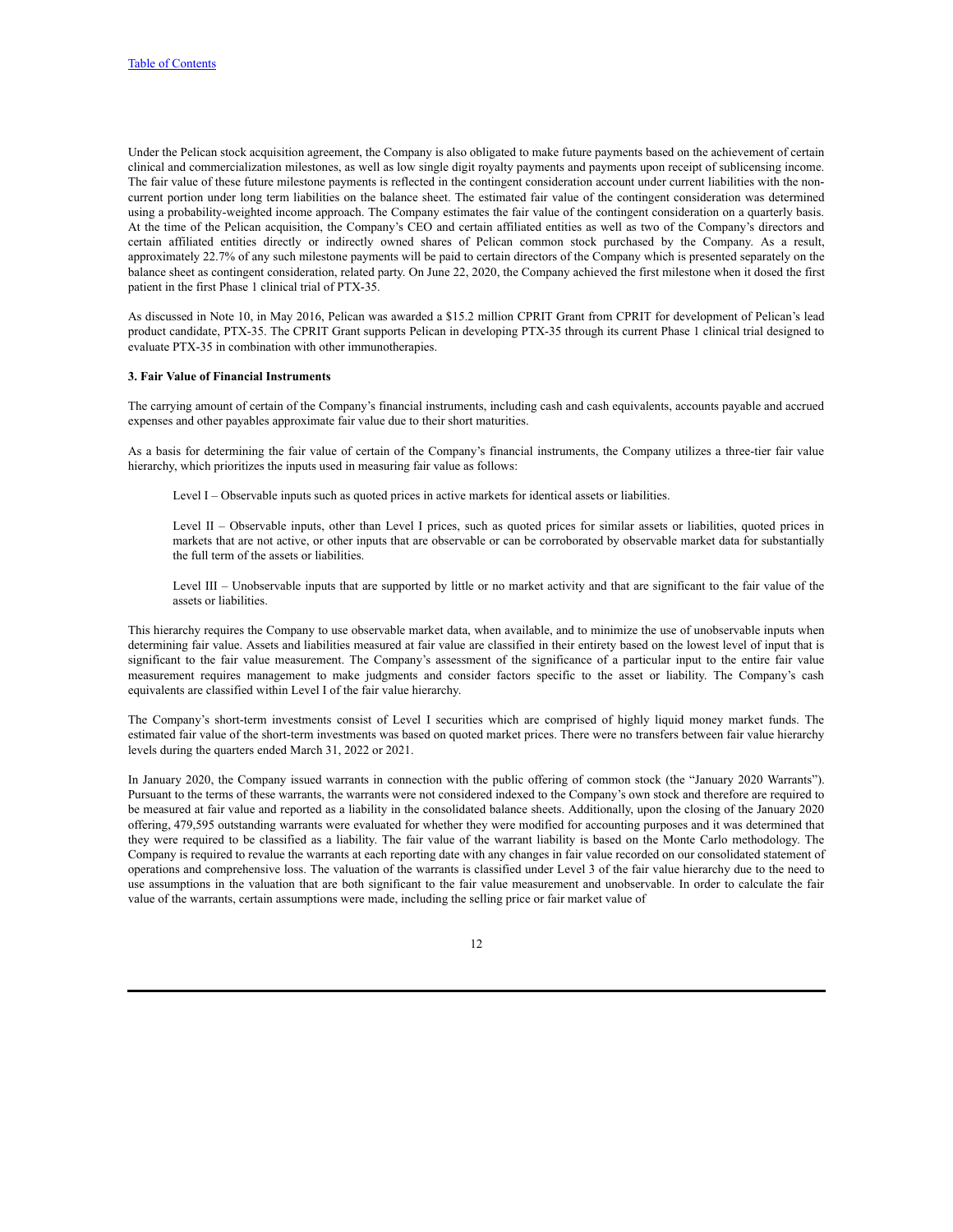Under the Pelican stock acquisition agreement, the Company is also obligated to make future payments based on the achievement of certain clinical and commercialization milestones, as well as low single digit royalty payments and payments upon receipt of sublicensing income. The fair value of these future milestone payments is reflected in the contingent consideration account under current liabilities with the noncurrent portion under long term liabilities on the balance sheet. The estimated fair value of the contingent consideration was determined using a probability-weighted income approach. The Company estimates the fair value of the contingent consideration on a quarterly basis. At the time of the Pelican acquisition, the Company's CEO and certain affiliated entities as well as two of the Company's directors and certain affiliated entities directly or indirectly owned shares of Pelican common stock purchased by the Company. As a result, approximately 22.7% of any such milestone payments will be paid to certain directors of the Company which is presented separately on the balance sheet as contingent consideration, related party. On June 22, 2020, the Company achieved the first milestone when it dosed the first patient in the first Phase 1 clinical trial of PTX-35.

As discussed in Note 10, in May 2016, Pelican was awarded a \$15.2 million CPRIT Grant from CPRIT for development of Pelican's lead product candidate, PTX-35. The CPRIT Grant supports Pelican in developing PTX-35 through its current Phase 1 clinical trial designed to evaluate PTX-35 in combination with other immunotherapies.

#### **3. Fair Value of Financial Instruments**

The carrying amount of certain of the Company's financial instruments, including cash and cash equivalents, accounts payable and accrued expenses and other payables approximate fair value due to their short maturities.

As a basis for determining the fair value of certain of the Company's financial instruments, the Company utilizes a three-tier fair value hierarchy, which prioritizes the inputs used in measuring fair value as follows:

Level I – Observable inputs such as quoted prices in active markets for identical assets or liabilities.

Level II – Observable inputs, other than Level I prices, such as quoted prices for similar assets or liabilities, quoted prices in markets that are not active, or other inputs that are observable or can be corroborated by observable market data for substantially the full term of the assets or liabilities.

Level III – Unobservable inputs that are supported by little or no market activity and that are significant to the fair value of the assets or liabilities.

This hierarchy requires the Company to use observable market data, when available, and to minimize the use of unobservable inputs when determining fair value. Assets and liabilities measured at fair value are classified in their entirety based on the lowest level of input that is significant to the fair value measurement. The Company's assessment of the significance of a particular input to the entire fair value measurement requires management to make judgments and consider factors specific to the asset or liability. The Company's cash equivalents are classified within Level I of the fair value hierarchy.

The Company's short-term investments consist of Level I securities which are comprised of highly liquid money market funds. The estimated fair value of the short-term investments was based on quoted market prices. There were no transfers between fair value hierarchy levels during the quarters ended March 31, 2022 or 2021.

In January 2020, the Company issued warrants in connection with the public offering of common stock (the "January 2020 Warrants"). Pursuant to the terms of these warrants, the warrants were not considered indexed to the Company's own stock and therefore are required to be measured at fair value and reported as a liability in the consolidated balance sheets. Additionally, upon the closing of the January 2020 offering, 479,595 outstanding warrants were evaluated for whether they were modified for accounting purposes and it was determined that they were required to be classified as a liability. The fair value of the warrant liability is based on the Monte Carlo methodology. The Company is required to revalue the warrants at each reporting date with any changes in fair value recorded on our consolidated statement of operations and comprehensive loss. The valuation of the warrants is classified under Level 3 of the fair value hierarchy due to the need to use assumptions in the valuation that are both significant to the fair value measurement and unobservable. In order to calculate the fair value of the warrants, certain assumptions were made, including the selling price or fair market value of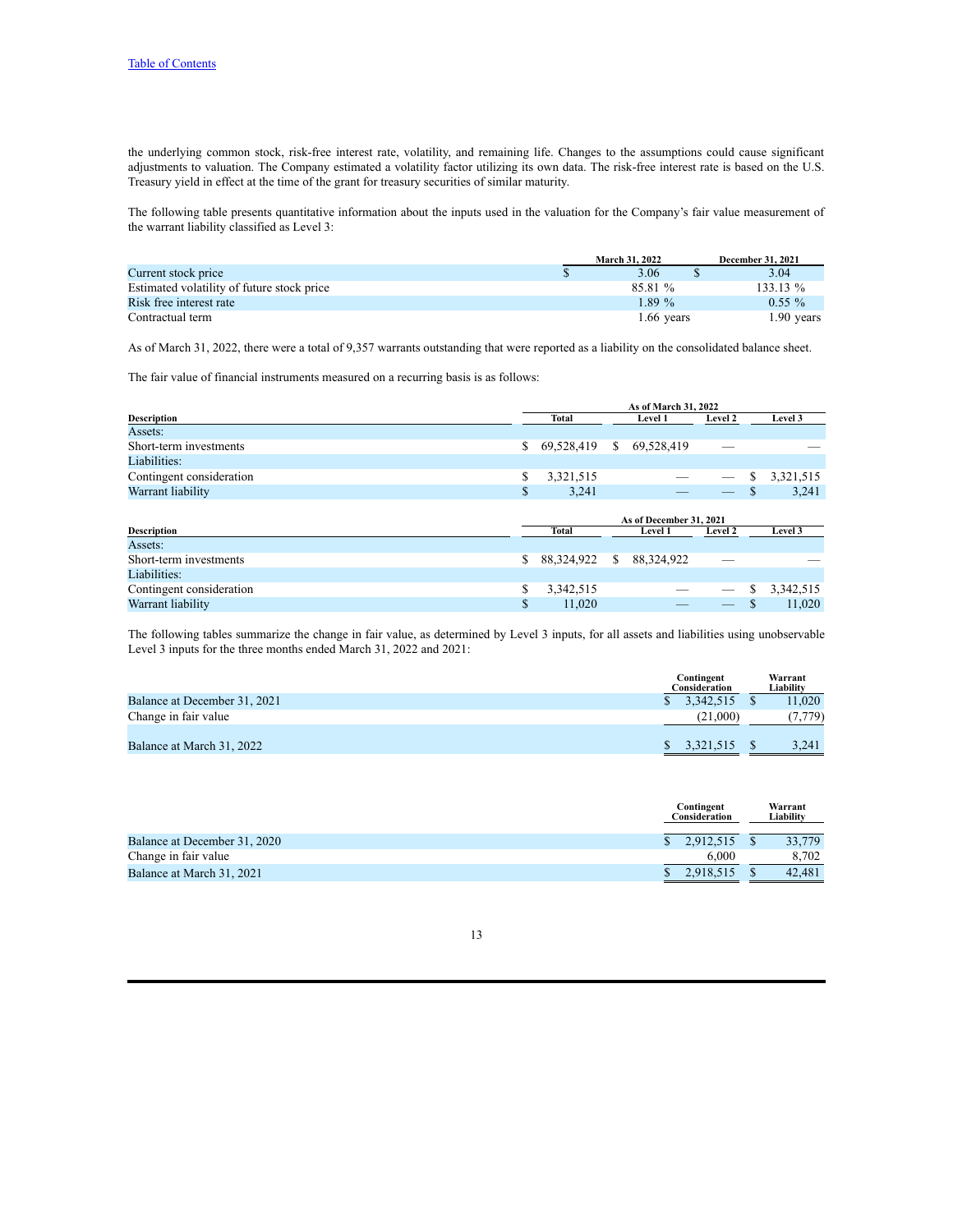the underlying common stock, risk-free interest rate, volatility, and remaining life. Changes to the assumptions could cause significant adjustments to valuation. The Company estimated a volatility factor utilizing its own data. The risk-free interest rate is based on the U.S. Treasury yield in effect at the time of the grant for treasury securities of similar maturity.

The following table presents quantitative information about the inputs used in the valuation for the Company's fair value measurement of the warrant liability classified as Level 3:

|                                            | <b>March 31, 2022</b> | <b>December 31, 2021</b> |
|--------------------------------------------|-----------------------|--------------------------|
| Current stock price                        | 3.06                  | 3.04                     |
| Estimated volatility of future stock price | 85.81 %               | $133.13\%$               |
| Risk free interest rate                    | 1.89%                 | $0.55\%$                 |
| Contractual term                           | $1.66$ years          | $1.90$ years             |

As of March 31, 2022, there were a total of 9,357 warrants outstanding that were reported as a liability on the consolidated balance sheet.

The fair value of financial instruments measured on a recurring basis is as follows:

|                          | As of March 31, 2022 |              |    |                         |         |    |           |
|--------------------------|----------------------|--------------|----|-------------------------|---------|----|-----------|
| <b>Description</b>       |                      | Total        |    | <b>Level 1</b>          | Level 2 |    | Level 3   |
| Assets:                  |                      |              |    |                         |         |    |           |
| Short-term investments   | \$                   | 69,528,419   | \$ | 69,528,419              |         |    |           |
| Liabilities:             |                      |              |    |                         |         |    |           |
| Contingent consideration | \$                   | 3,321,515    |    |                         |         | \$ | 3,321,515 |
| Warrant liability        | \$                   | 3,241        |    |                         |         | S  | 3,241     |
|                          |                      |              |    |                         |         |    |           |
|                          |                      |              |    |                         |         |    |           |
|                          |                      |              |    | As of December 31, 2021 |         |    |           |
| <b>Description</b>       |                      | <b>Total</b> |    | Level 1                 | Level 2 |    | Level 3   |
| Assets:                  |                      |              |    |                         |         |    |           |
| Short-term investments   | \$                   | 88,324,922   | S  | 88,324,922              |         |    |           |
| Liabilities:             |                      |              |    |                         |         |    |           |
| Contingent consideration | \$                   | 3,342,515    |    |                         |         | S  | 3,342,515 |

The following tables summarize the change in fair value, as determined by Level 3 inputs, for all assets and liabilities using unobservable Level 3 inputs for the three months ended March 31, 2022 and 2021:

|                              | Contingent<br>Consideration | Warrant<br>Liabilitv |
|------------------------------|-----------------------------|----------------------|
| Balance at December 31, 2021 | 3,342,515                   | 11.020               |
| Change in fair value         | (21.000)                    | (7,779)              |
| Balance at March 31, 2022    | 3.321.515                   | 3.241                |

|                              | Contingent<br>Consideration | Warrant<br>Liabilitv |        |
|------------------------------|-----------------------------|----------------------|--------|
| Balance at December 31, 2020 | 2.912.515                   |                      | 33,779 |
| Change in fair value         | 6.000                       |                      | 8.702  |
| Balance at March 31, 2021    | 2,918,515                   |                      | 42.481 |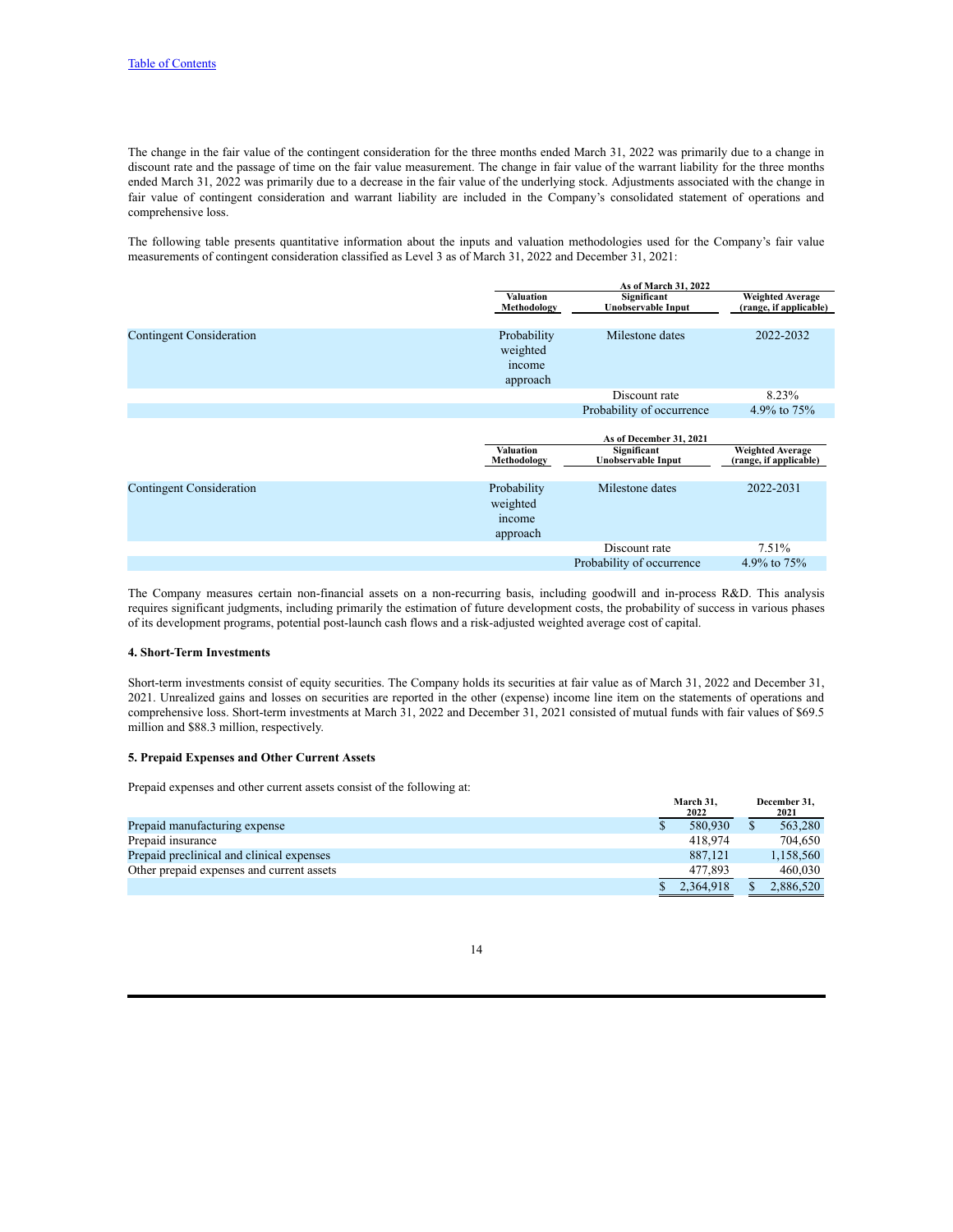The change in the fair value of the contingent consideration for the three months ended March 31, 2022 was primarily due to a change in discount rate and the passage of time on the fair value measurement. The change in fair value of the warrant liability for the three months ended March 31, 2022 was primarily due to a decrease in the fair value of the underlying stock. Adjustments associated with the change in fair value of contingent consideration and warrant liability are included in the Company's consolidated statement of operations and comprehensive loss.

The following table presents quantitative information about the inputs and valuation methodologies used for the Company's fair value measurements of contingent consideration classified as Level 3 as of March 31, 2022 and December 31, 2021:

|                                 |                                               | As of March 31, 2022                     |                                                   |  |  |  |
|---------------------------------|-----------------------------------------------|------------------------------------------|---------------------------------------------------|--|--|--|
|                                 | <b>Valuation</b><br>Methodology               | Significant<br>Unobservable Input        | <b>Weighted Average</b><br>(range, if applicable) |  |  |  |
|                                 |                                               |                                          |                                                   |  |  |  |
| <b>Contingent Consideration</b> | Probability<br>weighted<br>income<br>approach | Milestone dates                          | 2022-2032                                         |  |  |  |
|                                 |                                               | Discount rate                            | 8.23%                                             |  |  |  |
|                                 |                                               | Probability of occurrence                | 4.9% to 75%                                       |  |  |  |
|                                 |                                               | As of December 31, 2021                  |                                                   |  |  |  |
|                                 | <b>Valuation</b><br>Methodology               | Significant<br><b>Unobservable Input</b> | <b>Weighted Average</b><br>(range, if applicable) |  |  |  |
| <b>Contingent Consideration</b> | Probability<br>weighted<br>income<br>approach | Milestone dates                          | 2022-2031                                         |  |  |  |
|                                 |                                               | Discount rate                            | 7.51%                                             |  |  |  |
|                                 |                                               | Probability of occurrence                | 4.9% to 75%                                       |  |  |  |

The Company measures certain non-financial assets on a non-recurring basis, including goodwill and in-process R&D. This analysis requires significant judgments, including primarily the estimation of future development costs, the probability of success in various phases of its development programs, potential post-launch cash flows and a risk-adjusted weighted average cost of capital.

#### **4. Short-Term Investments**

Short-term investments consist of equity securities. The Company holds its securities at fair value as of March 31, 2022 and December 31, 2021. Unrealized gains and losses on securities are reported in the other (expense) income line item on the statements of operations and comprehensive loss. Short-term investments at March 31, 2022 and December 31, 2021 consisted of mutual funds with fair values of \$69.5 million and \$88.3 million, respectively.

#### **5. Prepaid Expenses and Other Current Assets**

Prepaid expenses and other current assets consist of the following at:

|                                           | March 31.<br>2022 | December 31.<br>2021 |
|-------------------------------------------|-------------------|----------------------|
| Prepaid manufacturing expense             | 580,930           | 563.280              |
| Prepaid insurance                         | 418.974           | 704.650              |
| Prepaid preclinical and clinical expenses | 887.121           | 1,158,560            |
| Other prepaid expenses and current assets | 477.893           | 460.030              |
|                                           | 2.364.918         | 2,886,520            |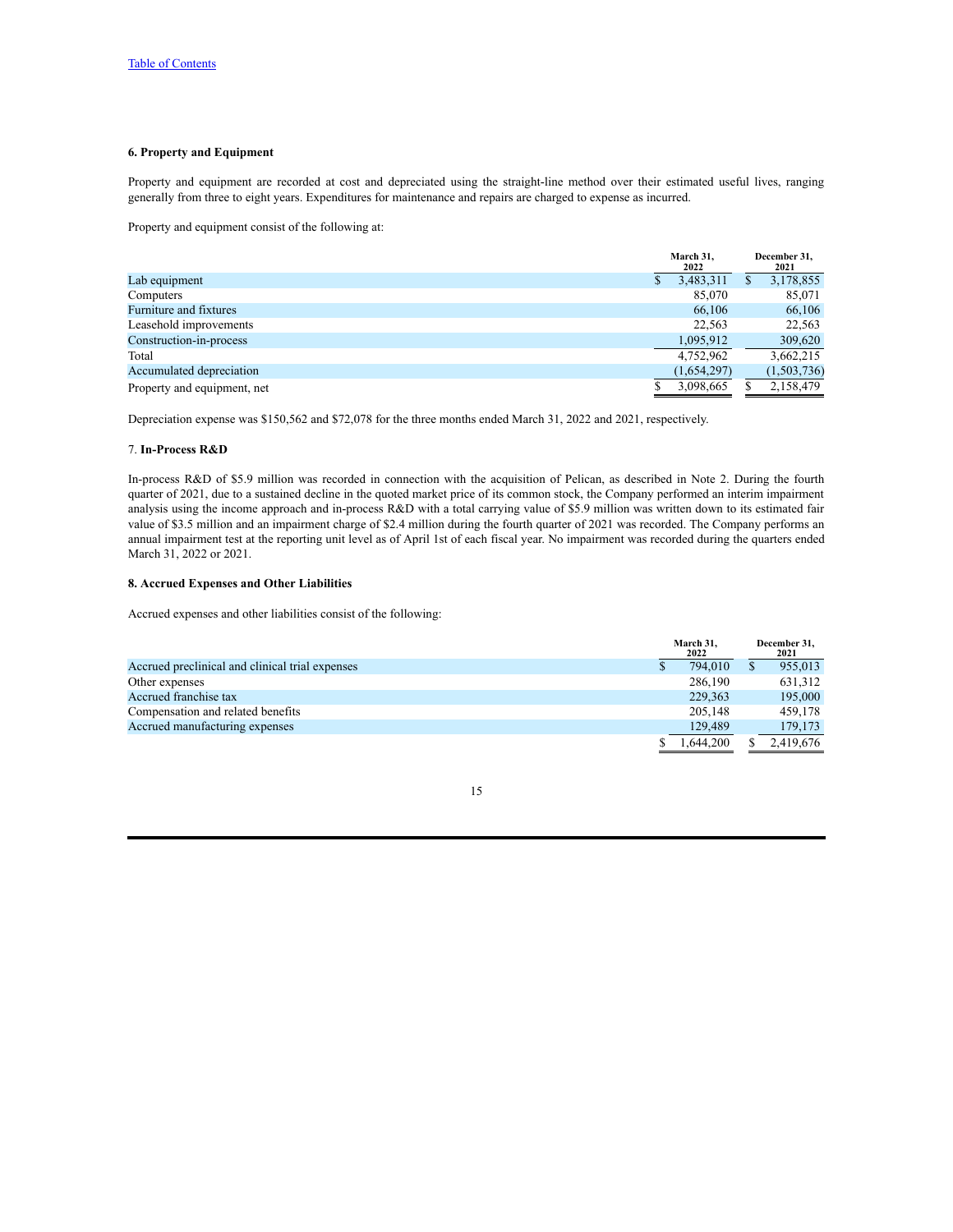## **6. Property and Equipment**

Property and equipment are recorded at cost and depreciated using the straight-line method over their estimated useful lives, ranging generally from three to eight years. Expenditures for maintenance and repairs are charged to expense as incurred.

Property and equipment consist of the following at:

|                             | March 31.<br>2022 |   | December 31,<br>2021 |  |
|-----------------------------|-------------------|---|----------------------|--|
| Lab equipment               | 3,483,311         | S | 3,178,855            |  |
| Computers                   | 85,070            |   | 85,071               |  |
| Furniture and fixtures      | 66.106            |   | 66,106               |  |
| Leasehold improvements      | 22.563            |   | 22,563               |  |
| Construction-in-process     | 1,095,912         |   | 309,620              |  |
| Total                       | 4.752.962         |   | 3,662,215            |  |
| Accumulated depreciation    | (1,654,297)       |   | (1,503,736)          |  |
| Property and equipment, net | 3,098,665         |   | 2,158,479            |  |

Depreciation expense was \$150,562 and \$72,078 for the three months ended March 31, 2022 and 2021, respectively.

#### 7. **In-Process R&D**

In-process R&D of \$5.9 million was recorded in connection with the acquisition of Pelican, as described in Note 2. During the fourth quarter of 2021, due to a sustained decline in the quoted market price of its common stock, the Company performed an interim impairment analysis using the income approach and in-process R&D with a total carrying value of \$5.9 million was written down to its estimated fair value of \$3.5 million and an impairment charge of \$2.4 million during the fourth quarter of 2021 was recorded. The Company performs an annual impairment test at the reporting unit level as of April 1st of each fiscal year. No impairment was recorded during the quarters ended March 31, 2022 or 2021.

## **8. Accrued Expenses and Other Liabilities**

Accrued expenses and other liabilities consist of the following:

|                                                 | March 31.<br>2022 |  | December 31.<br>2021 |
|-------------------------------------------------|-------------------|--|----------------------|
| Accrued preclinical and clinical trial expenses | 794.010           |  | 955,013              |
| Other expenses                                  | 286.190           |  | 631.312              |
| Accrued franchise tax                           | 229,363           |  | 195,000              |
| Compensation and related benefits               | 205.148           |  | 459.178              |
| Accrued manufacturing expenses                  | 129.489           |  | 179,173              |
|                                                 | 1.644.200         |  | 2.419.676            |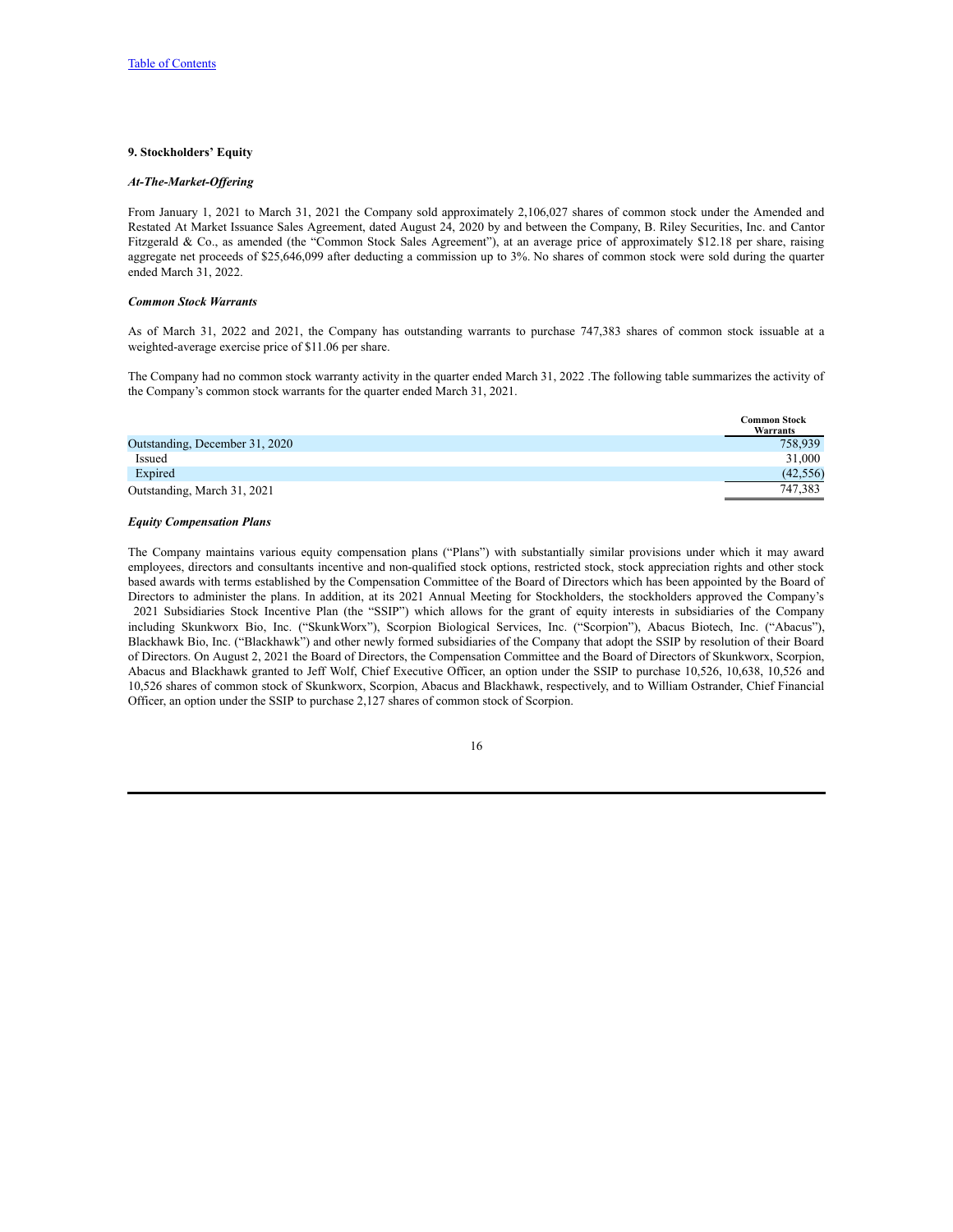#### **9. Stockholders' Equity**

#### *At-The-Market-Of ering*

From January 1, 2021 to March 31, 2021 the Company sold approximately 2,106,027 shares of common stock under the Amended and Restated At Market Issuance Sales Agreement, dated August 24, 2020 by and between the Company, B. Riley Securities, Inc. and Cantor Fitzgerald & Co., as amended (the "Common Stock Sales Agreement"), at an average price of approximately \$12.18 per share, raising aggregate net proceeds of \$25,646,099 after deducting a commission up to 3%. No shares of common stock were sold during the quarter ended March 31, 2022.

## *Common Stock Warrants*

As of March 31, 2022 and 2021, the Company has outstanding warrants to purchase 747,383 shares of common stock issuable at a weighted-average exercise price of \$11.06 per share.

The Company had no common stock warranty activity in the quarter ended March 31, 2022 .The following table summarizes the activity of the Company's common stock warrants for the quarter ended March 31, 2021.

 $\overline{C}$  **Stocks** 

|                                | Сошшоп моск<br>Warrants |
|--------------------------------|-------------------------|
| Outstanding, December 31, 2020 | 758.939                 |
| Issued                         | 31,000                  |
| Expired                        | (42, 556)               |
| Outstanding, March 31, 2021    | 747.383                 |

### *Equity Compensation Plans*

The Company maintains various equity compensation plans ("Plans") with substantially similar provisions under which it may award employees, directors and consultants incentive and non-qualified stock options, restricted stock, stock appreciation rights and other stock based awards with terms established by the Compensation Committee of the Board of Directors which has been appointed by the Board of Directors to administer the plans. In addition, at its 2021 Annual Meeting for Stockholders, the stockholders approved the Company's 2021 Subsidiaries Stock Incentive Plan (the "SSIP") which allows for the grant of equity interests in subsidiaries of the Company including Skunkworx Bio, Inc. ("SkunkWorx"), Scorpion Biological Services, Inc. ("Scorpion"), Abacus Biotech, Inc. ("Abacus"), Blackhawk Bio, Inc. ("Blackhawk") and other newly formed subsidiaries of the Company that adopt the SSIP by resolution of their Board of Directors. On August 2, 2021 the Board of Directors, the Compensation Committee and the Board of Directors of Skunkworx, Scorpion, Abacus and Blackhawk granted to Jeff Wolf, Chief Executive Officer, an option under the SSIP to purchase 10,526, 10,638, 10,526 and 10,526 shares of common stock of Skunkworx, Scorpion, Abacus and Blackhawk, respectively, and to William Ostrander, Chief Financial Officer, an option under the SSIP to purchase 2,127 shares of common stock of Scorpion.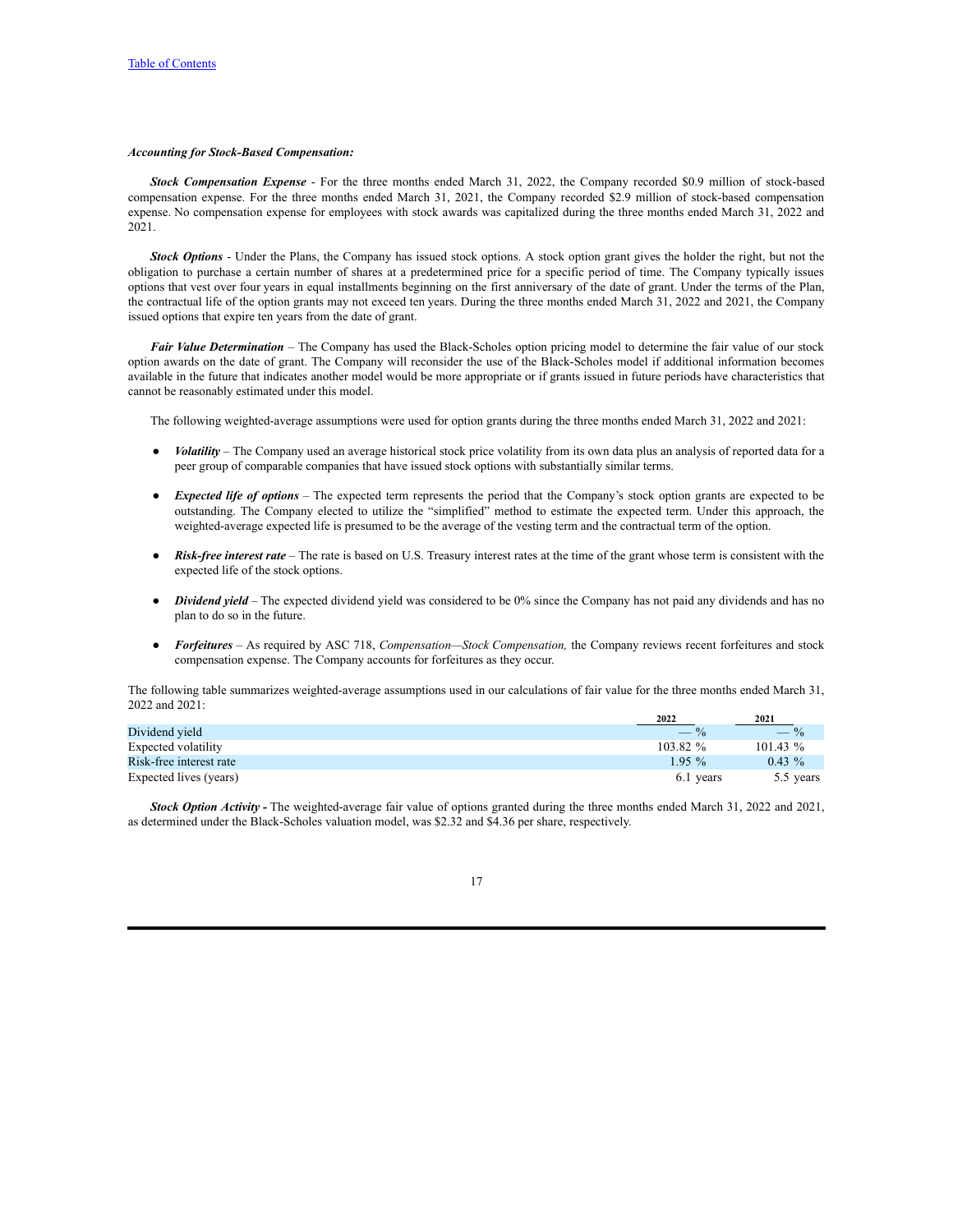#### *Accounting for Stock-Based Compensation:*

*Stock Compensation Expense* - For the three months ended March 31, 2022, the Company recorded \$0.9 million of stock-based compensation expense. For the three months ended March 31, 2021, the Company recorded \$2.9 million of stock-based compensation expense. No compensation expense for employees with stock awards was capitalized during the three months ended March 31, 2022 and 2021.

*Stock Options* - Under the Plans, the Company has issued stock options. A stock option grant gives the holder the right, but not the obligation to purchase a certain number of shares at a predetermined price for a specific period of time. The Company typically issues options that vest over four years in equal installments beginning on the first anniversary of the date of grant. Under the terms of the Plan, the contractual life of the option grants may not exceed ten years. During the three months ended March 31, 2022 and 2021, the Company issued options that expire ten years from the date of grant.

*Fair Value Determination* – The Company has used the Black-Scholes option pricing model to determine the fair value of our stock option awards on the date of grant. The Company will reconsider the use of the Black-Scholes model if additional information becomes available in the future that indicates another model would be more appropriate or if grants issued in future periods have characteristics that cannot be reasonably estimated under this model.

The following weighted-average assumptions were used for option grants during the three months ended March 31, 2022 and 2021:

- Volatility The Company used an average historical stock price volatility from its own data plus an analysis of reported data for a peer group of comparable companies that have issued stock options with substantially similar terms.
- *Expected life of options* The expected term represents the period that the Company's stock option grants are expected to be outstanding. The Company elected to utilize the "simplified" method to estimate the expected term. Under this approach, the weighted-average expected life is presumed to be the average of the vesting term and the contractual term of the option.
- *Risk-free interest rate –* The rate is based on U.S. Treasury interest rates at the time of the grant whose term is consistent with the expected life of the stock options.
- *Dividend yield* The expected dividend yield was considered to be 0% since the Company has not paid any dividends and has no plan to do so in the future.
- *Forfeitures –* As required by ASC 718, *Compensation—Stock Compensation,* the Company reviews recent forfeitures and stock compensation expense. The Company accounts for forfeitures as they occur.

The following table summarizes weighted-average assumptions used in our calculations of fair value for the three months ended March 31, 2022 and 2021:

|                         | 2022        | 2021       |
|-------------------------|-------------|------------|
| Dividend vield          | $-$ %       | $-$ %      |
| Expected volatility     | $103.82 \%$ | $101.43\%$ |
| Risk-free interest rate | $195\%$     | $0.43 \%$  |
| Expected lives (years)  | 6.1 years   | 5.5 years  |

*Stock Option Activity -* The weighted-average fair value of options granted during the three months ended March 31, 2022 and 2021, as determined under the Black-Scholes valuation model, was \$2.32 and \$4.36 per share, respectively.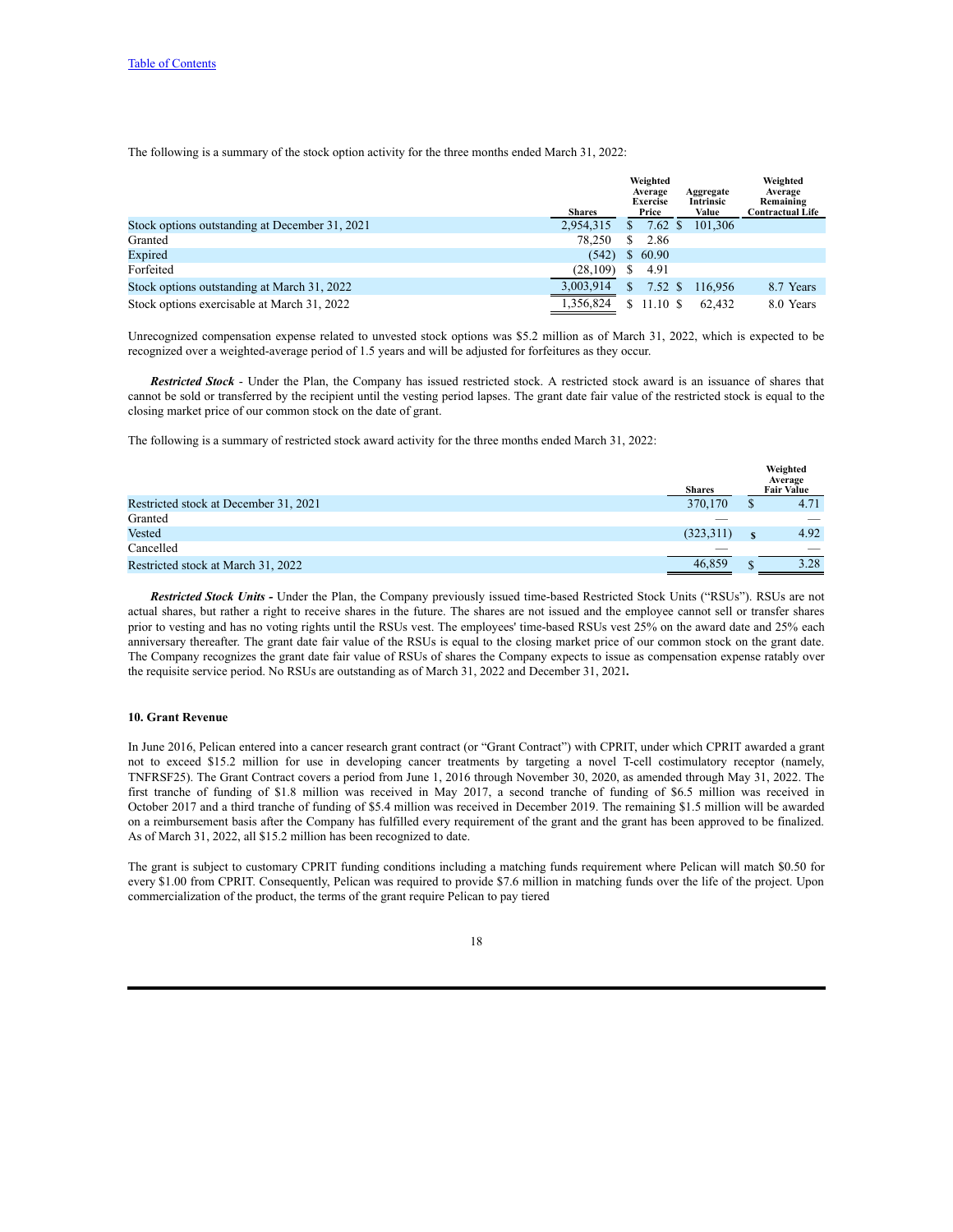The following is a summary of the stock option activity for the three months ended March 31, 2022:

|                                                | <b>Shares</b> |              | Weighted<br>Average<br><b>Exercise</b><br>Price | Aggregate<br>Intrinsic<br>Value | Weighted<br>Average<br>Remaining<br><b>Contractual Life</b> |
|------------------------------------------------|---------------|--------------|-------------------------------------------------|---------------------------------|-------------------------------------------------------------|
| Stock options outstanding at December 31, 2021 | 2,954,315     | S.           | $7.62~{\rm s}$                                  | 101.306                         |                                                             |
| Granted                                        | 78.250        | S.           | 2.86                                            |                                 |                                                             |
| Expired                                        | (542)         |              | \$60.90                                         |                                 |                                                             |
| Forfeited                                      | (28, 109)     |              | 4.91                                            |                                 |                                                             |
| Stock options outstanding at March 31, 2022    | 3,003,914     | $\mathbb{S}$ | $7.52 \text{ }$ \$                              | 116.956                         | 8.7 Years                                                   |
| Stock options exercisable at March 31, 2022    | 1,356,824     |              | \$11.10S                                        | 62.432                          | 8.0 Years                                                   |

Unrecognized compensation expense related to unvested stock options was \$5.2 million as of March 31, 2022, which is expected to be recognized over a weighted-average period of 1.5 years and will be adjusted for forfeitures as they occur.

*Restricted Stock* - Under the Plan, the Company has issued restricted stock. A restricted stock award is an issuance of shares that cannot be sold or transferred by the recipient until the vesting period lapses. The grant date fair value of the restricted stock is equal to the closing market price of our common stock on the date of grant.

The following is a summary of restricted stock award activity for the three months ended March 31, 2022:

|                                       | <b>Shares</b> |   | Weighted<br>Average<br><b>Fair Value</b> |
|---------------------------------------|---------------|---|------------------------------------------|
| Restricted stock at December 31, 2021 | 370,170       | D | 4.71                                     |
| Granted                               |               |   |                                          |
| Vested                                | (323, 311)    |   | 4.92                                     |
| Cancelled                             |               |   |                                          |
| Restricted stock at March 31, 2022    | 46.859        |   | 3.28                                     |

*Restricted Stock Units -* Under the Plan, the Company previously issued time-based Restricted Stock Units ("RSUs"). RSUs are not actual shares, but rather a right to receive shares in the future. The shares are not issued and the employee cannot sell or transfer shares prior to vesting and has no voting rights until the RSUs vest. The employees' time-based RSUs vest 25% on the award date and 25% each anniversary thereafter. The grant date fair value of the RSUs is equal to the closing market price of our common stock on the grant date. The Company recognizes the grant date fair value of RSUs of shares the Company expects to issue as compensation expense ratably over the requisite service period. No RSUs are outstanding as of March 31, 2022 and December 31, 2021*.*

#### **10. Grant Revenue**

In June 2016, Pelican entered into a cancer research grant contract (or "Grant Contract") with CPRIT, under which CPRIT awarded a grant not to exceed \$15.2 million for use in developing cancer treatments by targeting a novel T-cell costimulatory receptor (namely, TNFRSF25). The Grant Contract covers a period from June 1, 2016 through November 30, 2020, as amended through May 31, 2022. The first tranche of funding of \$1.8 million was received in May 2017, a second tranche of funding of \$6.5 million was received in October 2017 and a third tranche of funding of \$5.4 million was received in December 2019. The remaining \$1.5 million will be awarded on a reimbursement basis after the Company has fulfilled every requirement of the grant and the grant has been approved to be finalized. As of March 31, 2022, all \$15.2 million has been recognized to date.

The grant is subject to customary CPRIT funding conditions including a matching funds requirement where Pelican will match \$0.50 for every \$1.00 from CPRIT. Consequently, Pelican was required to provide \$7.6 million in matching funds over the life of the project. Upon commercialization of the product, the terms of the grant require Pelican to pay tiered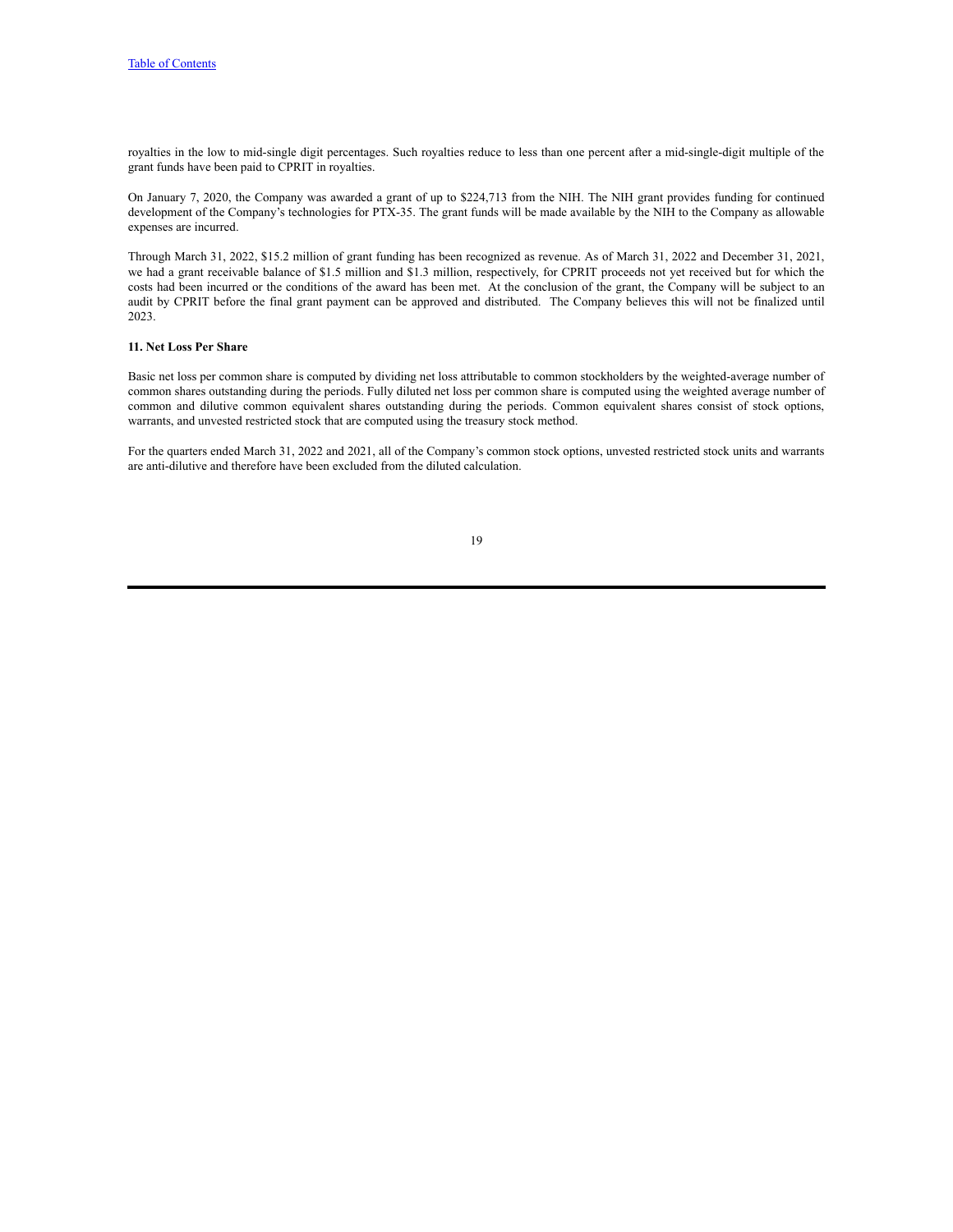royalties in the low to mid-single digit percentages. Such royalties reduce to less than one percent after a mid-single-digit multiple of the grant funds have been paid to CPRIT in royalties.

On January 7, 2020, the Company was awarded a grant of up to \$224,713 from the NIH. The NIH grant provides funding for continued development of the Company's technologies for PTX-35. The grant funds will be made available by the NIH to the Company as allowable expenses are incurred.

Through March 31, 2022, \$15.2 million of grant funding has been recognized as revenue. As of March 31, 2022 and December 31, 2021, we had a grant receivable balance of \$1.5 million and \$1.3 million, respectively, for CPRIT proceeds not yet received but for which the costs had been incurred or the conditions of the award has been met. At the conclusion of the grant, the Company will be subject to an audit by CPRIT before the final grant payment can be approved and distributed. The Company believes this will not be finalized until 2023.

#### **11. Net Loss Per Share**

Basic net loss per common share is computed by dividing net loss attributable to common stockholders by the weighted-average number of common shares outstanding during the periods. Fully diluted net loss per common share is computed using the weighted average number of common and dilutive common equivalent shares outstanding during the periods. Common equivalent shares consist of stock options, warrants, and unvested restricted stock that are computed using the treasury stock method.

For the quarters ended March 31, 2022 and 2021, all of the Company's common stock options, unvested restricted stock units and warrants are anti-dilutive and therefore have been excluded from the diluted calculation.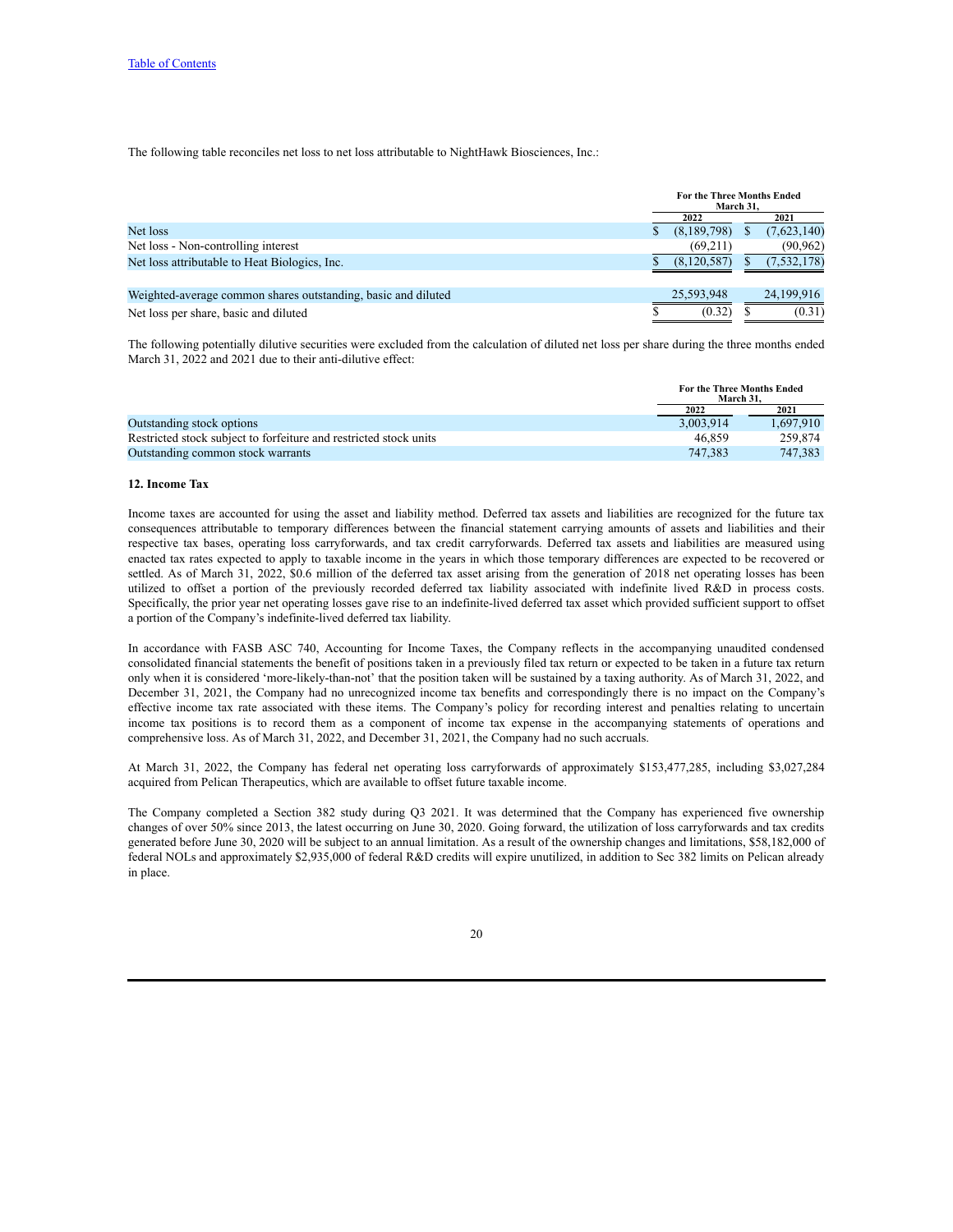The following table reconciles net loss to net loss attributable to NightHawk Biosciences, Inc.:

|                                                               | <b>For the Three Months Ended</b><br>March 31. |             |  |               |
|---------------------------------------------------------------|------------------------------------------------|-------------|--|---------------|
|                                                               |                                                | 2022        |  | 2021          |
| Net loss                                                      |                                                | (8,189,798) |  | (7,623,140)   |
| Net loss - Non-controlling interest                           |                                                | (69,211)    |  | (90, 962)     |
| Net loss attributable to Heat Biologics, Inc.                 |                                                | (8.120.587) |  | (7, 532, 178) |
|                                                               |                                                |             |  |               |
| Weighted-average common shares outstanding, basic and diluted |                                                | 25.593.948  |  | 24.199.916    |
| Net loss per share, basic and diluted                         |                                                | (0.32)      |  | (0.31)        |

The following potentially dilutive securities were excluded from the calculation of diluted net loss per share during the three months ended March 31, 2022 and 2021 due to their anti-dilutive effect:

|                                                                   | March 31. | <b>For the Three Months Ended</b> |
|-------------------------------------------------------------------|-----------|-----------------------------------|
|                                                                   | 2022      | 2021                              |
| Outstanding stock options                                         | 3.003.914 | 1.697.910                         |
| Restricted stock subject to forfeiture and restricted stock units | 46.859    | 259.874                           |
| Outstanding common stock warrants                                 | 747.383   | 747.383                           |

#### **12. Income Tax**

Income taxes are accounted for using the asset and liability method. Deferred tax assets and liabilities are recognized for the future tax consequences attributable to temporary differences between the financial statement carrying amounts of assets and liabilities and their respective tax bases, operating loss carryforwards, and tax credit carryforwards. Deferred tax assets and liabilities are measured using enacted tax rates expected to apply to taxable income in the years in which those temporary differences are expected to be recovered or settled. As of March 31, 2022, \$0.6 million of the deferred tax asset arising from the generation of 2018 net operating losses has been utilized to offset a portion of the previously recorded deferred tax liability associated with indefinite lived R&D in process costs. Specifically, the prior year net operating losses gave rise to an indefinite-lived deferred tax asset which provided sufficient support to offset a portion of the Company's indefinite-lived deferred tax liability.

In accordance with FASB ASC 740, Accounting for Income Taxes, the Company reflects in the accompanying unaudited condensed consolidated financial statements the benefit of positions taken in a previously filed tax return or expected to be taken in a future tax return only when it is considered 'more-likely-than-not' that the position taken will be sustained by a taxing authority. As of March 31, 2022, and December 31, 2021, the Company had no unrecognized income tax benefits and correspondingly there is no impact on the Company's effective income tax rate associated with these items. The Company's policy for recording interest and penalties relating to uncertain income tax positions is to record them as a component of income tax expense in the accompanying statements of operations and comprehensive loss. As of March 31, 2022, and December 31, 2021, the Company had no such accruals.

At March 31, 2022, the Company has federal net operating loss carryforwards of approximately \$153,477,285, including \$3,027,284 acquired from Pelican Therapeutics, which are available to offset future taxable income.

The Company completed a Section 382 study during Q3 2021. It was determined that the Company has experienced five ownership changes of over 50% since 2013, the latest occurring on June 30, 2020. Going forward, the utilization of loss carryforwards and tax credits generated before June 30, 2020 will be subject to an annual limitation. As a result of the ownership changes and limitations, \$58,182,000 of federal NOLs and approximately \$2,935,000 of federal R&D credits will expire unutilized, in addition to Sec 382 limits on Pelican already in place.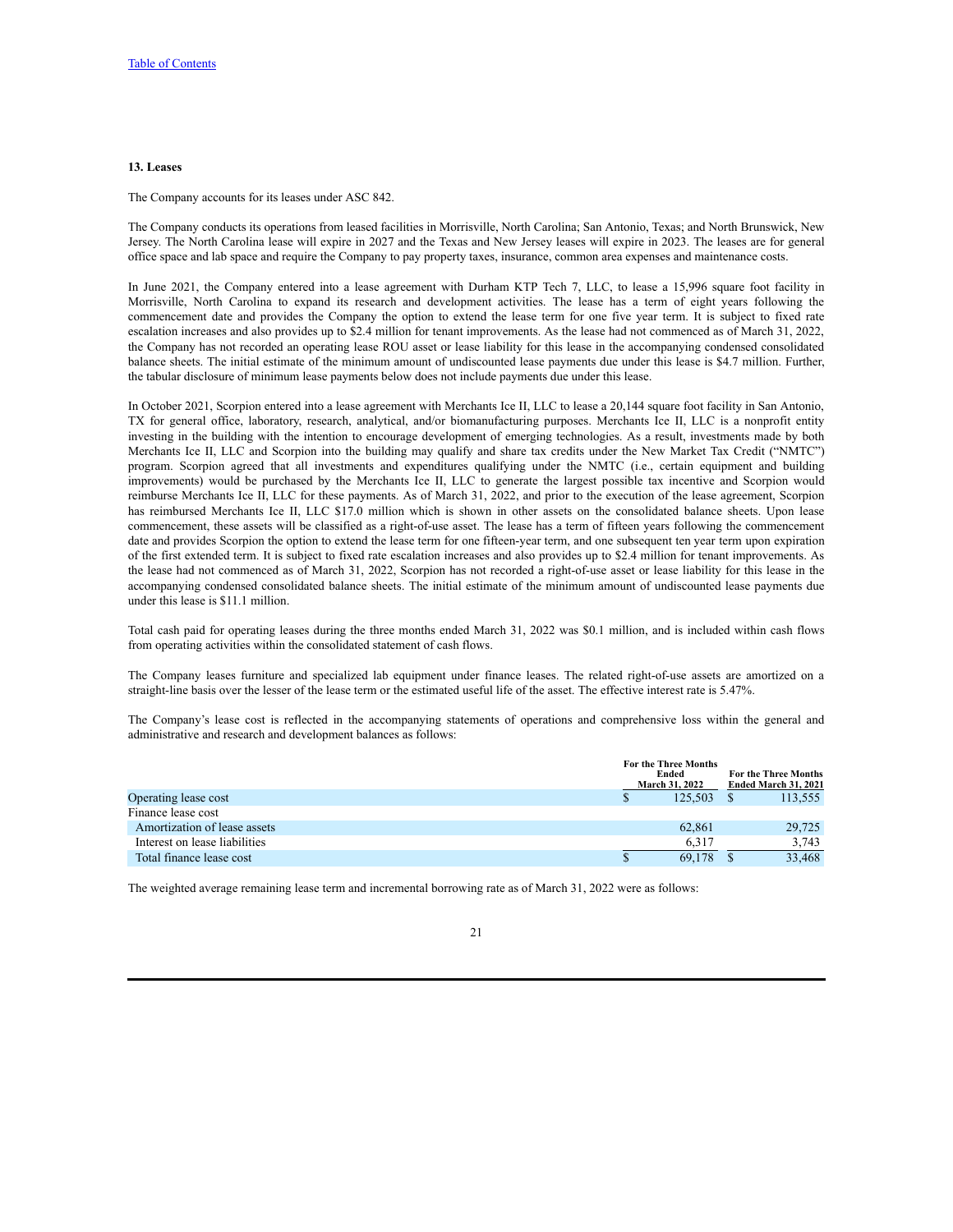#### **13. Leases**

The Company accounts for its leases under ASC 842.

The Company conducts its operations from leased facilities in Morrisville, North Carolina; San Antonio, Texas; and North Brunswick, New Jersey. The North Carolina lease will expire in 2027 and the Texas and New Jersey leases will expire in 2023. The leases are for general office space and lab space and require the Company to pay property taxes, insurance, common area expenses and maintenance costs.

In June 2021, the Company entered into a lease agreement with Durham KTP Tech 7, LLC, to lease a 15,996 square foot facility in Morrisville, North Carolina to expand its research and development activities. The lease has a term of eight years following the commencement date and provides the Company the option to extend the lease term for one five year term. It is subject to fixed rate escalation increases and also provides up to \$2.4 million for tenant improvements. As the lease had not commenced as of March 31, 2022, the Company has not recorded an operating lease ROU asset or lease liability for this lease in the accompanying condensed consolidated balance sheets. The initial estimate of the minimum amount of undiscounted lease payments due under this lease is \$4.7 million. Further, the tabular disclosure of minimum lease payments below does not include payments due under this lease.

In October 2021, Scorpion entered into a lease agreement with Merchants Ice II, LLC to lease a 20,144 square foot facility in San Antonio, TX for general office, laboratory, research, analytical, and/or biomanufacturing purposes. Merchants Ice II, LLC is a nonprofit entity investing in the building with the intention to encourage development of emerging technologies. As a result, investments made by both Merchants Ice II, LLC and Scorpion into the building may qualify and share tax credits under the New Market Tax Credit ("NMTC") program. Scorpion agreed that all investments and expenditures qualifying under the NMTC (i.e., certain equipment and building improvements) would be purchased by the Merchants Ice II, LLC to generate the largest possible tax incentive and Scorpion would reimburse Merchants Ice II, LLC for these payments. As of March 31, 2022, and prior to the execution of the lease agreement, Scorpion has reimbursed Merchants Ice II, LLC \$17.0 million which is shown in other assets on the consolidated balance sheets. Upon lease commencement, these assets will be classified as a right-of-use asset. The lease has a term of fifteen years following the commencement date and provides Scorpion the option to extend the lease term for one fifteen-year term, and one subsequent ten year term upon expiration of the first extended term. It is subject to fixed rate escalation increases and also provides up to \$2.4 million for tenant improvements. As the lease had not commenced as of March 31, 2022, Scorpion has not recorded a right-of-use asset or lease liability for this lease in the accompanying condensed consolidated balance sheets. The initial estimate of the minimum amount of undiscounted lease payments due under this lease is \$11.1 million.

Total cash paid for operating leases during the three months ended March 31, 2022 was \$0.1 million, and is included within cash flows from operating activities within the consolidated statement of cash flows.

The Company leases furniture and specialized lab equipment under finance leases. The related right-of-use assets are amortized on a straight-line basis over the lesser of the lease term or the estimated useful life of the asset. The effective interest rate is 5.47%.

The Company's lease cost is reflected in the accompanying statements of operations and comprehensive loss within the general and administrative and research and development balances as follows:

|                               | <b>For the Three Months</b><br>Ended<br><b>March 31, 2022</b> | <b>For the Three Months</b><br>Ended March 31, 2021 |
|-------------------------------|---------------------------------------------------------------|-----------------------------------------------------|
| Operating lease cost          | 125.503                                                       | 113,555                                             |
| Finance lease cost            |                                                               |                                                     |
| Amortization of lease assets  | 62.861                                                        | 29,725                                              |
| Interest on lease liabilities | 6.317                                                         | 3,743                                               |
| Total finance lease cost      | 69.178                                                        | 33.468                                              |

The weighted average remaining lease term and incremental borrowing rate as of March 31, 2022 were as follows: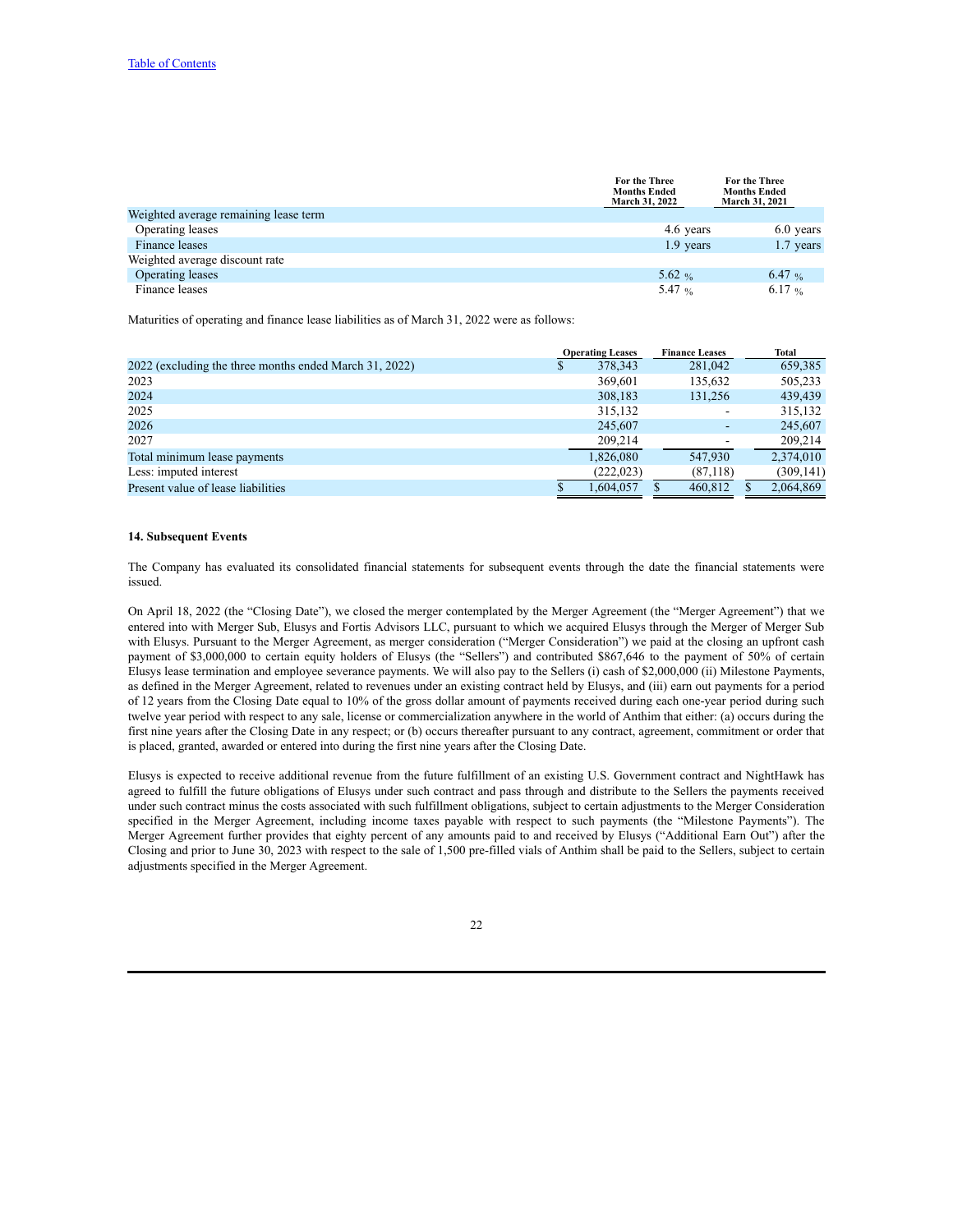|                                       | <b>For the Three</b><br><b>Months Ended</b><br><b>March 31, 2022</b> | <b>For the Three</b><br><b>Months Ended</b><br><b>March 31, 2021</b> |
|---------------------------------------|----------------------------------------------------------------------|----------------------------------------------------------------------|
| Weighted average remaining lease term |                                                                      |                                                                      |
| Operating leases                      | 4.6 years                                                            | 6.0 years                                                            |
| Finance leases                        | 1.9 years                                                            | 1.7 years                                                            |
| Weighted average discount rate        |                                                                      |                                                                      |
| Operating leases                      | 5.62 %                                                               | 6.47 %                                                               |
| Finance leases                        | 5.47 $\frac{6}{96}$                                                  | 6.17 %                                                               |

Maturities of operating and finance lease liabilities as of March 31, 2022 were as follows:

|                                                        |    | <b>Operating Leases</b> | <b>Finance Leases</b> | <b>Total</b> |
|--------------------------------------------------------|----|-------------------------|-----------------------|--------------|
| 2022 (excluding the three months ended March 31, 2022) | S. | 378,343                 | 281,042               | 659,385      |
| 2023                                                   |    | 369,601                 | 135,632               | 505,233      |
| 2024                                                   |    | 308,183                 | 131.256               | 439,439      |
| 2025                                                   |    | 315,132                 | ٠                     | 315,132      |
| 2026                                                   |    | 245,607                 |                       | 245,607      |
| 2027                                                   |    | 209.214                 |                       | 209,214      |
| Total minimum lease payments                           |    | 1.826.080               | 547.930               | 2,374,010    |
| Less: imputed interest                                 |    | (222.023)               | (87,118)              | (309, 141)   |
| Present value of lease liabilities                     | S  | 1.604.057               | 460.812               | 2,064,869    |

#### **14. Subsequent Events**

The Company has evaluated its consolidated financial statements for subsequent events through the date the financial statements were issued.

On April 18, 2022 (the "Closing Date"), we closed the merger contemplated by the Merger Agreement (the "Merger Agreement") that we entered into with Merger Sub, Elusys and Fortis Advisors LLC, pursuant to which we acquired Elusys through the Merger of Merger Sub with Elusys. Pursuant to the Merger Agreement, as merger consideration ("Merger Consideration") we paid at the closing an upfront cash payment of \$3,000,000 to certain equity holders of Elusys (the "Sellers") and contributed \$867,646 to the payment of 50% of certain Elusys lease termination and employee severance payments. We will also pay to the Sellers (i) cash of \$2,000,000 (ii) Milestone Payments, as defined in the Merger Agreement, related to revenues under an existing contract held by Elusys, and (iii) earn out payments for a period of 12 years from the Closing Date equal to 10% of the gross dollar amount of payments received during each one-year period during such twelve year period with respect to any sale, license or commercialization anywhere in the world of Anthim that either: (a) occurs during the first nine years after the Closing Date in any respect; or (b) occurs thereafter pursuant to any contract, agreement, commitment or order that is placed, granted, awarded or entered into during the first nine years after the Closing Date.

Elusys is expected to receive additional revenue from the future fulfillment of an existing U.S. Government contract and NightHawk has agreed to fulfill the future obligations of Elusys under such contract and pass through and distribute to the Sellers the payments received under such contract minus the costs associated with such fulfillment obligations, subject to certain adjustments to the Merger Consideration specified in the Merger Agreement, including income taxes payable with respect to such payments (the "Milestone Payments"). The Merger Agreement further provides that eighty percent of any amounts paid to and received by Elusys ("Additional Earn Out") after the Closing and prior to June 30, 2023 with respect to the sale of 1,500 pre-filled vials of Anthim shall be paid to the Sellers, subject to certain adjustments specified in the Merger Agreement.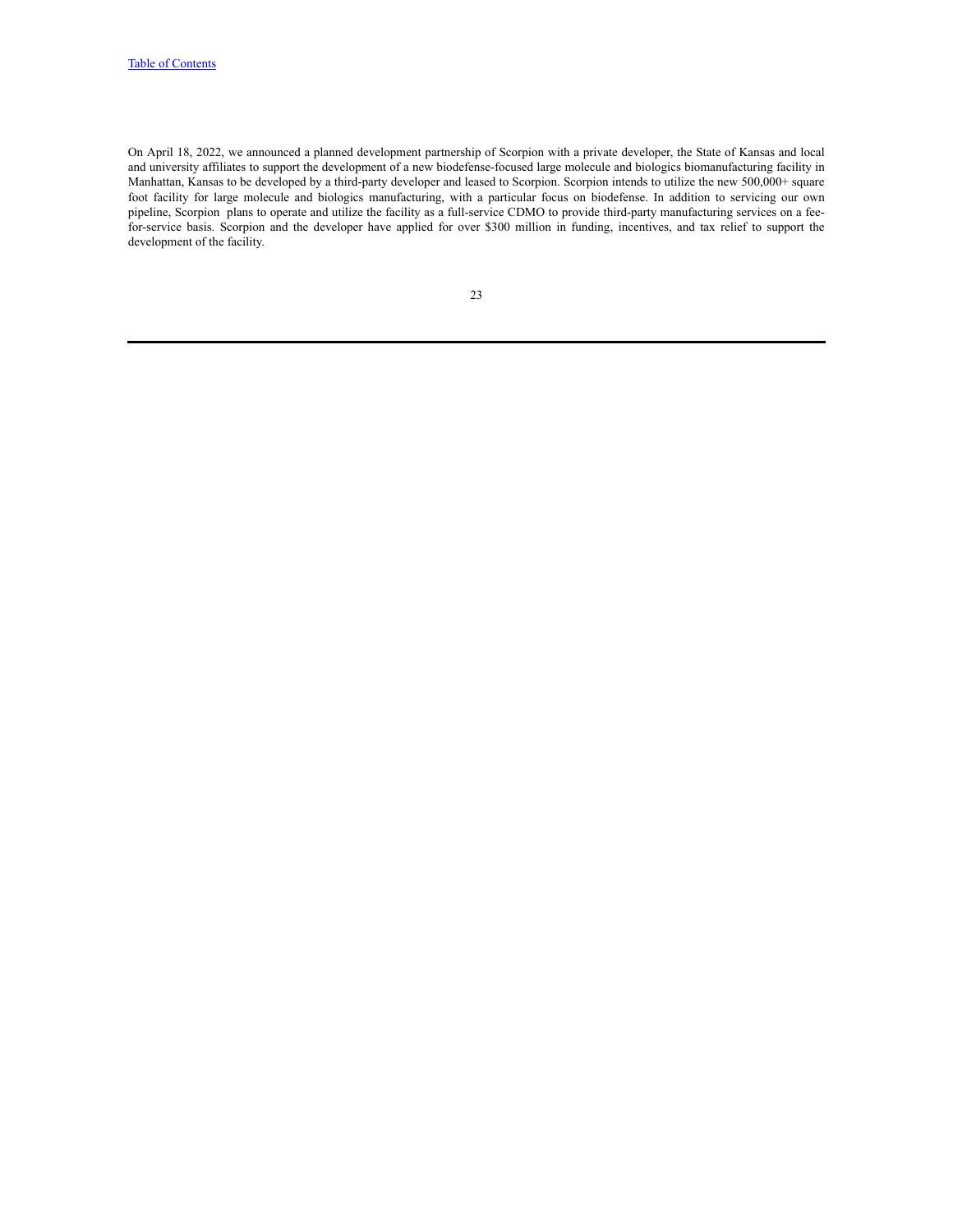On April 18, 2022, we announced a planned development partnership of Scorpion with a private developer, the State of Kansas and local and university affiliates to support the development of a new biodefense-focused large molecule and biologics biomanufacturing facility in Manhattan, Kansas to be developed by a third-party developer and leased to Scorpion. Scorpion intends to utilize the new 500,000+ square foot facility for large molecule and biologics manufacturing, with a particular focus on biodefense. In addition to servicing our own pipeline, Scorpion plans to operate and utilize the facility as a full-service CDMO to provide third-party manufacturing services on a feefor-service basis. Scorpion and the developer have applied for over \$300 million in funding, incentives, and tax relief to support the development of the facility.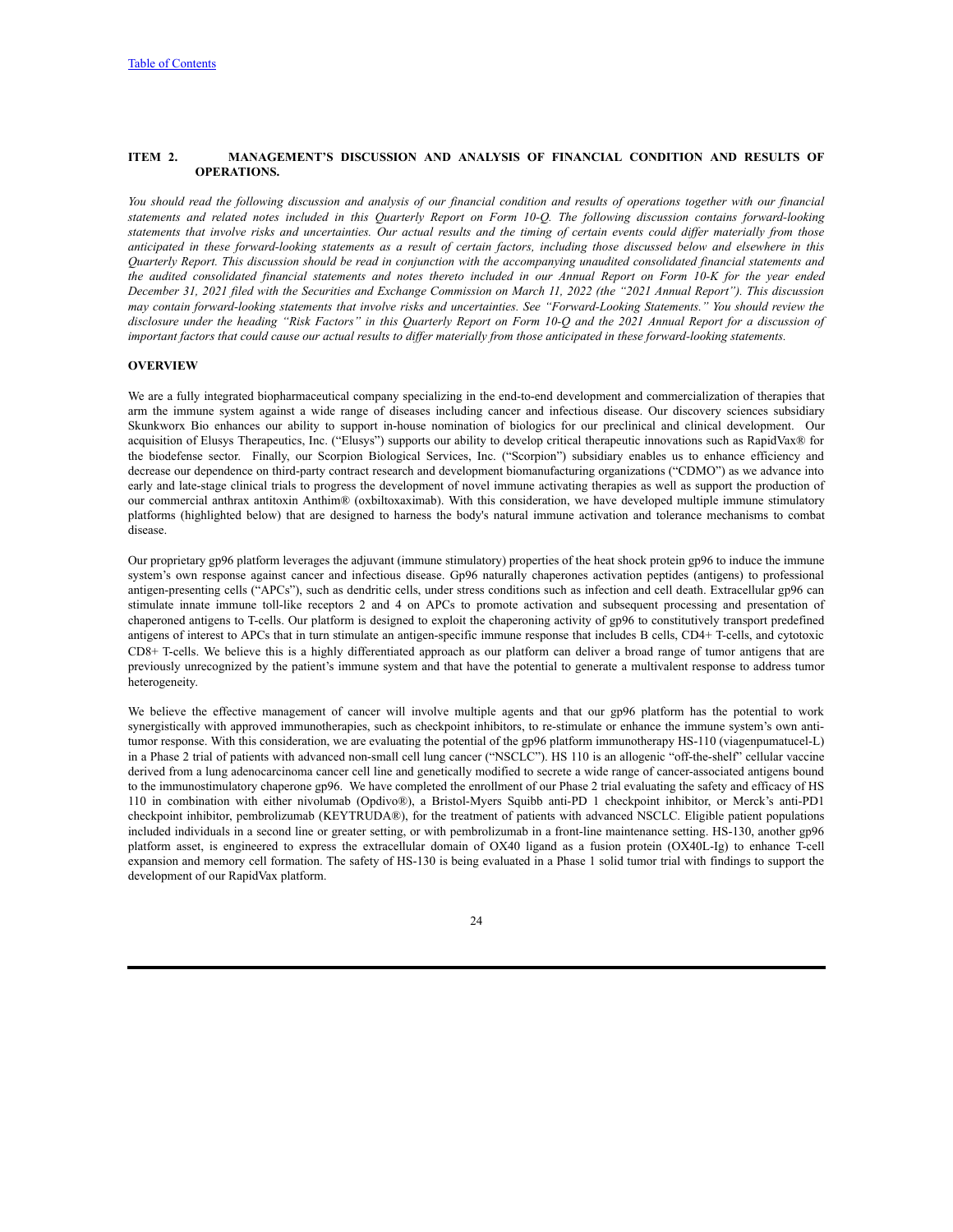### <span id="page-25-0"></span>**ITEM 2. MANAGEMENT'S DISCUSSION AND ANALYSIS OF FINANCIAL CONDITION AND RESULTS OF OPERATIONS.**

You should read the following discussion and analysis of our financial condition and results of operations together with our financial statements and related notes included in this Quarterly Report on Form 10-Q. The following discussion contains forward-looking statements that involve risks and uncertainties. Our actual results and the timing of certain events could differ materially from those anticipated in these forward-looking statements as a result of certain factors, including those discussed below and elsewhere in this Quarterly Report. This discussion should be read in conjunction with the accompanying unaudited consolidated financial statements and the audited consolidated financial statements and notes thereto included in our Annual Report on Form 10-K for the year ended December 31, 2021 filed with the Securities and Exchange Commission on March 11, 2022 (the "2021 Annual Report"). This discussion may contain forward-looking statements that involve risks and uncertainties. See "Forward-Looking Statements." You should review the disclosure under the heading "Risk Factors" in this Quarterly Report on Form 10-Q and the 2021 Annual Report for a discussion of important factors that could cause our actual results to differ materially from those anticipated in these forward-looking statements.

### **OVERVIEW**

We are a fully integrated biopharmaceutical company specializing in the end-to-end development and commercialization of therapies that arm the immune system against a wide range of diseases including cancer and infectious disease. Our discovery sciences subsidiary Skunkworx Bio enhances our ability to support in-house nomination of biologics for our preclinical and clinical development. Our acquisition of Elusys Therapeutics, Inc. ("Elusys") supports our ability to develop critical therapeutic innovations such as RapidVax® for the biodefense sector. Finally, our Scorpion Biological Services, Inc. ("Scorpion") subsidiary enables us to enhance efficiency and decrease our dependence on third-party contract research and development biomanufacturing organizations ("CDMO") as we advance into early and late-stage clinical trials to progress the development of novel immune activating therapies as well as support the production of our commercial anthrax antitoxin Anthim® (oxbiltoxaximab). With this consideration, we have developed multiple immune stimulatory platforms (highlighted below) that are designed to harness the body's natural immune activation and tolerance mechanisms to combat disease.

Our proprietary gp96 platform leverages the adjuvant (immune stimulatory) properties of the heat shock protein gp96 to induce the immune system's own response against cancer and infectious disease. Gp96 naturally chaperones activation peptides (antigens) to professional antigen-presenting cells ("APCs"), such as dendritic cells, under stress conditions such as infection and cell death. Extracellular gp96 can stimulate innate immune toll-like receptors 2 and 4 on APCs to promote activation and subsequent processing and presentation of chaperoned antigens to T-cells. Our platform is designed to exploit the chaperoning activity of gp96 to constitutively transport predefined antigens of interest to APCs that in turn stimulate an antigen-specific immune response that includes B cells, CD4+ T-cells, and cytotoxic CD8+ T-cells. We believe this is a highly differentiated approach as our platform can deliver a broad range of tumor antigens that are previously unrecognized by the patient's immune system and that have the potential to generate a multivalent response to address tumor heterogeneity.

We believe the effective management of cancer will involve multiple agents and that our gp96 platform has the potential to work synergistically with approved immunotherapies, such as checkpoint inhibitors, to re-stimulate or enhance the immune system's own antitumor response. With this consideration, we are evaluating the potential of the gp96 platform immunotherapy HS-110 (viagenpumatucel-L) in a Phase 2 trial of patients with advanced non-small cell lung cancer ("NSCLC"). HS 110 is an allogenic "off-the-shelf" cellular vaccine derived from a lung adenocarcinoma cancer cell line and genetically modified to secrete a wide range of cancer-associated antigens bound to the immunostimulatory chaperone gp96. We have completed the enrollment of our Phase 2 trial evaluating the safety and efficacy of HS 110 in combination with either nivolumab (Opdivo®), a Bristol-Myers Squibb anti-PD 1 checkpoint inhibitor, or Merck's anti-PD1 checkpoint inhibitor, pembrolizumab (KEYTRUDA®), for the treatment of patients with advanced NSCLC. Eligible patient populations included individuals in a second line or greater setting, or with pembrolizumab in a front-line maintenance setting. HS-130, another gp96 platform asset, is engineered to express the extracellular domain of OX40 ligand as a fusion protein (OX40L-Ig) to enhance T-cell expansion and memory cell formation. The safety of HS-130 is being evaluated in a Phase 1 solid tumor trial with findings to support the development of our RapidVax platform.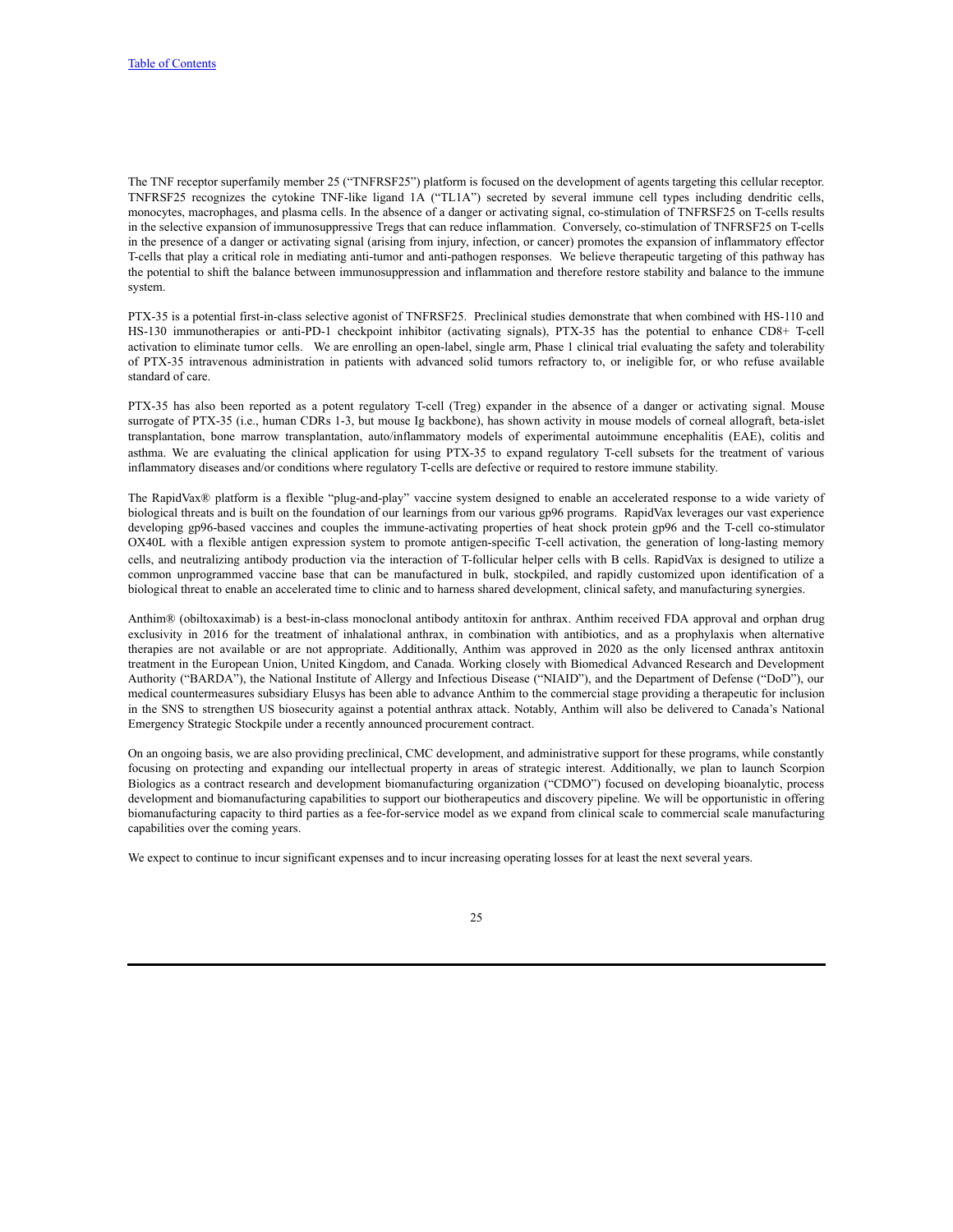The TNF receptor superfamily member 25 ("TNFRSF25") platform is focused on the development of agents targeting this cellular receptor. TNFRSF25 recognizes the cytokine TNF-like ligand 1A ("TL1A") secreted by several immune cell types including dendritic cells, monocytes, macrophages, and plasma cells. In the absence of a danger or activating signal, co-stimulation of TNFRSF25 on T-cells results in the selective expansion of immunosuppressive Tregs that can reduce inflammation. Conversely, co-stimulation of TNFRSF25 on T-cells in the presence of a danger or activating signal (arising from injury, infection, or cancer) promotes the expansion of inflammatory effector T-cells that play a critical role in mediating anti-tumor and anti-pathogen responses. We believe therapeutic targeting of this pathway has the potential to shift the balance between immunosuppression and inflammation and therefore restore stability and balance to the immune system.

PTX-35 is a potential first-in-class selective agonist of TNFRSF25. Preclinical studies demonstrate that when combined with HS-110 and HS-130 immunotherapies or anti-PD-1 checkpoint inhibitor (activating signals), PTX-35 has the potential to enhance CD8+ T-cell activation to eliminate tumor cells. We are enrolling an open-label, single arm, Phase 1 clinical trial evaluating the safety and tolerability of PTX-35 intravenous administration in patients with advanced solid tumors refractory to, or ineligible for, or who refuse available standard of care.

PTX-35 has also been reported as a potent regulatory T-cell (Treg) expander in the absence of a danger or activating signal. Mouse surrogate of PTX-35 (i.e., human CDRs 1-3, but mouse Ig backbone), has shown activity in mouse models of corneal allograft, beta-islet transplantation, bone marrow transplantation, auto/inflammatory models of experimental autoimmune encephalitis (EAE), colitis and asthma. We are evaluating the clinical application for using PTX-35 to expand regulatory T-cell subsets for the treatment of various inflammatory diseases and/or conditions where regulatory T-cells are defective or required to restore immune stability.

The RapidVax® platform is a flexible "plug-and-play" vaccine system designed to enable an accelerated response to a wide variety of biological threats and is built on the foundation of our learnings from our various gp96 programs. RapidVax leverages our vast experience developing gp96-based vaccines and couples the immune-activating properties of heat shock protein gp96 and the T-cell co-stimulator OX40L with a flexible antigen expression system to promote antigen-specific T-cell activation, the generation of long-lasting memory cells, and neutralizing antibody production via the interaction of T-follicular helper cells with B cells. RapidVax is designed to utilize a common unprogrammed vaccine base that can be manufactured in bulk, stockpiled, and rapidly customized upon identification of a biological threat to enable an accelerated time to clinic and to harness shared development, clinical safety, and manufacturing synergies.

Anthim® (obiltoxaximab) is a best-in-class monoclonal antibody antitoxin for anthrax. Anthim received FDA approval and orphan drug exclusivity in 2016 for the treatment of inhalational anthrax, in combination with antibiotics, and as a prophylaxis when alternative therapies are not available or are not appropriate. Additionally, Anthim was approved in 2020 as the only licensed anthrax antitoxin treatment in the European Union, United Kingdom, and Canada. Working closely with Biomedical Advanced Research and Development Authority ("BARDA"), the National Institute of Allergy and Infectious Disease ("NIAID"), and the Department of Defense ("DoD"), our medical countermeasures subsidiary Elusys has been able to advance Anthim to the commercial stage providing a therapeutic for inclusion in the SNS to strengthen US biosecurity against a potential anthrax attack. Notably, Anthim will also be delivered to Canada's National Emergency Strategic Stockpile under a recently announced procurement contract.

On an ongoing basis, we are also providing preclinical, CMC development, and administrative support for these programs, while constantly focusing on protecting and expanding our intellectual property in areas of strategic interest. Additionally, we plan to launch Scorpion Biologics as a contract research and development biomanufacturing organization ("CDMO") focused on developing bioanalytic, process development and biomanufacturing capabilities to support our biotherapeutics and discovery pipeline. We will be opportunistic in offering biomanufacturing capacity to third parties as a fee-for-service model as we expand from clinical scale to commercial scale manufacturing capabilities over the coming years.

We expect to continue to incur significant expenses and to incur increasing operating losses for at least the next several years.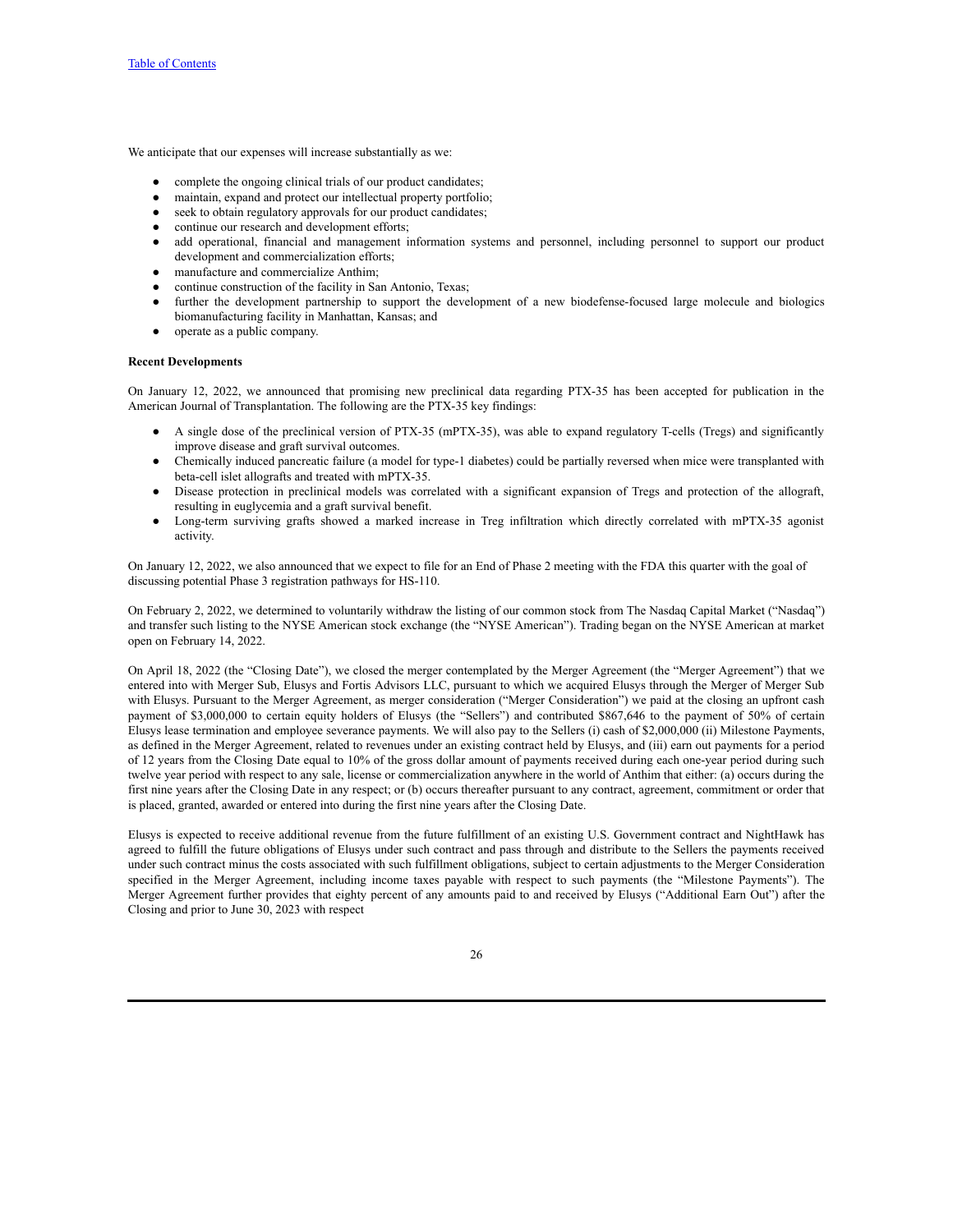We anticipate that our expenses will increase substantially as we:

- complete the ongoing clinical trials of our product candidates;
- maintain, expand and protect our intellectual property portfolio;
- seek to obtain regulatory approvals for our product candidates;
- continue our research and development efforts;
- add operational, financial and management information systems and personnel, including personnel to support our product development and commercialization efforts;
- manufacture and commercialize Anthim;
- continue construction of the facility in San Antonio, Texas;
- further the development partnership to support the development of a new biodefense-focused large molecule and biologics biomanufacturing facility in Manhattan, Kansas; and
- operate as a public company.

### **Recent Developments**

On January 12, 2022, we announced that promising new preclinical data regarding PTX-35 has been accepted for publication in the American Journal of Transplantation. The following are the PTX-35 key findings:

- A single dose of the preclinical version of PTX-35 (mPTX-35), was able to expand regulatory T-cells (Tregs) and significantly improve disease and graft survival outcomes.
- Chemically induced pancreatic failure (a model for type-1 diabetes) could be partially reversed when mice were transplanted with beta-cell islet allografts and treated with mPTX-35.
- Disease protection in preclinical models was correlated with a significant expansion of Tregs and protection of the allograft, resulting in euglycemia and a graft survival benefit.
- Long-term surviving grafts showed a marked increase in Treg infiltration which directly correlated with mPTX-35 agonist activity.

On January 12, 2022, we also announced that we expect to file for an End of Phase 2 meeting with the FDA this quarter with the goal of discussing potential Phase 3 registration pathways for HS-110.

On February 2, 2022, we determined to voluntarily withdraw the listing of our common stock from The Nasdaq Capital Market ("Nasdaq") and transfer such listing to the NYSE American stock exchange (the "NYSE American"). Trading began on the NYSE American at market open on February 14, 2022.

On April 18, 2022 (the "Closing Date"), we closed the merger contemplated by the Merger Agreement (the "Merger Agreement") that we entered into with Merger Sub, Elusys and Fortis Advisors LLC, pursuant to which we acquired Elusys through the Merger of Merger Sub with Elusys. Pursuant to the Merger Agreement, as merger consideration ("Merger Consideration") we paid at the closing an upfront cash payment of \$3,000,000 to certain equity holders of Elusys (the "Sellers") and contributed \$867,646 to the payment of 50% of certain Elusys lease termination and employee severance payments. We will also pay to the Sellers (i) cash of \$2,000,000 (ii) Milestone Payments, as defined in the Merger Agreement, related to revenues under an existing contract held by Elusys, and (iii) earn out payments for a period of 12 years from the Closing Date equal to 10% of the gross dollar amount of payments received during each one-year period during such twelve year period with respect to any sale, license or commercialization anywhere in the world of Anthim that either: (a) occurs during the first nine years after the Closing Date in any respect; or (b) occurs thereafter pursuant to any contract, agreement, commitment or order that is placed, granted, awarded or entered into during the first nine years after the Closing Date.

Elusys is expected to receive additional revenue from the future fulfillment of an existing U.S. Government contract and NightHawk has agreed to fulfill the future obligations of Elusys under such contract and pass through and distribute to the Sellers the payments received under such contract minus the costs associated with such fulfillment obligations, subject to certain adjustments to the Merger Consideration specified in the Merger Agreement, including income taxes payable with respect to such payments (the "Milestone Payments"). The Merger Agreement further provides that eighty percent of any amounts paid to and received by Elusys ("Additional Earn Out") after the Closing and prior to June 30, 2023 with respect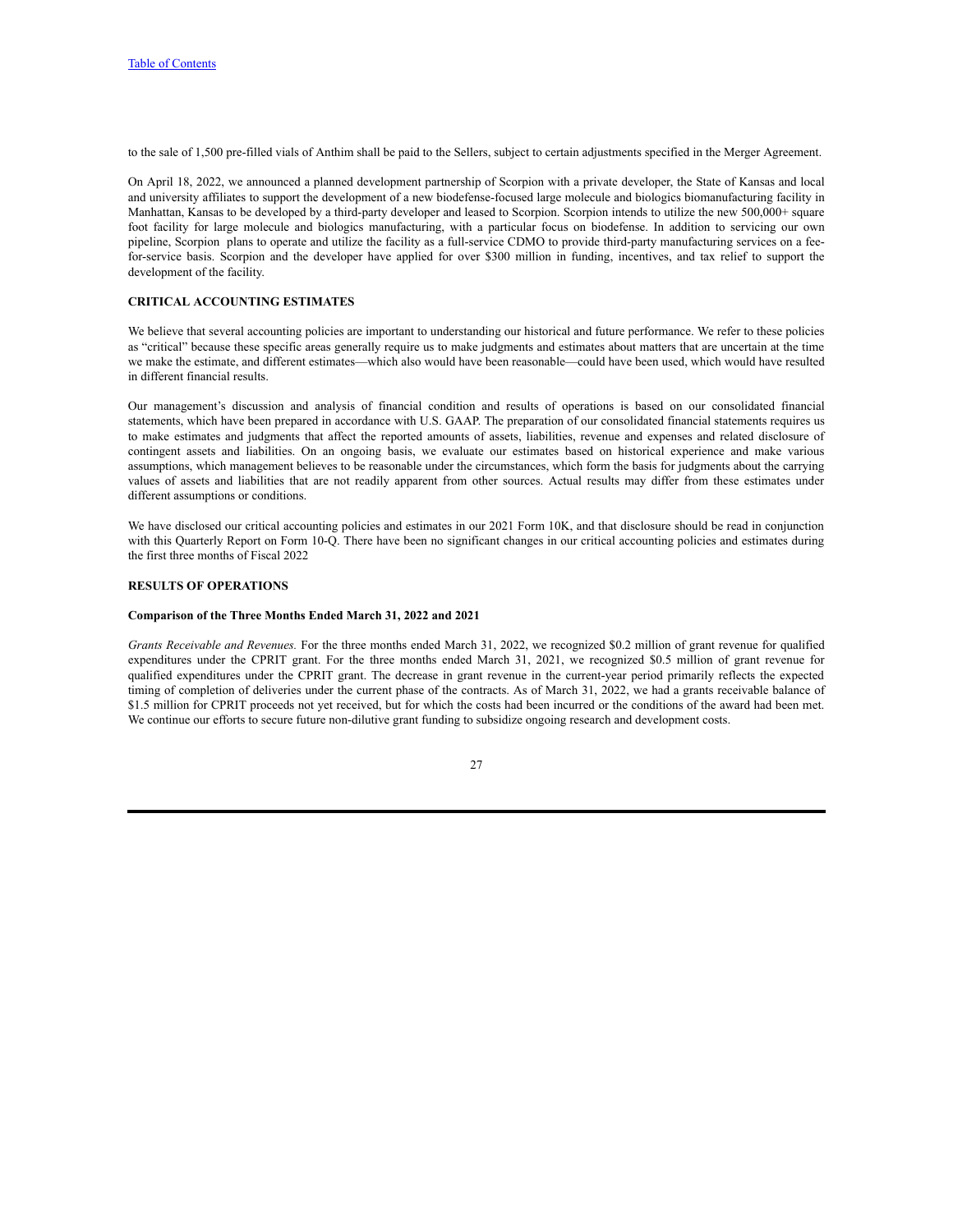to the sale of 1,500 pre-filled vials of Anthim shall be paid to the Sellers, subject to certain adjustments specified in the Merger Agreement.

On April 18, 2022, we announced a planned development partnership of Scorpion with a private developer, the State of Kansas and local and university affiliates to support the development of a new biodefense-focused large molecule and biologics biomanufacturing facility in Manhattan, Kansas to be developed by a third-party developer and leased to Scorpion. Scorpion intends to utilize the new 500,000+ square foot facility for large molecule and biologics manufacturing, with a particular focus on biodefense. In addition to servicing our own pipeline, Scorpion plans to operate and utilize the facility as a full-service CDMO to provide third-party manufacturing services on a feefor-service basis. Scorpion and the developer have applied for over \$300 million in funding, incentives, and tax relief to support the development of the facility.

## **CRITICAL ACCOUNTING ESTIMATES**

We believe that several accounting policies are important to understanding our historical and future performance. We refer to these policies as "critical" because these specific areas generally require us to make judgments and estimates about matters that are uncertain at the time we make the estimate, and different estimates—which also would have been reasonable—could have been used, which would have resulted in different financial results.

Our management's discussion and analysis of financial condition and results of operations is based on our consolidated financial statements, which have been prepared in accordance with U.S. GAAP. The preparation of our consolidated financial statements requires us to make estimates and judgments that affect the reported amounts of assets, liabilities, revenue and expenses and related disclosure of contingent assets and liabilities. On an ongoing basis, we evaluate our estimates based on historical experience and make various assumptions, which management believes to be reasonable under the circumstances, which form the basis for judgments about the carrying values of assets and liabilities that are not readily apparent from other sources. Actual results may differ from these estimates under different assumptions or conditions.

We have disclosed our critical accounting policies and estimates in our 2021 Form 10K, and that disclosure should be read in conjunction with this Quarterly Report on Form 10-Q. There have been no significant changes in our critical accounting policies and estimates during the first three months of Fiscal 2022

#### **RESULTS OF OPERATIONS**

#### **Comparison of the Three Months Ended March 31, 2022 and 2021**

*Grants Receivable and Revenues.* For the three months ended March 31, 2022, we recognized \$0.2 million of grant revenue for qualified expenditures under the CPRIT grant. For the three months ended March 31, 2021, we recognized \$0.5 million of grant revenue for qualified expenditures under the CPRIT grant. The decrease in grant revenue in the current-year period primarily reflects the expected timing of completion of deliveries under the current phase of the contracts. As of March 31, 2022, we had a grants receivable balance of \$1.5 million for CPRIT proceeds not yet received, but for which the costs had been incurred or the conditions of the award had been met. We continue our efforts to secure future non-dilutive grant funding to subsidize ongoing research and development costs.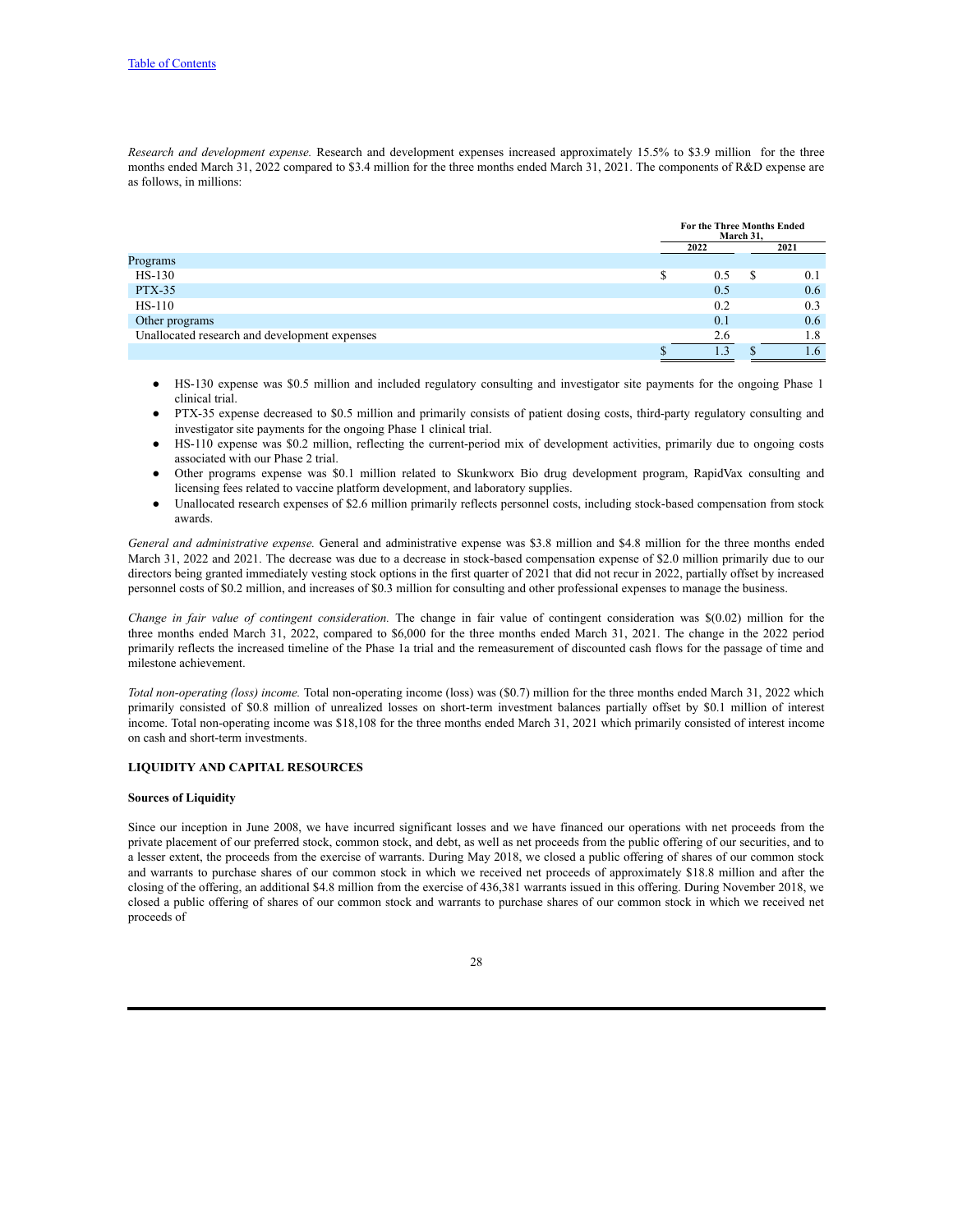*Research and development expense.* Research and development expenses increased approximately 15.5% to \$3.9 million for the three months ended March 31, 2022 compared to \$3.4 million for the three months ended March 31, 2021. The components of R&D expense are as follows, in millions:

|                                               | <b>For the Three Months Ended</b><br>March 31, |  |            |
|-----------------------------------------------|------------------------------------------------|--|------------|
|                                               | 2022                                           |  | 2021       |
| Programs                                      |                                                |  |            |
| HS-130                                        | 0.5                                            |  | 0.1        |
| <b>PTX-35</b>                                 | 0.5                                            |  | 0.6        |
| $HS-110$                                      | 0.2                                            |  | 0.3        |
| Other programs                                | 0.1                                            |  | 0.6        |
| Unallocated research and development expenses | 2.6                                            |  | 1.8        |
|                                               |                                                |  | $\cdot$ .6 |

- HS-130 expense was \$0.5 million and included regulatory consulting and investigator site payments for the ongoing Phase 1 clinical trial.
- PTX-35 expense decreased to \$0.5 million and primarily consists of patient dosing costs, third-party regulatory consulting and investigator site payments for the ongoing Phase 1 clinical trial.
- HS-110 expense was \$0.2 million, reflecting the current-period mix of development activities, primarily due to ongoing costs associated with our Phase 2 trial.
- Other programs expense was \$0.1 million related to Skunkworx Bio drug development program, RapidVax consulting and licensing fees related to vaccine platform development, and laboratory supplies.
- Unallocated research expenses of \$2.6 million primarily reflects personnel costs, including stock-based compensation from stock awards.

*General and administrative expense.* General and administrative expense was \$3.8 million and \$4.8 million for the three months ended March 31, 2022 and 2021. The decrease was due to a decrease in stock-based compensation expense of \$2.0 million primarily due to our directors being granted immediately vesting stock options in the first quarter of 2021 that did not recur in 2022, partially offset by increased personnel costs of \$0.2 million, and increases of \$0.3 million for consulting and other professional expenses to manage the business.

*Change in fair value of contingent consideration.* The change in fair value of contingent consideration was \$(0.02) million for the three months ended March 31, 2022, compared to \$6,000 for the three months ended March 31, 2021. The change in the 2022 period primarily reflects the increased timeline of the Phase 1a trial and the remeasurement of discounted cash flows for the passage of time and milestone achievement.

*Total non-operating (loss) income.* Total non-operating income (loss) was (\$0.7) million for the three months ended March 31, 2022 which primarily consisted of \$0.8 million of unrealized losses on short-term investment balances partially offset by \$0.1 million of interest income. Total non-operating income was \$18,108 for the three months ended March 31, 2021 which primarily consisted of interest income on cash and short-term investments.

### **LIQUIDITY AND CAPITAL RESOURCES**

#### **Sources of Liquidity**

Since our inception in June 2008, we have incurred significant losses and we have financed our operations with net proceeds from the private placement of our preferred stock, common stock, and debt, as well as net proceeds from the public offering of our securities, and to a lesser extent, the proceeds from the exercise of warrants. During May 2018, we closed a public offering of shares of our common stock and warrants to purchase shares of our common stock in which we received net proceeds of approximately \$18.8 million and after the closing of the offering, an additional \$4.8 million from the exercise of 436,381 warrants issued in this offering. During November 2018, we closed a public offering of shares of our common stock and warrants to purchase shares of our common stock in which we received net proceeds of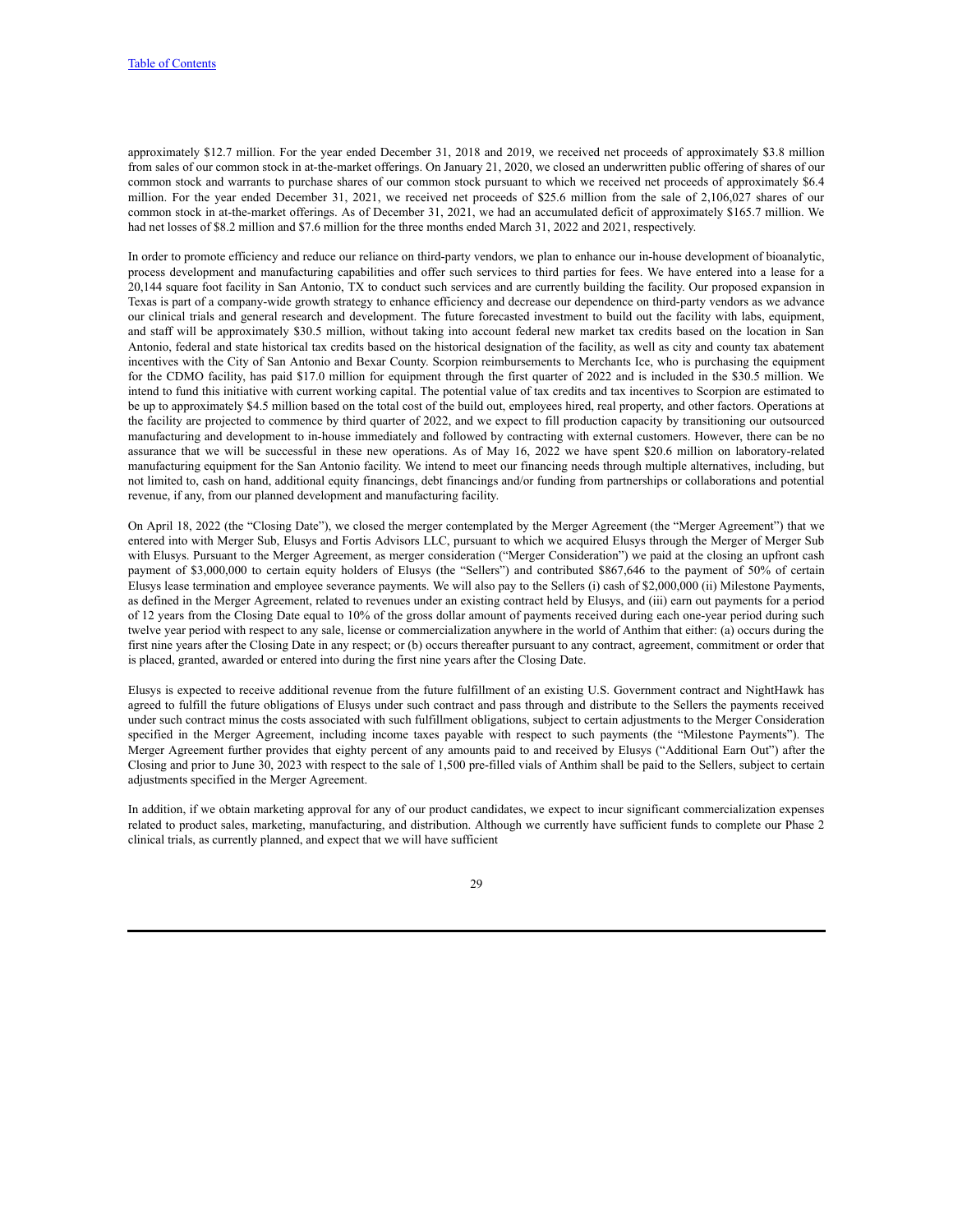approximately \$12.7 million. For the year ended December 31, 2018 and 2019, we received net proceeds of approximately \$3.8 million from sales of our common stock in at-the-market offerings. On January 21, 2020, we closed an underwritten public offering of shares of our common stock and warrants to purchase shares of our common stock pursuant to which we received net proceeds of approximately \$6.4 million. For the year ended December 31, 2021, we received net proceeds of \$25.6 million from the sale of 2,106,027 shares of our common stock in at-the-market offerings. As of December 31, 2021, we had an accumulated deficit of approximately \$165.7 million. We had net losses of \$8.2 million and \$7.6 million for the three months ended March 31, 2022 and 2021, respectively.

In order to promote efficiency and reduce our reliance on third-party vendors, we plan to enhance our in-house development of bioanalytic, process development and manufacturing capabilities and offer such services to third parties for fees. We have entered into a lease for a 20,144 square foot facility in San Antonio, TX to conduct such services and are currently building the facility. Our proposed expansion in Texas is part of a company-wide growth strategy to enhance efficiency and decrease our dependence on third-party vendors as we advance our clinical trials and general research and development. The future forecasted investment to build out the facility with labs, equipment, and staff will be approximately \$30.5 million, without taking into account federal new market tax credits based on the location in San Antonio, federal and state historical tax credits based on the historical designation of the facility, as well as city and county tax abatement incentives with the City of San Antonio and Bexar County. Scorpion reimbursements to Merchants Ice, who is purchasing the equipment for the CDMO facility, has paid \$17.0 million for equipment through the first quarter of 2022 and is included in the \$30.5 million. We intend to fund this initiative with current working capital. The potential value of tax credits and tax incentives to Scorpion are estimated to be up to approximately \$4.5 million based on the total cost of the build out, employees hired, real property, and other factors. Operations at the facility are projected to commence by third quarter of 2022, and we expect to fill production capacity by transitioning our outsourced manufacturing and development to in-house immediately and followed by contracting with external customers. However, there can be no assurance that we will be successful in these new operations. As of May 16, 2022 we have spent \$20.6 million on laboratory-related manufacturing equipment for the San Antonio facility. We intend to meet our financing needs through multiple alternatives, including, but not limited to, cash on hand, additional equity financings, debt financings and/or funding from partnerships or collaborations and potential revenue, if any, from our planned development and manufacturing facility.

On April 18, 2022 (the "Closing Date"), we closed the merger contemplated by the Merger Agreement (the "Merger Agreement") that we entered into with Merger Sub, Elusys and Fortis Advisors LLC, pursuant to which we acquired Elusys through the Merger of Merger Sub with Elusys. Pursuant to the Merger Agreement, as merger consideration ("Merger Consideration") we paid at the closing an upfront cash payment of \$3,000,000 to certain equity holders of Elusys (the "Sellers") and contributed \$867,646 to the payment of 50% of certain Elusys lease termination and employee severance payments. We will also pay to the Sellers (i) cash of \$2,000,000 (ii) Milestone Payments, as defined in the Merger Agreement, related to revenues under an existing contract held by Elusys, and (iii) earn out payments for a period of 12 years from the Closing Date equal to 10% of the gross dollar amount of payments received during each one-year period during such twelve year period with respect to any sale, license or commercialization anywhere in the world of Anthim that either: (a) occurs during the first nine years after the Closing Date in any respect; or (b) occurs thereafter pursuant to any contract, agreement, commitment or order that is placed, granted, awarded or entered into during the first nine years after the Closing Date.

Elusys is expected to receive additional revenue from the future fulfillment of an existing U.S. Government contract and NightHawk has agreed to fulfill the future obligations of Elusys under such contract and pass through and distribute to the Sellers the payments received under such contract minus the costs associated with such fulfillment obligations, subject to certain adjustments to the Merger Consideration specified in the Merger Agreement, including income taxes payable with respect to such payments (the "Milestone Payments"). The Merger Agreement further provides that eighty percent of any amounts paid to and received by Elusys ("Additional Earn Out") after the Closing and prior to June 30, 2023 with respect to the sale of 1,500 pre-filled vials of Anthim shall be paid to the Sellers, subject to certain adjustments specified in the Merger Agreement.

In addition, if we obtain marketing approval for any of our product candidates, we expect to incur significant commercialization expenses related to product sales, marketing, manufacturing, and distribution. Although we currently have sufficient funds to complete our Phase 2 clinical trials, as currently planned, and expect that we will have sufficient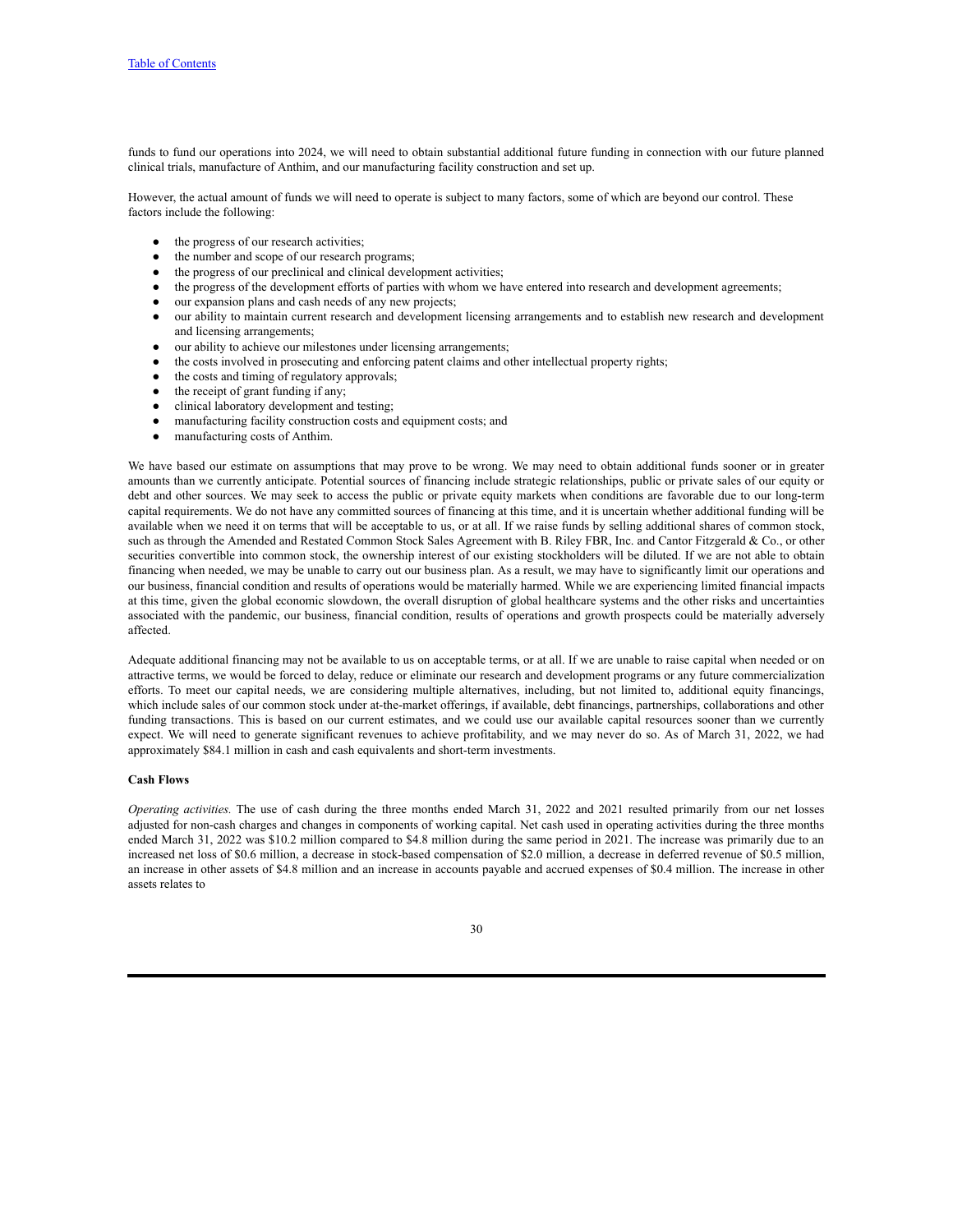funds to fund our operations into 2024, we will need to obtain substantial additional future funding in connection with our future planned clinical trials, manufacture of Anthim, and our manufacturing facility construction and set up.

However, the actual amount of funds we will need to operate is subject to many factors, some of which are beyond our control. These factors include the following:

- the progress of our research activities;
- the number and scope of our research programs;
- the progress of our preclinical and clinical development activities;
- the progress of the development efforts of parties with whom we have entered into research and development agreements;
- our expansion plans and cash needs of any new projects;
- our ability to maintain current research and development licensing arrangements and to establish new research and development and licensing arrangements;
- our ability to achieve our milestones under licensing arrangements;
- the costs involved in prosecuting and enforcing patent claims and other intellectual property rights;
- the costs and timing of regulatory approvals;
- the receipt of grant funding if any;
- clinical laboratory development and testing;
- manufacturing facility construction costs and equipment costs; and
- manufacturing costs of Anthim.

We have based our estimate on assumptions that may prove to be wrong. We may need to obtain additional funds sooner or in greater amounts than we currently anticipate. Potential sources of financing include strategic relationships, public or private sales of our equity or debt and other sources. We may seek to access the public or private equity markets when conditions are favorable due to our long-term capital requirements. We do not have any committed sources of financing at this time, and it is uncertain whether additional funding will be available when we need it on terms that will be acceptable to us, or at all. If we raise funds by selling additional shares of common stock, such as through the Amended and Restated Common Stock Sales Agreement with B. Riley FBR, Inc. and Cantor Fitzgerald & Co., or other securities convertible into common stock, the ownership interest of our existing stockholders will be diluted. If we are not able to obtain financing when needed, we may be unable to carry out our business plan. As a result, we may have to significantly limit our operations and our business, financial condition and results of operations would be materially harmed. While we are experiencing limited financial impacts at this time, given the global economic slowdown, the overall disruption of global healthcare systems and the other risks and uncertainties associated with the pandemic, our business, financial condition, results of operations and growth prospects could be materially adversely affected.

Adequate additional financing may not be available to us on acceptable terms, or at all. If we are unable to raise capital when needed or on attractive terms, we would be forced to delay, reduce or eliminate our research and development programs or any future commercialization efforts. To meet our capital needs, we are considering multiple alternatives, including, but not limited to, additional equity financings, which include sales of our common stock under at-the-market offerings, if available, debt financings, partnerships, collaborations and other funding transactions. This is based on our current estimates, and we could use our available capital resources sooner than we currently expect. We will need to generate significant revenues to achieve profitability, and we may never do so. As of March 31, 2022, we had approximately \$84.1 million in cash and cash equivalents and short-term investments.

#### **Cash Flows**

*Operating activities.* The use of cash during the three months ended March 31, 2022 and 2021 resulted primarily from our net losses adjusted for non-cash charges and changes in components of working capital. Net cash used in operating activities during the three months ended March 31, 2022 was \$10.2 million compared to \$4.8 million during the same period in 2021. The increase was primarily due to an increased net loss of \$0.6 million, a decrease in stock-based compensation of \$2.0 million, a decrease in deferred revenue of \$0.5 million, an increase in other assets of \$4.8 million and an increase in accounts payable and accrued expenses of \$0.4 million. The increase in other assets relates to

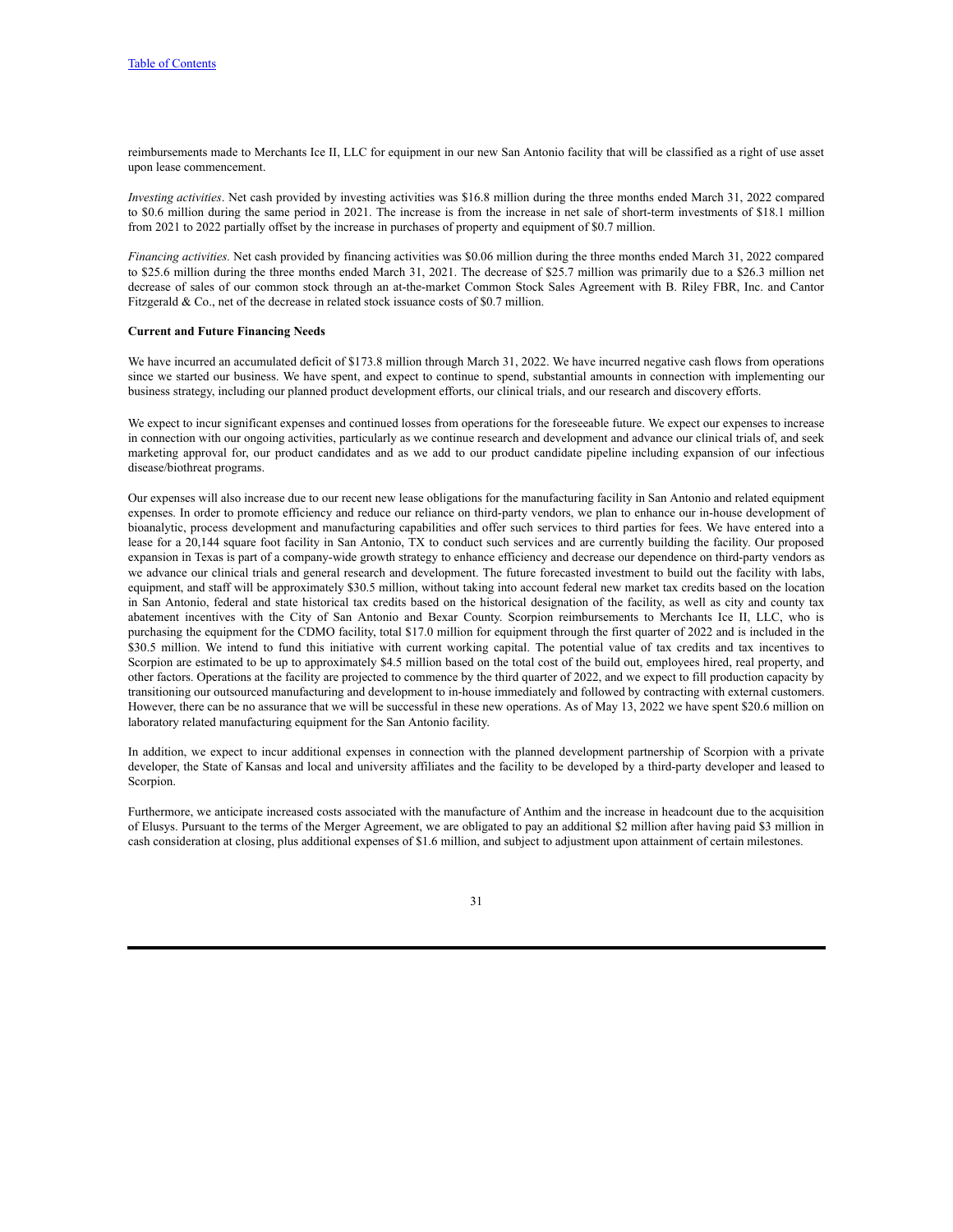reimbursements made to Merchants Ice II, LLC for equipment in our new San Antonio facility that will be classified as a right of use asset upon lease commencement.

*Investing activities*. Net cash provided by investing activities was \$16.8 million during the three months ended March 31, 2022 compared to \$0.6 million during the same period in 2021. The increase is from the increase in net sale of short-term investments of \$18.1 million from 2021 to 2022 partially offset by the increase in purchases of property and equipment of \$0.7 million.

*Financing activities.* Net cash provided by financing activities was \$0.06 million during the three months ended March 31, 2022 compared to \$25.6 million during the three months ended March 31, 2021. The decrease of \$25.7 million was primarily due to a \$26.3 million net decrease of sales of our common stock through an at-the-market Common Stock Sales Agreement with B. Riley FBR, Inc. and Cantor Fitzgerald & Co., net of the decrease in related stock issuance costs of \$0.7 million.

#### **Current and Future Financing Needs**

We have incurred an accumulated deficit of \$173.8 million through March 31, 2022. We have incurred negative cash flows from operations since we started our business. We have spent, and expect to continue to spend, substantial amounts in connection with implementing our business strategy, including our planned product development efforts, our clinical trials, and our research and discovery efforts.

We expect to incur significant expenses and continued losses from operations for the foreseeable future. We expect our expenses to increase in connection with our ongoing activities, particularly as we continue research and development and advance our clinical trials of, and seek marketing approval for, our product candidates and as we add to our product candidate pipeline including expansion of our infectious disease/biothreat programs.

Our expenses will also increase due to our recent new lease obligations for the manufacturing facility in San Antonio and related equipment expenses. In order to promote efficiency and reduce our reliance on third-party vendors, we plan to enhance our in-house development of bioanalytic, process development and manufacturing capabilities and offer such services to third parties for fees. We have entered into a lease for a 20,144 square foot facility in San Antonio, TX to conduct such services and are currently building the facility. Our proposed expansion in Texas is part of a company-wide growth strategy to enhance efficiency and decrease our dependence on third-party vendors as we advance our clinical trials and general research and development. The future forecasted investment to build out the facility with labs, equipment, and staff will be approximately \$30.5 million, without taking into account federal new market tax credits based on the location in San Antonio, federal and state historical tax credits based on the historical designation of the facility, as well as city and county tax abatement incentives with the City of San Antonio and Bexar County. Scorpion reimbursements to Merchants Ice II, LLC, who is purchasing the equipment for the CDMO facility, total \$17.0 million for equipment through the first quarter of 2022 and is included in the \$30.5 million. We intend to fund this initiative with current working capital. The potential value of tax credits and tax incentives to Scorpion are estimated to be up to approximately \$4.5 million based on the total cost of the build out, employees hired, real property, and other factors. Operations at the facility are projected to commence by the third quarter of 2022, and we expect to fill production capacity by transitioning our outsourced manufacturing and development to in-house immediately and followed by contracting with external customers. However, there can be no assurance that we will be successful in these new operations. As of May 13, 2022 we have spent \$20.6 million on laboratory related manufacturing equipment for the San Antonio facility.

In addition, we expect to incur additional expenses in connection with the planned development partnership of Scorpion with a private developer, the State of Kansas and local and university affiliates and the facility to be developed by a third-party developer and leased to Scorpion.

Furthermore, we anticipate increased costs associated with the manufacture of Anthim and the increase in headcount due to the acquisition of Elusys. Pursuant to the terms of the Merger Agreement, we are obligated to pay an additional \$2 million after having paid \$3 million in cash consideration at closing, plus additional expenses of \$1.6 million, and subject to adjustment upon attainment of certain milestones.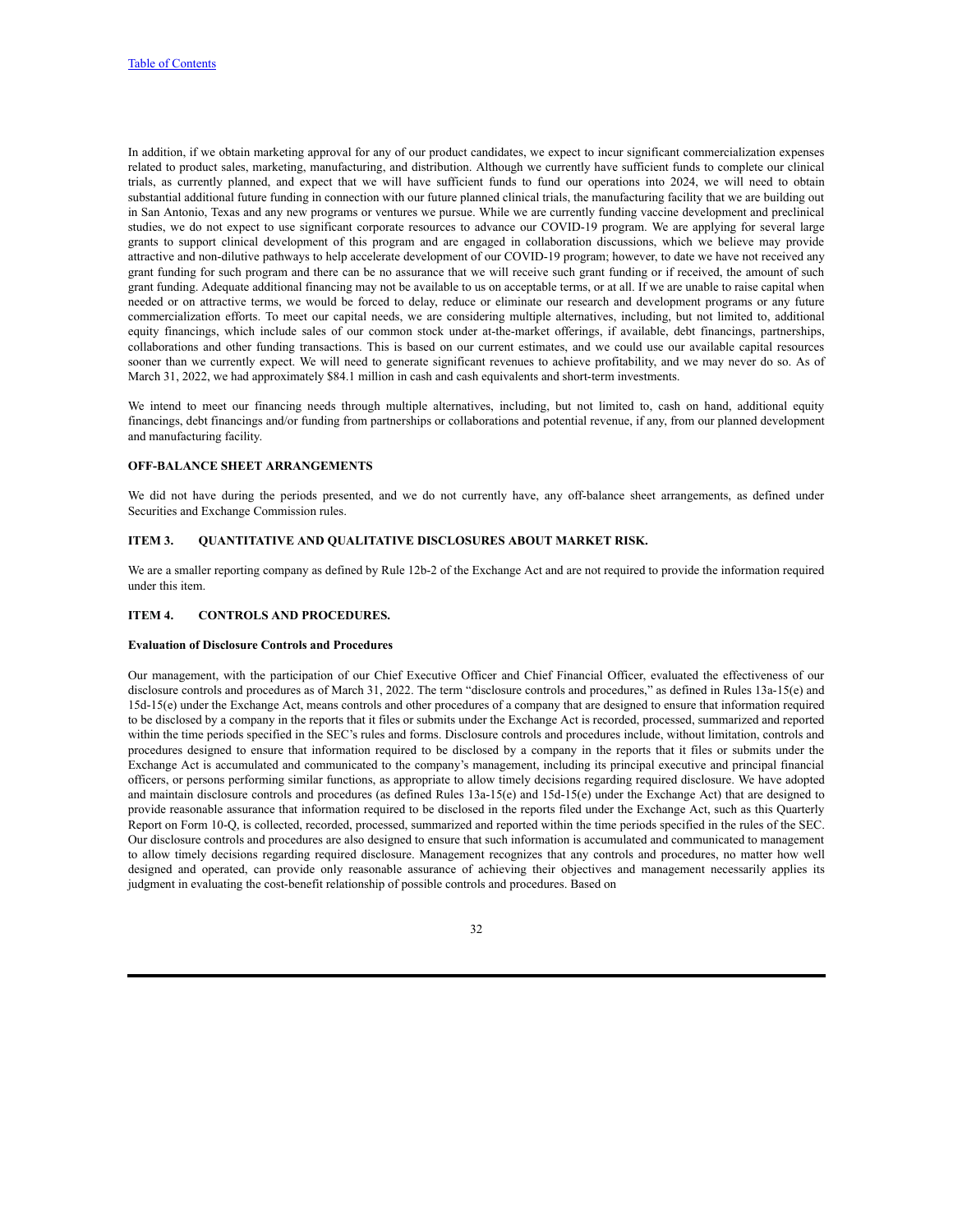In addition, if we obtain marketing approval for any of our product candidates, we expect to incur significant commercialization expenses related to product sales, marketing, manufacturing, and distribution. Although we currently have sufficient funds to complete our clinical trials, as currently planned, and expect that we will have sufficient funds to fund our operations into 2024, we will need to obtain substantial additional future funding in connection with our future planned clinical trials, the manufacturing facility that we are building out in San Antonio, Texas and any new programs or ventures we pursue. While we are currently funding vaccine development and preclinical studies, we do not expect to use significant corporate resources to advance our COVID-19 program. We are applying for several large grants to support clinical development of this program and are engaged in collaboration discussions, which we believe may provide attractive and non-dilutive pathways to help accelerate development of our COVID-19 program; however, to date we have not received any grant funding for such program and there can be no assurance that we will receive such grant funding or if received, the amount of such grant funding. Adequate additional financing may not be available to us on acceptable terms, or at all. If we are unable to raise capital when needed or on attractive terms, we would be forced to delay, reduce or eliminate our research and development programs or any future commercialization efforts. To meet our capital needs, we are considering multiple alternatives, including, but not limited to, additional equity financings, which include sales of our common stock under at-the-market offerings, if available, debt financings, partnerships, collaborations and other funding transactions. This is based on our current estimates, and we could use our available capital resources sooner than we currently expect. We will need to generate significant revenues to achieve profitability, and we may never do so. As of March 31, 2022, we had approximately \$84.1 million in cash and cash equivalents and short-term investments.

We intend to meet our financing needs through multiple alternatives, including, but not limited to, cash on hand, additional equity financings, debt financings and/or funding from partnerships or collaborations and potential revenue, if any, from our planned development and manufacturing facility.

#### **OFF-BALANCE SHEET ARRANGEMENTS**

We did not have during the periods presented, and we do not currently have, any off-balance sheet arrangements, as defined under Securities and Exchange Commission rules.

### <span id="page-33-0"></span>**ITEM 3. QUANTITATIVE AND QUALITATIVE DISCLOSURES ABOUT MARKET RISK.**

We are a smaller reporting company as defined by Rule 12b-2 of the Exchange Act and are not required to provide the information required under this item.

#### <span id="page-33-1"></span>**ITEM 4. CONTROLS AND PROCEDURES.**

#### **Evaluation of Disclosure Controls and Procedures**

Our management, with the participation of our Chief Executive Officer and Chief Financial Officer, evaluated the effectiveness of our disclosure controls and procedures as of March 31, 2022. The term "disclosure controls and procedures," as defined in Rules 13a-15(e) and 15d-15(e) under the Exchange Act, means controls and other procedures of a company that are designed to ensure that information required to be disclosed by a company in the reports that it files or submits under the Exchange Act is recorded, processed, summarized and reported within the time periods specified in the SEC's rules and forms. Disclosure controls and procedures include, without limitation, controls and procedures designed to ensure that information required to be disclosed by a company in the reports that it files or submits under the Exchange Act is accumulated and communicated to the company's management, including its principal executive and principal financial officers, or persons performing similar functions, as appropriate to allow timely decisions regarding required disclosure. We have adopted and maintain disclosure controls and procedures (as defined Rules 13a-15(e) and 15d-15(e) under the Exchange Act) that are designed to provide reasonable assurance that information required to be disclosed in the reports filed under the Exchange Act, such as this Quarterly Report on Form 10-Q, is collected, recorded, processed, summarized and reported within the time periods specified in the rules of the SEC. Our disclosure controls and procedures are also designed to ensure that such information is accumulated and communicated to management to allow timely decisions regarding required disclosure. Management recognizes that any controls and procedures, no matter how well designed and operated, can provide only reasonable assurance of achieving their objectives and management necessarily applies its judgment in evaluating the cost-benefit relationship of possible controls and procedures. Based on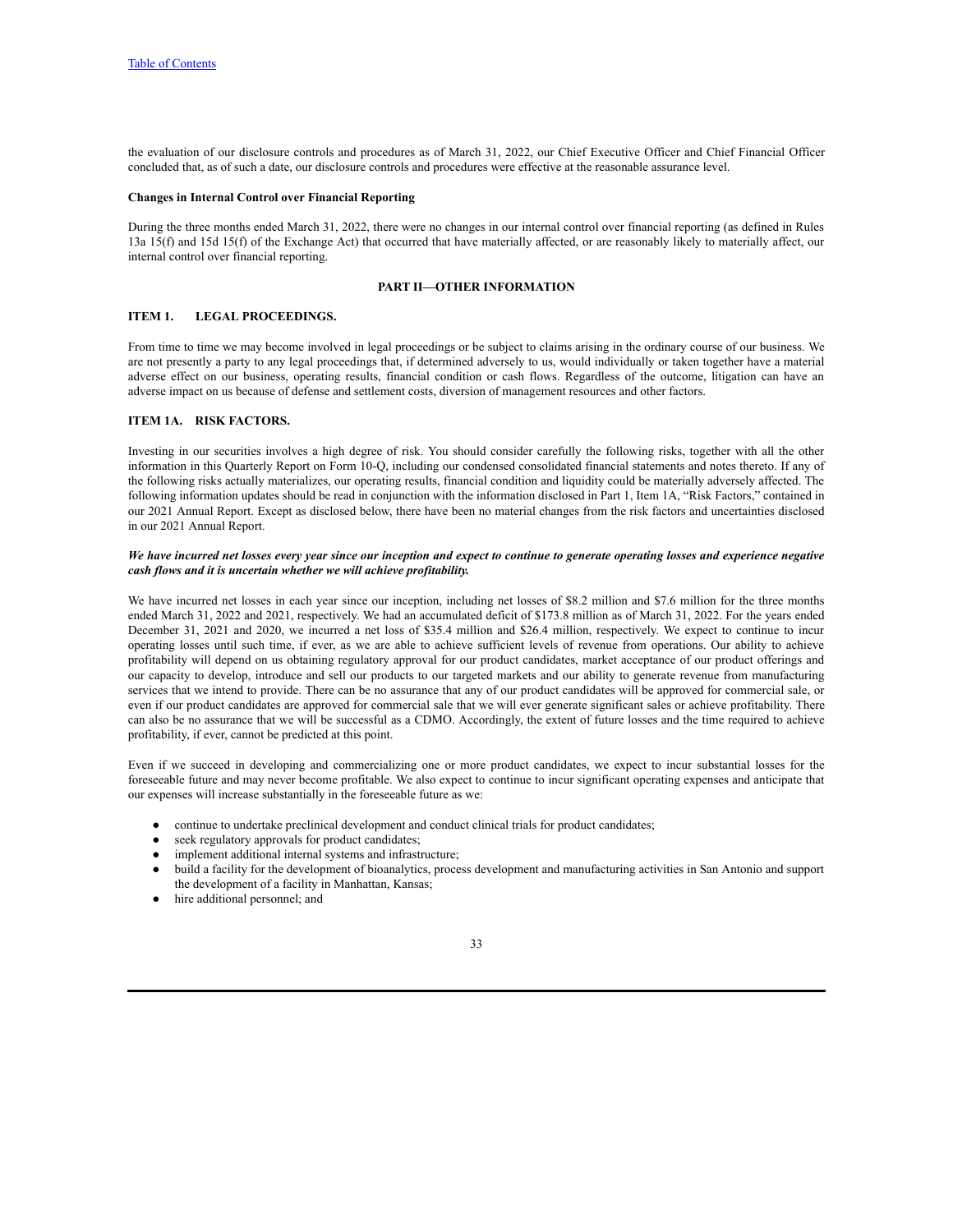the evaluation of our disclosure controls and procedures as of March 31, 2022, our Chief Executive Officer and Chief Financial Officer concluded that, as of such a date, our disclosure controls and procedures were effective at the reasonable assurance level.

### **Changes in Internal Control over Financial Reporting**

During the three months ended March 31, 2022, there were no changes in our internal control over financial reporting (as defined in Rules 13a 15(f) and 15d 15(f) of the Exchange Act) that occurred that have materially affected, or are reasonably likely to materially affect, our internal control over financial reporting.

#### **PART II—OTHER INFORMATION**

## <span id="page-34-1"></span><span id="page-34-0"></span>**ITEM 1. LEGAL PROCEEDINGS.**

From time to time we may become involved in legal proceedings or be subject to claims arising in the ordinary course of our business. We are not presently a party to any legal proceedings that, if determined adversely to us, would individually or taken together have a material adverse effect on our business, operating results, financial condition or cash flows. Regardless of the outcome, litigation can have an adverse impact on us because of defense and settlement costs, diversion of management resources and other factors.

#### <span id="page-34-2"></span>**ITEM 1A. RISK FACTORS.**

Investing in our securities involves a high degree of risk. You should consider carefully the following risks, together with all the other information in this Quarterly Report on Form 10-Q, including our condensed consolidated financial statements and notes thereto. If any of the following risks actually materializes, our operating results, financial condition and liquidity could be materially adversely affected. The following information updates should be read in conjunction with the information disclosed in Part 1, Item 1A, "Risk Factors," contained in our 2021 Annual Report. Except as disclosed below, there have been no material changes from the risk factors and uncertainties disclosed in our 2021 Annual Report.

#### We have incurred net losses every year since our inception and expect to continue to generate operating losses and experience negative *cash flows and it is uncertain whether we will achieve profitability.*

We have incurred net losses in each year since our inception, including net losses of \$8.2 million and \$7.6 million for the three months ended March 31, 2022 and 2021, respectively. We had an accumulated deficit of \$173.8 million as of March 31, 2022. For the years ended December 31, 2021 and 2020, we incurred a net loss of \$35.4 million and \$26.4 million, respectively. We expect to continue to incur operating losses until such time, if ever, as we are able to achieve sufficient levels of revenue from operations. Our ability to achieve profitability will depend on us obtaining regulatory approval for our product candidates, market acceptance of our product offerings and our capacity to develop, introduce and sell our products to our targeted markets and our ability to generate revenue from manufacturing services that we intend to provide. There can be no assurance that any of our product candidates will be approved for commercial sale, or even if our product candidates are approved for commercial sale that we will ever generate significant sales or achieve profitability. There can also be no assurance that we will be successful as a CDMO. Accordingly, the extent of future losses and the time required to achieve profitability, if ever, cannot be predicted at this point.

Even if we succeed in developing and commercializing one or more product candidates, we expect to incur substantial losses for the foreseeable future and may never become profitable. We also expect to continue to incur significant operating expenses and anticipate that our expenses will increase substantially in the foreseeable future as we:

- continue to undertake preclinical development and conduct clinical trials for product candidates;
- seek regulatory approvals for product candidates;
- implement additional internal systems and infrastructure;
- build a facility for the development of bioanalytics, process development and manufacturing activities in San Antonio and support the development of a facility in Manhattan, Kansas;
- hire additional personnel; and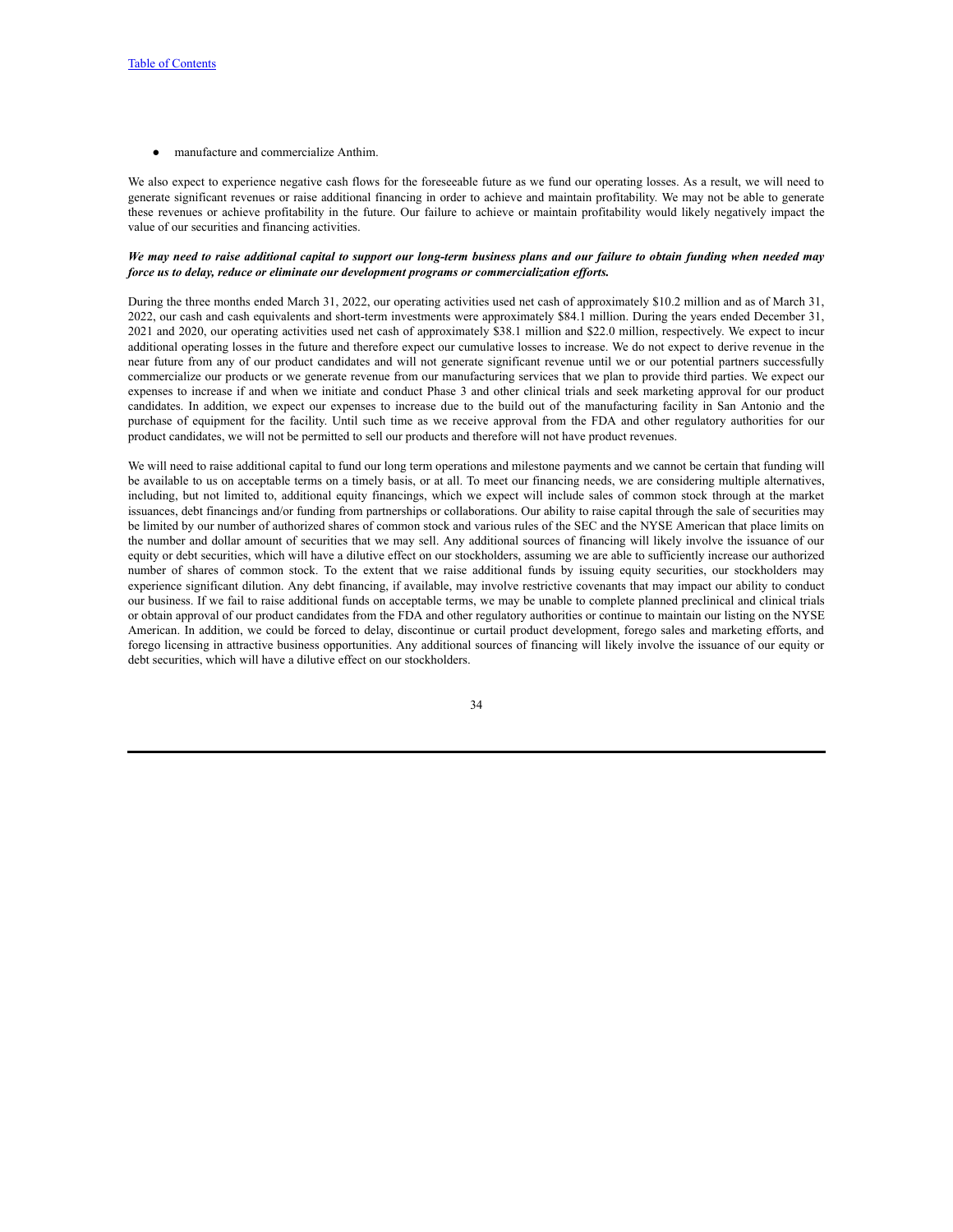manufacture and commercialize Anthim.

We also expect to experience negative cash flows for the foreseeable future as we fund our operating losses. As a result, we will need to generate significant revenues or raise additional financing in order to achieve and maintain profitability. We may not be able to generate these revenues or achieve profitability in the future. Our failure to achieve or maintain profitability would likely negatively impact the value of our securities and financing activities.

#### We may need to raise additional capital to support our long-term business plans and our failure to obtain funding when needed may *force us to delay, reduce or eliminate our development programs or commercialization ef orts.*

During the three months ended March 31, 2022, our operating activities used net cash of approximately \$10.2 million and as of March 31, 2022, our cash and cash equivalents and short-term investments were approximately \$84.1 million. During the years ended December 31, 2021 and 2020, our operating activities used net cash of approximately \$38.1 million and \$22.0 million, respectively. We expect to incur additional operating losses in the future and therefore expect our cumulative losses to increase. We do not expect to derive revenue in the near future from any of our product candidates and will not generate significant revenue until we or our potential partners successfully commercialize our products or we generate revenue from our manufacturing services that we plan to provide third parties. We expect our expenses to increase if and when we initiate and conduct Phase 3 and other clinical trials and seek marketing approval for our product candidates. In addition, we expect our expenses to increase due to the build out of the manufacturing facility in San Antonio and the purchase of equipment for the facility. Until such time as we receive approval from the FDA and other regulatory authorities for our product candidates, we will not be permitted to sell our products and therefore will not have product revenues.

We will need to raise additional capital to fund our long term operations and milestone payments and we cannot be certain that funding will be available to us on acceptable terms on a timely basis, or at all. To meet our financing needs, we are considering multiple alternatives, including, but not limited to, additional equity financings, which we expect will include sales of common stock through at the market issuances, debt financings and/or funding from partnerships or collaborations. Our ability to raise capital through the sale of securities may be limited by our number of authorized shares of common stock and various rules of the SEC and the NYSE American that place limits on the number and dollar amount of securities that we may sell. Any additional sources of financing will likely involve the issuance of our equity or debt securities, which will have a dilutive effect on our stockholders, assuming we are able to sufficiently increase our authorized number of shares of common stock. To the extent that we raise additional funds by issuing equity securities, our stockholders may experience significant dilution. Any debt financing, if available, may involve restrictive covenants that may impact our ability to conduct our business. If we fail to raise additional funds on acceptable terms, we may be unable to complete planned preclinical and clinical trials or obtain approval of our product candidates from the FDA and other regulatory authorities or continue to maintain our listing on the NYSE American. In addition, we could be forced to delay, discontinue or curtail product development, forego sales and marketing efforts, and forego licensing in attractive business opportunities. Any additional sources of financing will likely involve the issuance of our equity or debt securities, which will have a dilutive effect on our stockholders.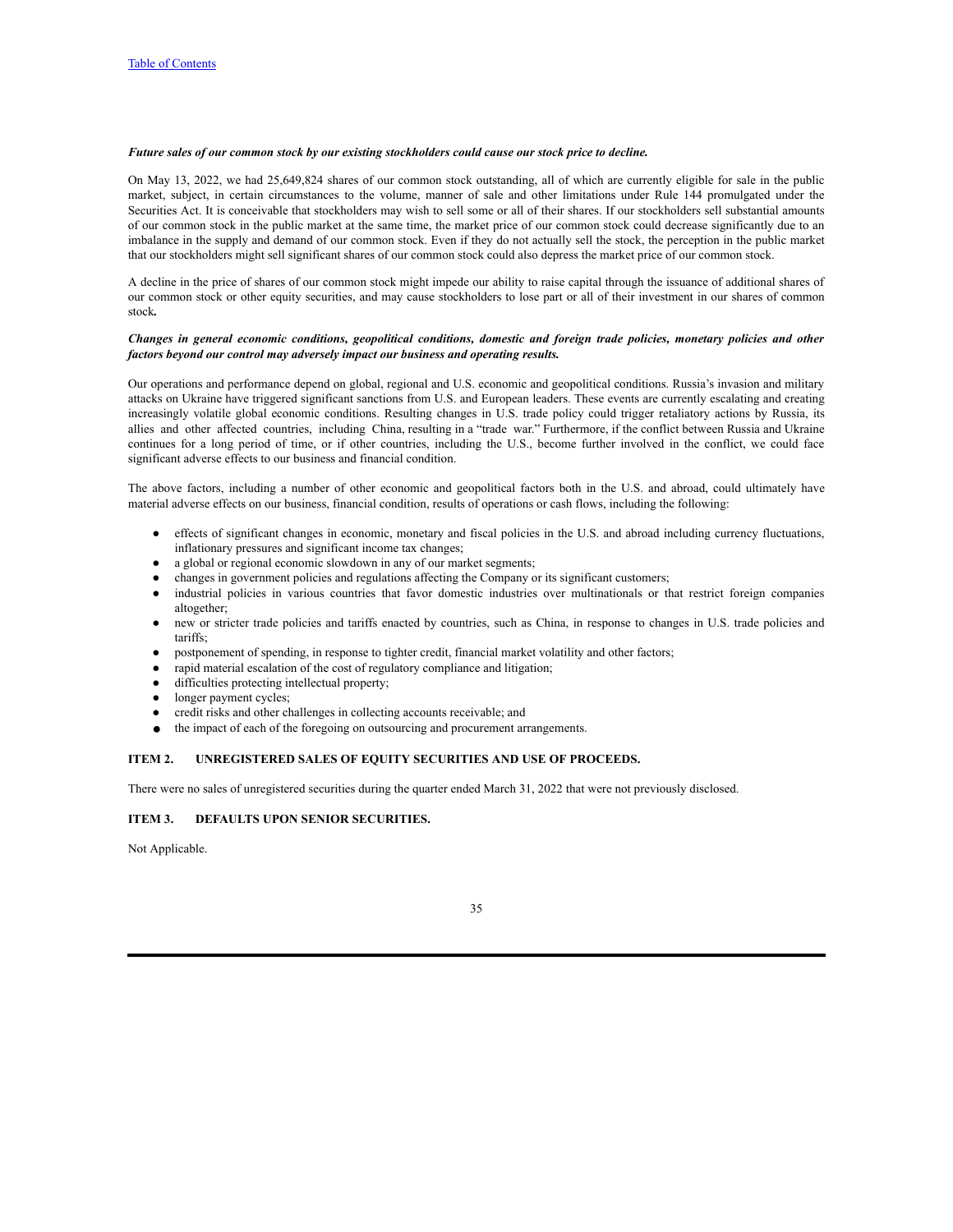#### *Future sales of our common stock by our existing stockholders could cause our stock price to decline.*

On May 13, 2022, we had 25,649,824 shares of our common stock outstanding, all of which are currently eligible for sale in the public market, subject, in certain circumstances to the volume, manner of sale and other limitations under Rule 144 promulgated under the Securities Act. It is conceivable that stockholders may wish to sell some or all of their shares. If our stockholders sell substantial amounts of our common stock in the public market at the same time, the market price of our common stock could decrease significantly due to an imbalance in the supply and demand of our common stock. Even if they do not actually sell the stock, the perception in the public market that our stockholders might sell significant shares of our common stock could also depress the market price of our common stock.

A decline in the price of shares of our common stock might impede our ability to raise capital through the issuance of additional shares of our common stock or other equity securities, and may cause stockholders to lose part or all of their investment in our shares of common stock*.*

#### Changes in general economic conditions, geopolitical conditions, domestic and foreign trade policies, monetary policies and other *factors beyond our control may adversely impact our business and operating results.*

Our operations and performance depend on global, regional and U.S. economic and geopolitical conditions. Russia's invasion and military attacks on Ukraine have triggered significant sanctions from U.S. and European leaders. These events are currently escalating and creating increasingly volatile global economic conditions. Resulting changes in U.S. trade policy could trigger retaliatory actions by Russia, its allies and other affected countries, including China, resulting in a "trade war." Furthermore, if the conflict between Russia and Ukraine continues for a long period of time, or if other countries, including the U.S., become further involved in the conflict, we could face significant adverse effects to our business and financial condition.

The above factors, including a number of other economic and geopolitical factors both in the U.S. and abroad, could ultimately have material adverse effects on our business, financial condition, results of operations or cash flows, including the following:

- effects of significant changes in economic, monetary and fiscal policies in the U.S. and abroad including currency fluctuations, inflationary pressures and significant income tax changes;
- a global or regional economic slowdown in any of our market segments;
- changes in government policies and regulations affecting the Company or its significant customers;
- industrial policies in various countries that favor domestic industries over multinationals or that restrict foreign companies altogether;
- new or stricter trade policies and tariffs enacted by countries, such as China, in response to changes in U.S. trade policies and tariffs;
- postponement of spending, in response to tighter credit, financial market volatility and other factors;
- rapid material escalation of the cost of regulatory compliance and litigation;
- difficulties protecting intellectual property;
- longer payment cycles;
- credit risks and other challenges in collecting accounts receivable; and
- the impact of each of the foregoing on outsourcing and procurement arrangements.

#### <span id="page-36-0"></span>**ITEM 2. UNREGISTERED SALES OF EQUITY SECURITIES AND USE OF PROCEEDS.**

There were no sales of unregistered securities during the quarter ended March 31, 2022 that were not previously disclosed.

## <span id="page-36-1"></span>**ITEM 3. DEFAULTS UPON SENIOR SECURITIES.**

Not Applicable.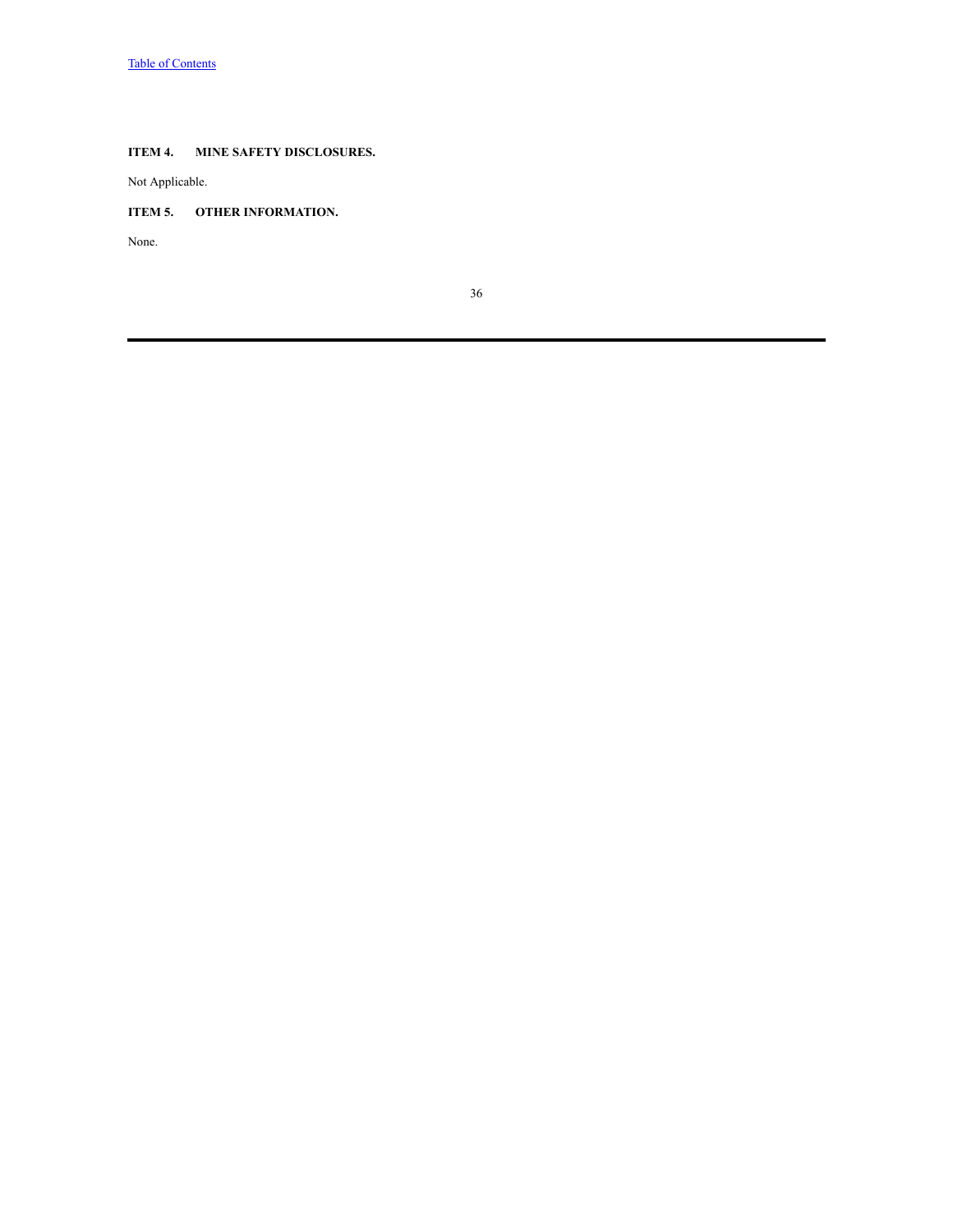## <span id="page-37-0"></span>**ITEM 4. MINE SAFETY DISCLOSURES.**

Not Applicable.

## <span id="page-37-1"></span>**ITEM 5. OTHER INFORMATION.**

None.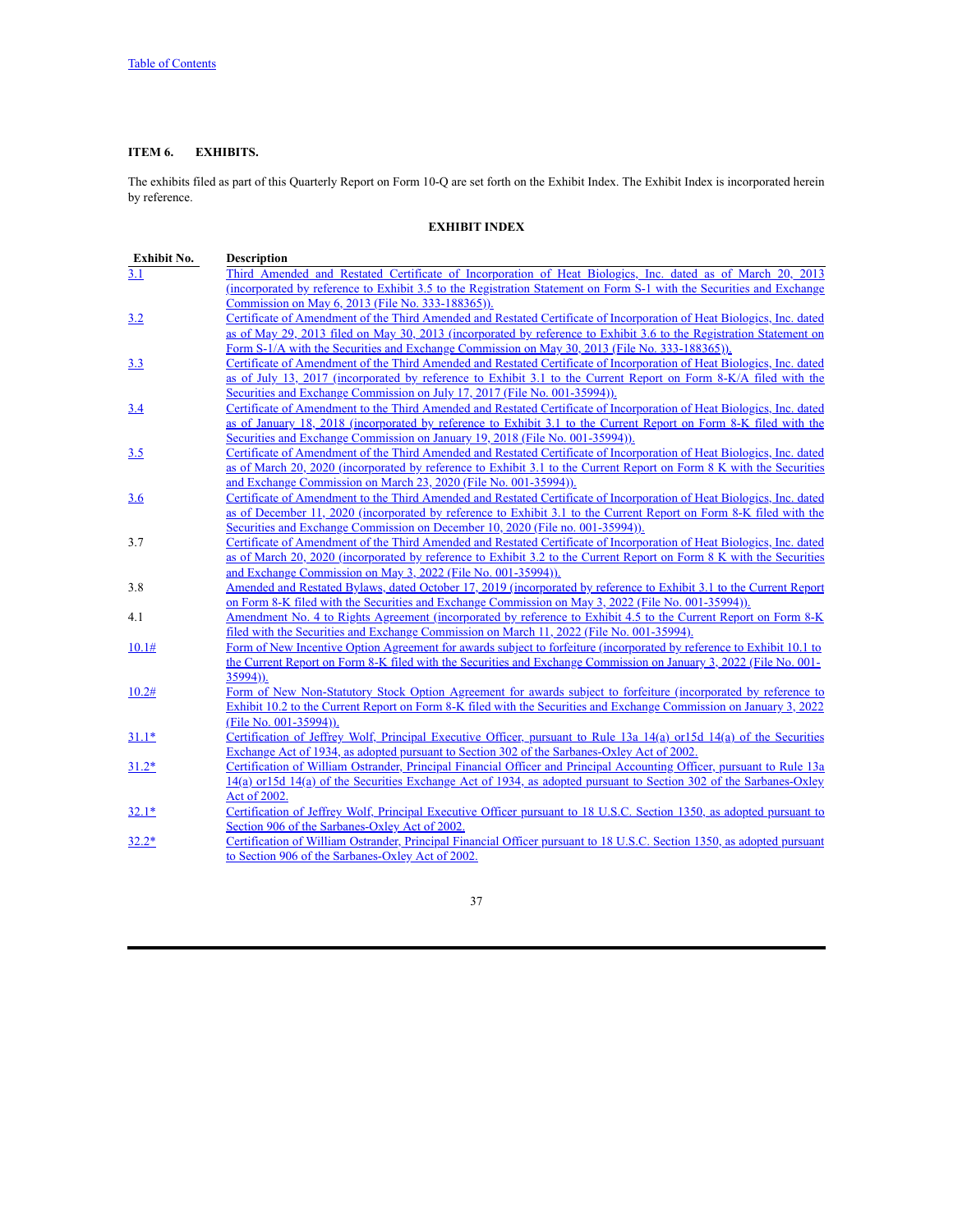## <span id="page-38-0"></span>**ITEM 6. EXHIBITS.**

The exhibits filed as part of this Quarterly Report on Form 10-Q are set forth on the Exhibit Index. The Exhibit Index is incorporated herein by reference.

## **EXHIBIT INDEX**

| Exhibit No. | <b>Description</b>                                                                                                                                                                                                                            |
|-------------|-----------------------------------------------------------------------------------------------------------------------------------------------------------------------------------------------------------------------------------------------|
| 3.1         | Third Amended and Restated Certificate of Incorporation of Heat Biologics, Inc. dated as of March 20, 2013                                                                                                                                    |
|             | <u>(incorporated by reference to Exhibit 3.5 to the Registration Statement on Form S-1 with the Securities and Exchange</u>                                                                                                                   |
|             | Commission on May 6, 2013 (File No. 333-188365)).                                                                                                                                                                                             |
| <u>3.2</u>  | Certificate of Amendment of the Third Amended and Restated Certificate of Incorporation of Heat Biologics, Inc. dated                                                                                                                         |
|             | as of May 29, 2013 filed on May 30, 2013 (incorporated by reference to Exhibit 3.6 to the Registration Statement on                                                                                                                           |
|             | Form S-1/A with the Securities and Exchange Commission on May 30, 2013 (File No. 333-188365)).                                                                                                                                                |
| 3.3         | Certificate of Amendment of the Third Amended and Restated Certificate of Incorporation of Heat Biologics, Inc. dated                                                                                                                         |
|             | as of July 13, 2017 (incorporated by reference to Exhibit 3.1 to the Current Report on Form 8-K/A filed with the                                                                                                                              |
|             | Securities and Exchange Commission on July 17, 2017 (File No. 001-35994)).                                                                                                                                                                    |
| 3.4         | Certificate of Amendment to the Third Amended and Restated Certificate of Incorporation of Heat Biologics, Inc. dated                                                                                                                         |
|             | as of January 18, 2018 (incorporated by reference to Exhibit 3.1 to the Current Report on Form 8-K filed with the                                                                                                                             |
|             | Securities and Exchange Commission on January 19, 2018 (File No. 001-35994)).                                                                                                                                                                 |
| 3.5         | Certificate of Amendment of the Third Amended and Restated Certificate of Incorporation of Heat Biologies, Inc. dated                                                                                                                         |
|             | as of March 20, 2020 (incorporated by reference to Exhibit 3.1 to the Current Report on Form 8 K with the Securities                                                                                                                          |
|             | and Exchange Commission on March 23, 2020 (File No. 001-35994)).                                                                                                                                                                              |
| <u>3.6</u>  | Certificate of Amendment to the Third Amended and Restated Certificate of Incorporation of Heat Biologics, Inc. dated                                                                                                                         |
|             | as of December 11, 2020 (incorporated by reference to Exhibit 3.1 to the Current Report on Form 8-K filed with the                                                                                                                            |
|             | Securities and Exchange Commission on December 10, 2020 (File no. 001-35994)).                                                                                                                                                                |
| 3.7         | Certificate of Amendment of the Third Amended and Restated Certificate of Incorporation of Heat Biologics, Inc. dated                                                                                                                         |
|             | as of March 20, 2020 (incorporated by reference to Exhibit 3.2 to the Current Report on Form 8 K with the Securities                                                                                                                          |
|             | and Exchange Commission on May 3, 2022 (File No. 001-35994)).                                                                                                                                                                                 |
| 3.8         | Amended and Restated Bylaws, dated October 17, 2019 (incorporated by reference to Exhibit 3.1 to the Current Report                                                                                                                           |
|             | on Form 8-K filed with the Securities and Exchange Commission on May 3, 2022 (File No. 001-35994)).                                                                                                                                           |
| 4.1         | Amendment No. 4 to Rights Agreement (incorporated by reference to Exhibit 4.5 to the Current Report on Form 8-K                                                                                                                               |
|             | filed with the Securities and Exchange Commission on March 11, 2022 (File No. 001-35994).                                                                                                                                                     |
| 10.1#       | Form of New Incentive Option Agreement for awards subject to forfeiture (incorporated by reference to Exhibit 10.1 to                                                                                                                         |
|             | the Current Report on Form 8-K filed with the Securities and Exchange Commission on January 3, 2022 (File No. 001-                                                                                                                            |
|             | $35994)$ ).                                                                                                                                                                                                                                   |
| 10.2#       | Form of New Non-Statutory Stock Option Agreement for awards subject to forfeiture (incorporated by reference to                                                                                                                               |
|             | Exhibit 10.2 to the Current Report on Form 8-K filed with the Securities and Exchange Commission on January 3, 2022                                                                                                                           |
|             | (File No. 001-35994)).                                                                                                                                                                                                                        |
| $31.1*$     | Certification of Jeffrey Wolf, Principal Executive Officer, pursuant to Rule 13a 14(a) or15d 14(a) of the Securities                                                                                                                          |
|             | Exchange Act of 1934, as adopted pursuant to Section 302 of the Sarbanes-Oxley Act of 2002.                                                                                                                                                   |
| $31.2*$     | Certification of William Ostrander, Principal Financial Officer and Principal Accounting Officer, pursuant to Rule 13a<br>14(a) or 15d 14(a) of the Securities Exchange Act of 1934, as adopted pursuant to Section 302 of the Sarbanes-Oxley |
|             | Act of 2002.                                                                                                                                                                                                                                  |
|             | Certification of Jeffrey Wolf, Principal Executive Officer pursuant to 18 U.S.C. Section 1350, as adopted pursuant to                                                                                                                         |
| $32.1*$     | Section 906 of the Sarbanes-Oxley Act of 2002.                                                                                                                                                                                                |
|             | Certification of William Ostrander, Principal Financial Officer pursuant to 18 U.S.C. Section 1350, as adopted pursuant                                                                                                                       |
| $32.2*$     | to Section 906 of the Sarbanes-Oxley Act of 2002.                                                                                                                                                                                             |
|             |                                                                                                                                                                                                                                               |
|             |                                                                                                                                                                                                                                               |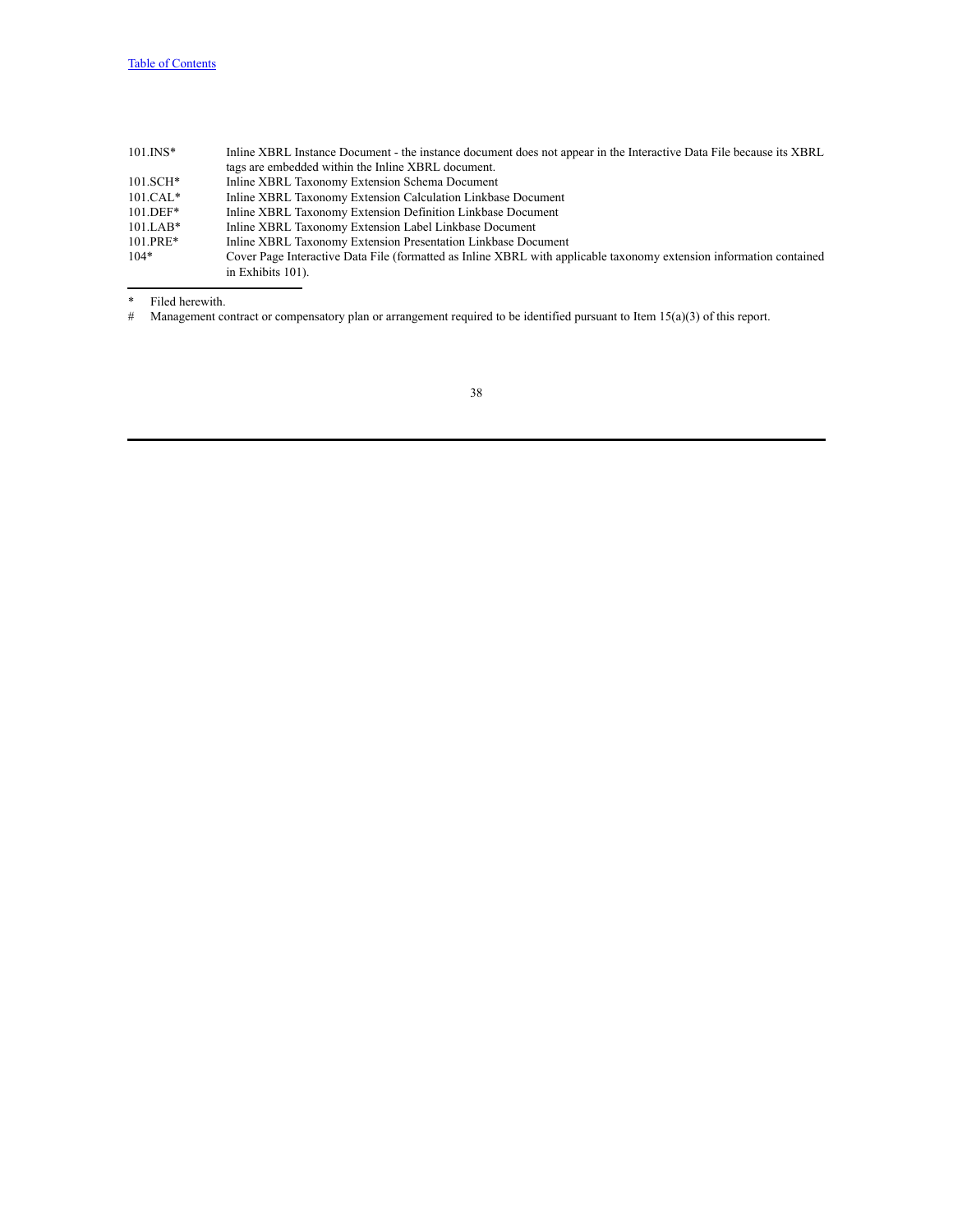| $101.$ INS* | Inline XBRL Instance Document - the instance document does not appear in the Interactive Data File because its XBRL |
|-------------|---------------------------------------------------------------------------------------------------------------------|
|             | tags are embedded within the Inline XBRL document.                                                                  |
| $101.SCH*$  | Inline XBRL Taxonomy Extension Schema Document                                                                      |
| $101.CAL*$  | Inline XBRL Taxonomy Extension Calculation Linkbase Document                                                        |
| $101.$ DEF* | Inline XBRL Taxonomy Extension Definition Linkbase Document                                                         |
| $101.LAB*$  | Inline XBRL Taxonomy Extension Label Linkbase Document                                                              |
| $101.PRE*$  | Inline XBRL Taxonomy Extension Presentation Linkbase Document                                                       |
| $104*$      | Cover Page Interactive Data File (formatted as Inline XBRL with applicable taxonomy extension information contained |
|             | in Exhibits 101).                                                                                                   |

\* Filed herewith.<br># Management co

Management contract or compensatory plan or arrangement required to be identified pursuant to Item  $15(a)(3)$  of this report.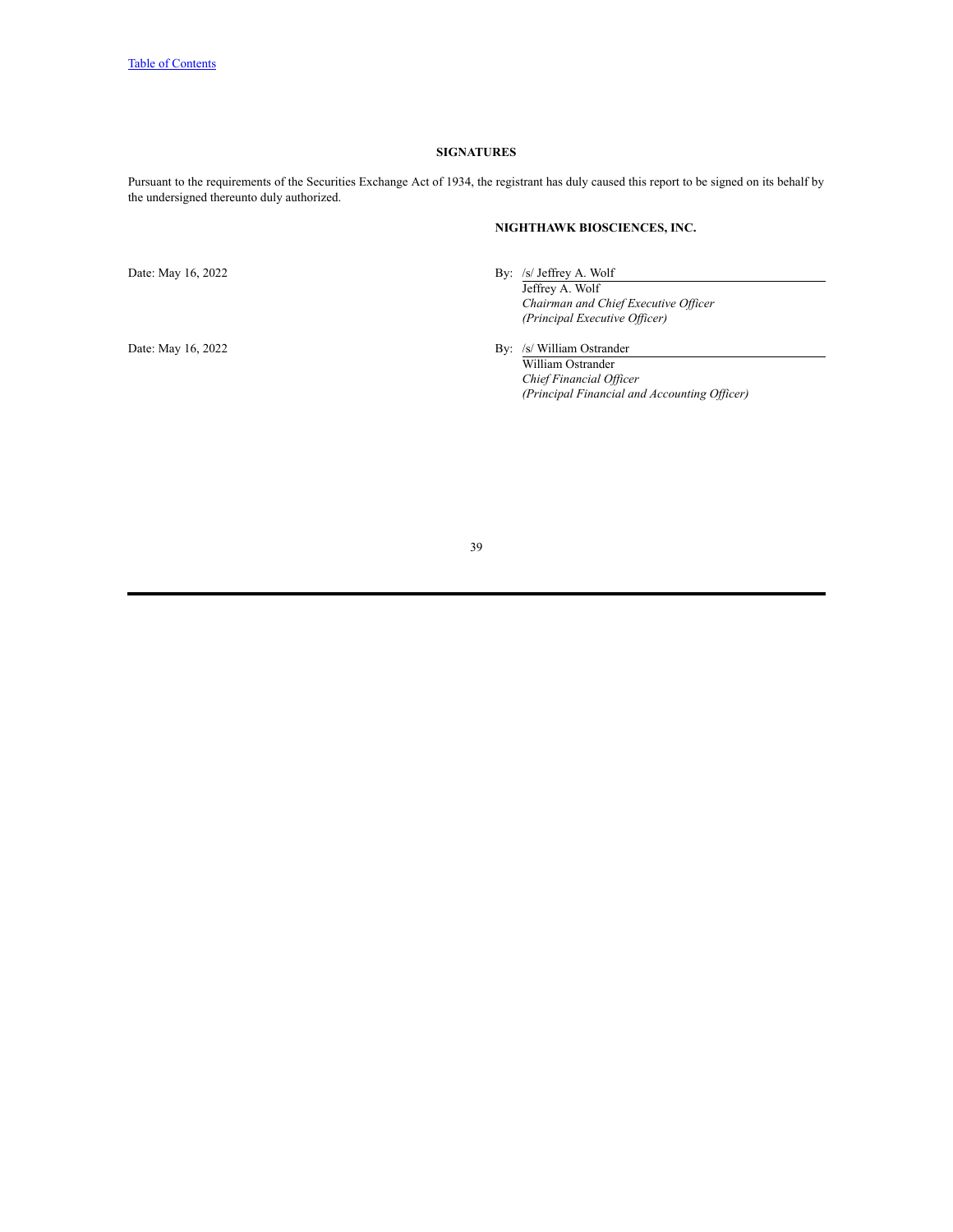### **SIGNATURES**

<span id="page-40-0"></span>Pursuant to the requirements of the Securities Exchange Act of 1934, the registrant has duly caused this report to be signed on its behalf by the undersigned thereunto duly authorized.

## **NIGHTHAWK BIOSCIENCES, INC.**

Date: May 16, 2022 By: /s/ Jeffrey A. Wolf

Jeffrey A. Wolf *Chairman and Chief Executive Of icer (Principal Executive Of icer)*

Date: May 16, 2022 By: /s/ William Ostrander

William Ostrander *Chief Financial Of icer (Principal Financial and Accounting Of icer)*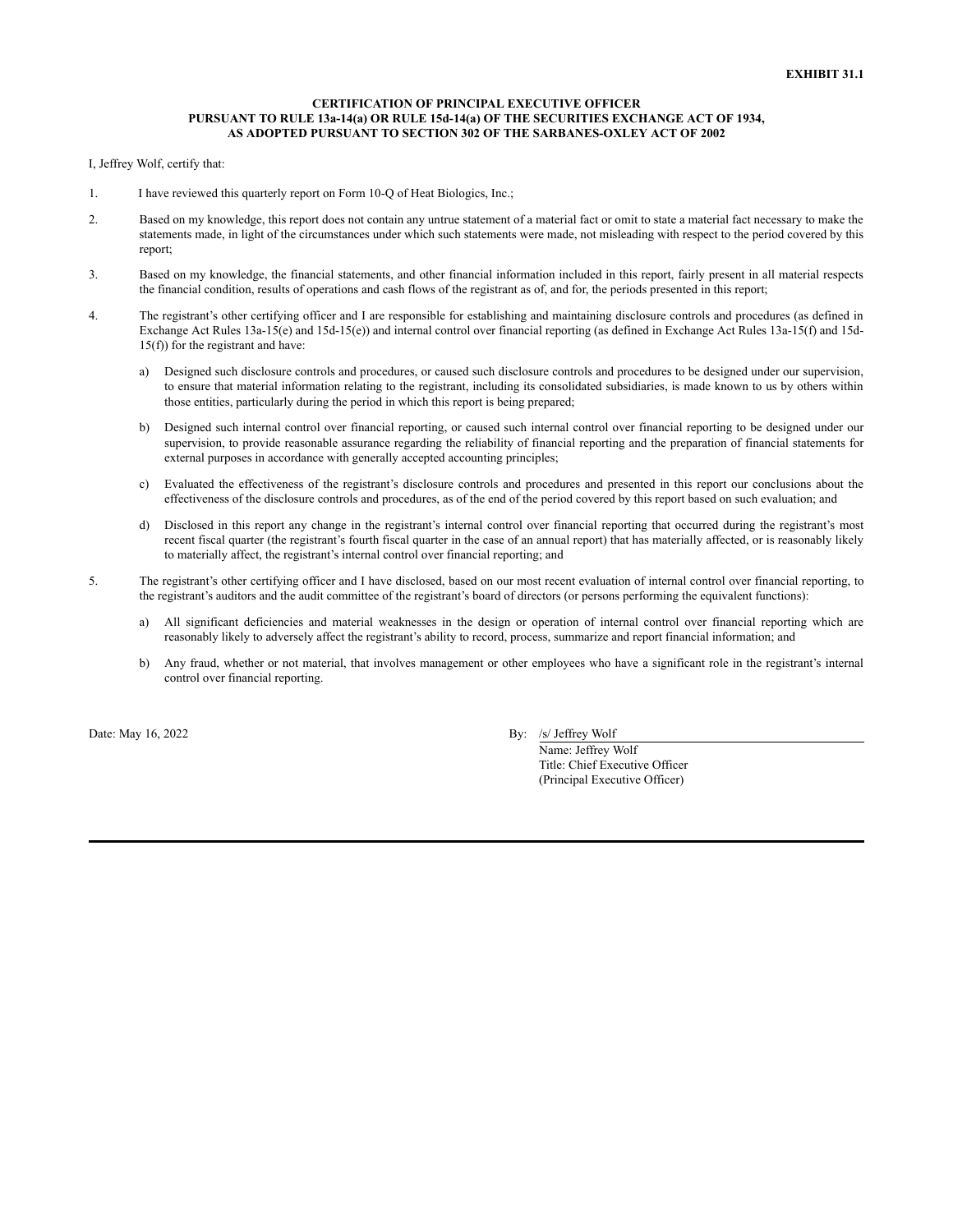### **CERTIFICATION OF PRINCIPAL EXECUTIVE OFFICER PURSUANT TO RULE 13a-14(a) OR RULE 15d-14(a) OF THE SECURITIES EXCHANGE ACT OF 1934, AS ADOPTED PURSUANT TO SECTION 302 OF THE SARBANES-OXLEY ACT OF 2002**

I, Jeffrey Wolf, certify that:

- 1. I have reviewed this quarterly report on Form 10-Q of Heat Biologics, Inc.;
- 2. Based on my knowledge, this report does not contain any untrue statement of a material fact or omit to state a material fact necessary to make the statements made, in light of the circumstances under which such statements were made, not misleading with respect to the period covered by this report;
- 3. Based on my knowledge, the financial statements, and other financial information included in this report, fairly present in all material respects the financial condition, results of operations and cash flows of the registrant as of, and for, the periods presented in this report;
- 4. The registrant's other certifying officer and I are responsible for establishing and maintaining disclosure controls and procedures (as defined in Exchange Act Rules 13a-15(e) and 15d-15(e)) and internal control over financial reporting (as defined in Exchange Act Rules 13a-15(f) and 15d-15(f)) for the registrant and have:
	- a) Designed such disclosure controls and procedures, or caused such disclosure controls and procedures to be designed under our supervision, to ensure that material information relating to the registrant, including its consolidated subsidiaries, is made known to us by others within those entities, particularly during the period in which this report is being prepared;
	- b) Designed such internal control over financial reporting, or caused such internal control over financial reporting to be designed under our supervision, to provide reasonable assurance regarding the reliability of financial reporting and the preparation of financial statements for external purposes in accordance with generally accepted accounting principles;
	- c) Evaluated the effectiveness of the registrant's disclosure controls and procedures and presented in this report our conclusions about the effectiveness of the disclosure controls and procedures, as of the end of the period covered by this report based on such evaluation; and
	- d) Disclosed in this report any change in the registrant's internal control over financial reporting that occurred during the registrant's most recent fiscal quarter (the registrant's fourth fiscal quarter in the case of an annual report) that has materially affected, or is reasonably likely to materially affect, the registrant's internal control over financial reporting; and
- 5. The registrant's other certifying officer and I have disclosed, based on our most recent evaluation of internal control over financial reporting, to the registrant's auditors and the audit committee of the registrant's board of directors (or persons performing the equivalent functions):
	- a) All significant deficiencies and material weaknesses in the design or operation of internal control over financial reporting which are reasonably likely to adversely affect the registrant's ability to record, process, summarize and report financial information; and
	- b) Any fraud, whether or not material, that involves management or other employees who have a significant role in the registrant's internal control over financial reporting.

Date: May 16, 2022 By: /s/ Jeffrey Wolf

Name: Jeffrey Wolf Title: Chief Executive Officer (Principal Executive Officer)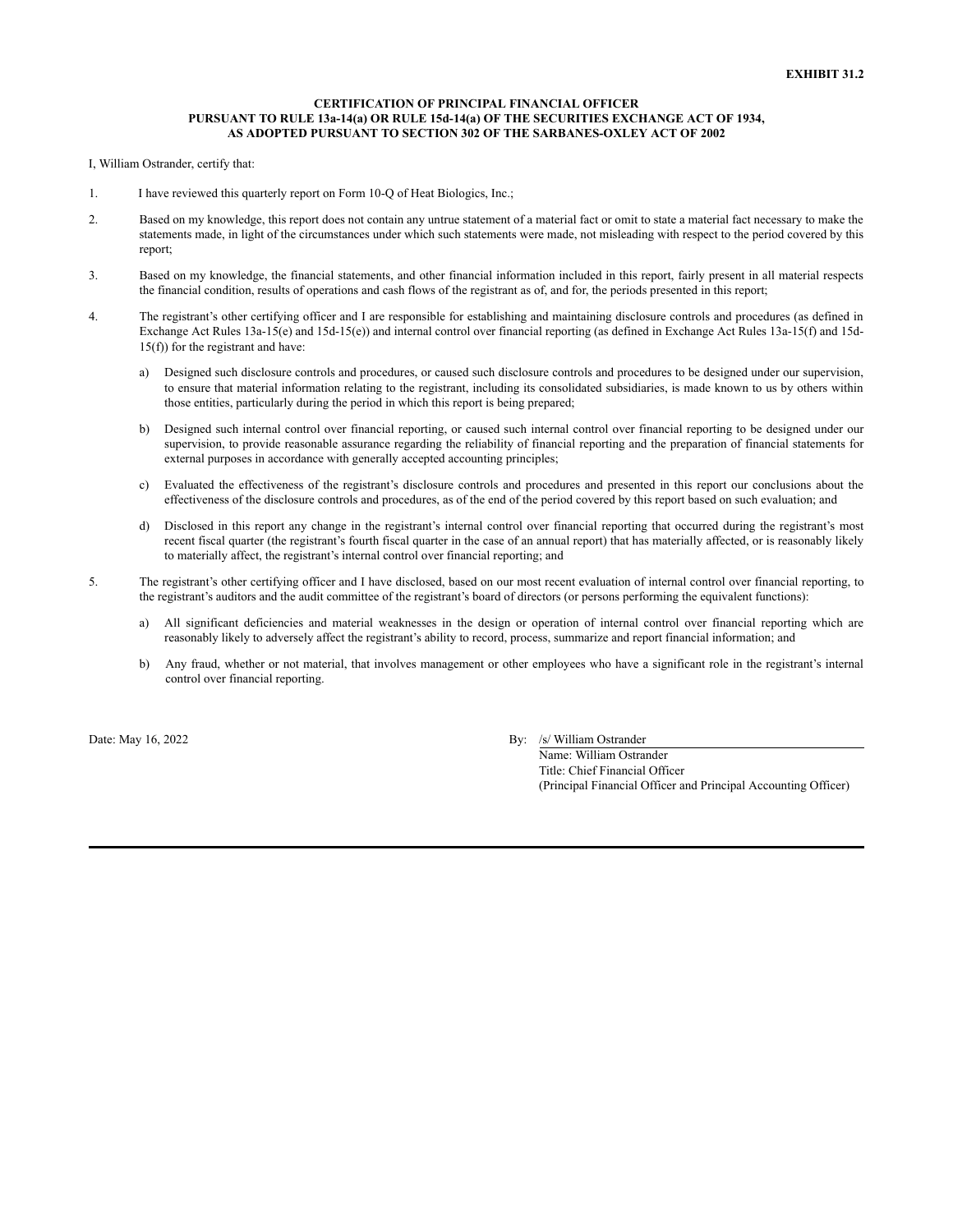### **CERTIFICATION OF PRINCIPAL FINANCIAL OFFICER PURSUANT TO RULE 13a-14(a) OR RULE 15d-14(a) OF THE SECURITIES EXCHANGE ACT OF 1934, AS ADOPTED PURSUANT TO SECTION 302 OF THE SARBANES-OXLEY ACT OF 2002**

I, William Ostrander, certify that:

- 1. I have reviewed this quarterly report on Form 10-Q of Heat Biologics, Inc.;
- 2. Based on my knowledge, this report does not contain any untrue statement of a material fact or omit to state a material fact necessary to make the statements made, in light of the circumstances under which such statements were made, not misleading with respect to the period covered by this report;
- 3. Based on my knowledge, the financial statements, and other financial information included in this report, fairly present in all material respects the financial condition, results of operations and cash flows of the registrant as of, and for, the periods presented in this report;
- 4. The registrant's other certifying officer and I are responsible for establishing and maintaining disclosure controls and procedures (as defined in Exchange Act Rules 13a-15(e) and 15d-15(e)) and internal control over financial reporting (as defined in Exchange Act Rules 13a-15(f) and 15d-15(f)) for the registrant and have:
	- a) Designed such disclosure controls and procedures, or caused such disclosure controls and procedures to be designed under our supervision, to ensure that material information relating to the registrant, including its consolidated subsidiaries, is made known to us by others within those entities, particularly during the period in which this report is being prepared;
	- b) Designed such internal control over financial reporting, or caused such internal control over financial reporting to be designed under our supervision, to provide reasonable assurance regarding the reliability of financial reporting and the preparation of financial statements for external purposes in accordance with generally accepted accounting principles;
	- c) Evaluated the effectiveness of the registrant's disclosure controls and procedures and presented in this report our conclusions about the effectiveness of the disclosure controls and procedures, as of the end of the period covered by this report based on such evaluation; and
	- d) Disclosed in this report any change in the registrant's internal control over financial reporting that occurred during the registrant's most recent fiscal quarter (the registrant's fourth fiscal quarter in the case of an annual report) that has materially affected, or is reasonably likely to materially affect, the registrant's internal control over financial reporting; and
- 5. The registrant's other certifying officer and I have disclosed, based on our most recent evaluation of internal control over financial reporting, to the registrant's auditors and the audit committee of the registrant's board of directors (or persons performing the equivalent functions):
	- a) All significant deficiencies and material weaknesses in the design or operation of internal control over financial reporting which are reasonably likely to adversely affect the registrant's ability to record, process, summarize and report financial information; and
	- b) Any fraud, whether or not material, that involves management or other employees who have a significant role in the registrant's internal control over financial reporting.

Date: May 16, 2022 By: /s/ William Ostrander

Name: William Ostrander Title: Chief Financial Officer (Principal Financial Officer and Principal Accounting Officer)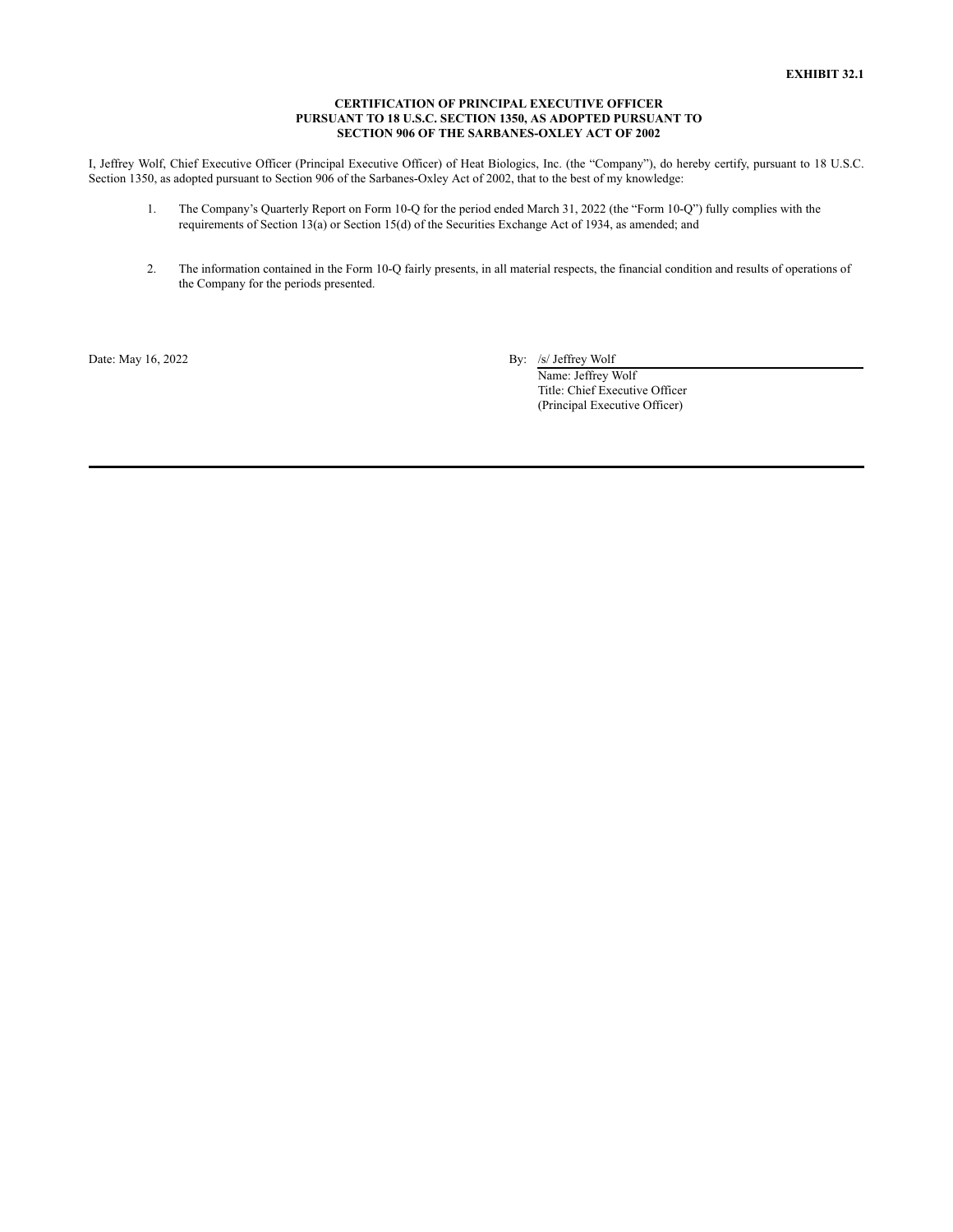### **CERTIFICATION OF PRINCIPAL EXECUTIVE OFFICER PURSUANT TO 18 U.S.C. SECTION 1350, AS ADOPTED PURSUANT TO SECTION 906 OF THE SARBANES-OXLEY ACT OF 2002**

I, Jeffrey Wolf, Chief Executive Officer (Principal Executive Officer) of Heat Biologics, Inc. (the "Company"), do hereby certify, pursuant to 18 U.S.C. Section 1350, as adopted pursuant to Section 906 of the Sarbanes-Oxley Act of 2002, that to the best of my knowledge:

- 1. The Company's Quarterly Report on Form 10-Q for the period ended March 31, 2022 (the "Form 10-Q") fully complies with the requirements of Section 13(a) or Section 15(d) of the Securities Exchange Act of 1934, as amended; and
- 2. The information contained in the Form 10-Q fairly presents, in all material respects, the financial condition and results of operations of the Company for the periods presented.

Date: May 16, 2022 By: /s/ Jeffrey Wolf

Name: Jeffrey Wolf Title: Chief Executive Officer (Principal Executive Officer)